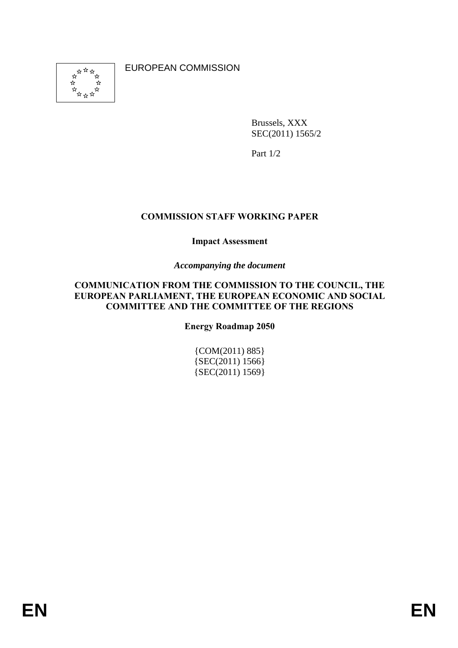好好好 ⊀≽ EUROPEAN COMMISSION

Brussels, XXX SEC(2011) 1565/2

Part 1/2

## **COMMISSION STAFF WORKING PAPER**

#### **Impact Assessment**

#### *Accompanying the document*

#### **COMMUNICATION FROM THE COMMISSION TO THE COUNCIL, THE EUROPEAN PARLIAMENT, THE EUROPEAN ECONOMIC AND SOCIAL COMMITTEE AND THE COMMITTEE OF THE REGIONS**

**Energy Roadmap 2050** 

{COM(2011) 885} {SEC(2011) 1566} {SEC(2011) 1569}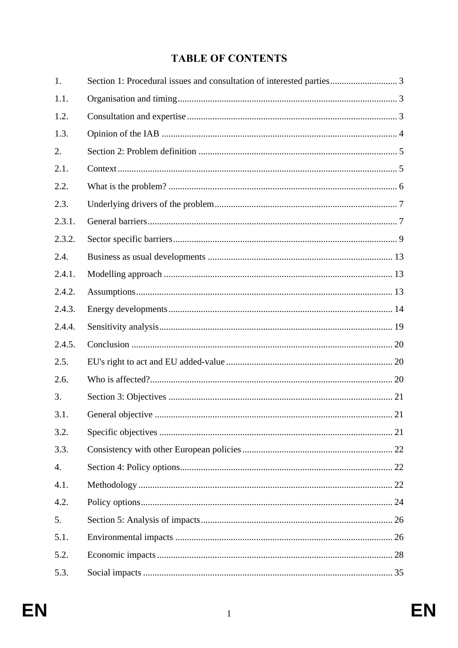# **TABLE OF CONTENTS**

| 1.     | Section 1: Procedural issues and consultation of interested parties 3 |  |
|--------|-----------------------------------------------------------------------|--|
| 1.1.   |                                                                       |  |
| 1.2.   |                                                                       |  |
| 1.3.   |                                                                       |  |
| 2.     |                                                                       |  |
| 2.1.   |                                                                       |  |
| 2.2.   |                                                                       |  |
| 2.3.   |                                                                       |  |
| 2.3.1. |                                                                       |  |
| 2.3.2. |                                                                       |  |
| 2.4.   |                                                                       |  |
| 2.4.1. |                                                                       |  |
| 2.4.2. |                                                                       |  |
| 2.4.3. |                                                                       |  |
| 2.4.4. |                                                                       |  |
| 2.4.5. |                                                                       |  |
| 2.5.   |                                                                       |  |
| 2.6.   |                                                                       |  |
| 3.     |                                                                       |  |
| 3.1.   |                                                                       |  |
| 3.2.   |                                                                       |  |
| 3.3.   |                                                                       |  |
| 4.     |                                                                       |  |
| 4.1.   |                                                                       |  |
| 4.2.   |                                                                       |  |
| 5.     |                                                                       |  |
| 5.1.   |                                                                       |  |
| 5.2.   |                                                                       |  |
| 5.3.   |                                                                       |  |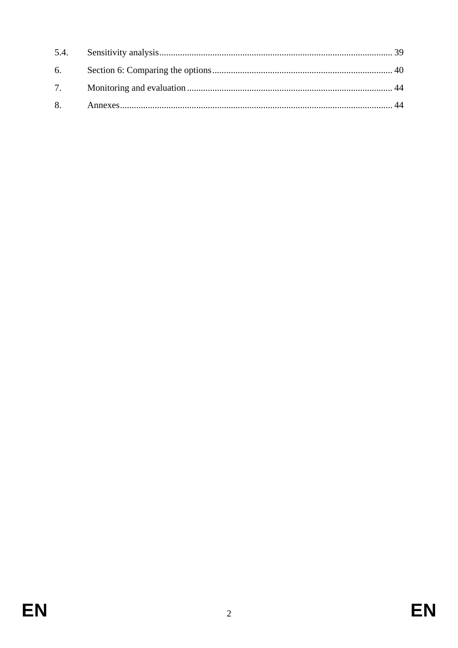| 6. |  |
|----|--|
|    |  |
|    |  |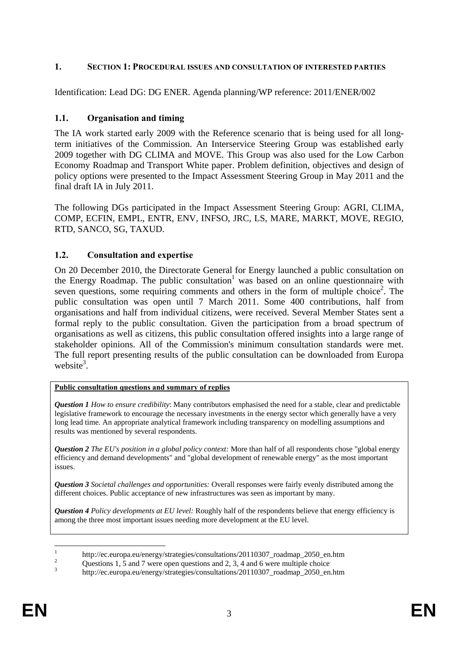## **1. SECTION 1: PROCEDURAL ISSUES AND CONSULTATION OF INTERESTED PARTIES**

<span id="page-3-0"></span>Identification: Lead DG: DG ENER. Agenda planning/WP reference: 2011/ENER/002

## <span id="page-3-1"></span>**1.1. Organisation and timing**

The IA work started early 2009 with the Reference scenario that is being used for all longterm initiatives of the Commission. An Interservice Steering Group was established early 2009 together with DG CLIMA and MOVE. This Group was also used for the Low Carbon Economy Roadmap and Transport White paper. Problem definition, objectives and design of policy options were presented to the Impact Assessment Steering Group in May 2011 and the final draft IA in July 2011.

The following DGs participated in the Impact Assessment Steering Group: AGRI, CLIMA, COMP, ECFIN, EMPL, ENTR, ENV, INFSO, JRC, LS, MARE, MARKT, MOVE, REGIO, RTD, SANCO, SG, TAXUD.

## <span id="page-3-2"></span>**1.2. Consultation and expertise**

On 20 December 2010, the Directorate General for Energy launched a public consultation on the Energy Roadmap. The public consultation<sup>1</sup> was based on an online questionnaire with seven questions, some requiring comments and others in the form of multiple choice<sup>2</sup>. The public consultation was open until 7 March 2011. Some 400 contributions, half from organisations and half from individual citizens, were received. Several Member States sent a formal reply to the public consultation. Given the participation from a broad spectrum of organisations as well as citizens, this public consultation offered insights into a large range of stakeholder opinions. All of the Commission's minimum consultation standards were met. The full report presenting results of the public consultation can be downloaded from Europa website<sup>3</sup>.

#### **Public consultation questions and summary of replies**

*Question 1 How to ensure credibility*: Many contributors emphasised the need for a stable, clear and predictable legislative framework to encourage the necessary investments in the energy sector which generally have a very long lead time. An appropriate analytical framework including transparency on modelling assumptions and results was mentioned by several respondents.

*Question 2 The EU's position in a global policy context:* More than half of all respondents chose "global energy efficiency and demand developments" and "global development of renewable energy" as the most important issues.

*Question 3 Societal challenges and opportunities:* Overall responses were fairly evenly distributed among the different choices. Public acceptance of new infrastructures was seen as important by many.

*Question 4 Policy developments at EU level:* Roughly half of the respondents believe that energy efficiency is among the three most important issues needing more development at the EU level.

 $\mathbf{1}$ <sup>1</sup> http://ec.europa.eu/energy/strategies/consultations/20110307\_roadmap\_2050\_en.htm <br><sup>2</sup> Questions 1, 5 and 7 were open questions and 2, 3, 4 and 6 were multiple choice

<sup>3</sup> [http://ec.europa.eu/energy/strategies/consultations/20110307\\_roadmap\\_2050\\_en.htm](http://ec.europa.eu/energy/strategies/consultations/20110307_roadmap_2050_en.htm)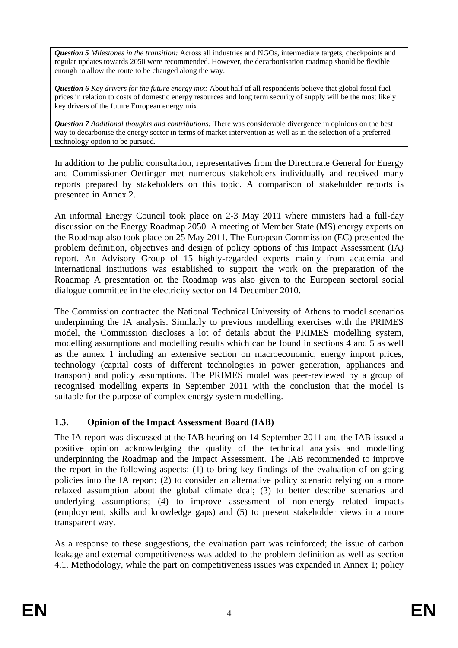*Question 5 Milestones in the transition:* Across all industries and NGOs, intermediate targets, checkpoints and regular updates towards 2050 were recommended. However, the decarbonisation roadmap should be flexible enough to allow the route to be changed along the way.

*Question 6 Key drivers for the future energy mix:* About half of all respondents believe that global fossil fuel prices in relation to costs of domestic energy resources and long term security of supply will be the most likely key drivers of the future European energy mix.

*Question 7 Additional thoughts and contributions:* There was considerable divergence in opinions on the best way to decarbonise the energy sector in terms of market intervention as well as in the selection of a preferred technology option to be pursued.

In addition to the public consultation, representatives from the Directorate General for Energy and Commissioner Oettinger met numerous stakeholders individually and received many reports prepared by stakeholders on this topic. A comparison of stakeholder reports is presented in Annex 2.

An informal Energy Council took place on 2-3 May 2011 where ministers had a full-day discussion on the Energy Roadmap 2050. A meeting of Member State (MS) energy experts on the Roadmap also took place on 25 May 2011. The European Commission (EC) presented the problem definition, objectives and design of policy options of this Impact Assessment (IA) report. An Advisory Group of 15 highly-regarded experts mainly from academia and international institutions was established to support the work on the preparation of the Roadmap A presentation on the Roadmap was also given to the European sectoral social dialogue committee in the electricity sector on 14 December 2010.

The Commission contracted the National Technical University of Athens to model scenarios underpinning the IA analysis. Similarly to previous modelling exercises with the PRIMES model, the Commission discloses a lot of details about the PRIMES modelling system, modelling assumptions and modelling results which can be found in sections 4 and 5 as well as the annex 1 including an extensive section on macroeconomic, energy import prices, technology (capital costs of different technologies in power generation, appliances and transport) and policy assumptions. The PRIMES model was peer-reviewed by a group of recognised modelling experts in September 2011 with the conclusion that the model is suitable for the purpose of complex energy system modelling.

## <span id="page-4-0"></span>**1.3. Opinion of the Impact Assessment Board (IAB)**

The IA report was discussed at the IAB hearing on 14 September 2011 and the IAB issued a positive opinion acknowledging the quality of the technical analysis and modelling underpinning the Roadmap and the Impact Assessment. The IAB recommended to improve the report in the following aspects: (1) to bring key findings of the evaluation of on-going policies into the IA report; (2) to consider an alternative policy scenario relying on a more relaxed assumption about the global climate deal; (3) to better describe scenarios and underlying assumptions; (4) to improve assessment of non-energy related impacts (employment, skills and knowledge gaps) and (5) to present stakeholder views in a more transparent way.

As a response to these suggestions, the evaluation part was reinforced; the issue of carbon leakage and external competitiveness was added to the problem definition as well as section 4.1. Methodology, while the part on competitiveness issues was expanded in Annex 1; policy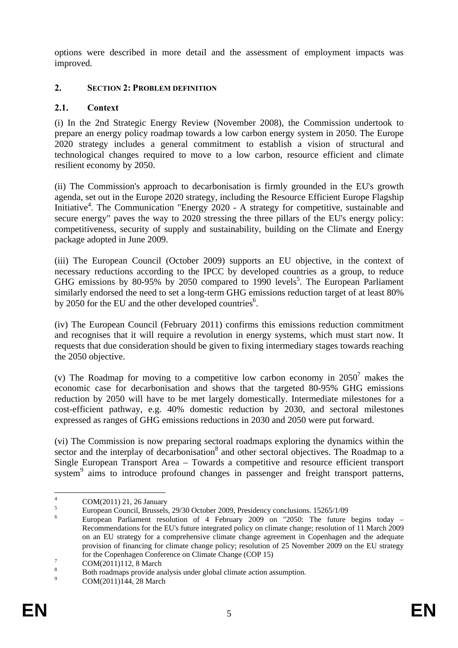options were described in more detail and the assessment of employment impacts was improved.

## <span id="page-5-1"></span><span id="page-5-0"></span>**2. SECTION 2: PROBLEM DEFINITION**

## **2.1. Context**

(i) In the 2nd Strategic Energy Review (November 2008), the Commission undertook to prepare an energy policy roadmap towards a low carbon energy system in 2050. The Europe 2020 strategy includes a general commitment to establish a vision of structural and technological changes required to move to a low carbon, resource efficient and climate resilient economy by 2050.

(ii) The Commission's approach to decarbonisation is firmly grounded in the EU's growth agenda, set out in the Europe 2020 strategy, including the Resource Efficient Europe Flagship Initiative<sup>4</sup>. The Communication "Energy 2020 - A strategy for competitive, sustainable and secure energy" paves the way to 2020 stressing the three pillars of the EU's energy policy: competitiveness, security of supply and sustainability, building on the Climate and Energy package adopted in June 2009.

(iii) The European Council (October 2009) supports an EU objective, in the context of necessary reductions according to the IPCC by developed countries as a group, to reduce GHG emissions by 80-95% by 2050 compared to 1990 levels<sup>5</sup>. The European Parliament similarly endorsed the need to set a long-term GHG emissions reduction target of at least 80% by 2050 for the EU and the other developed countries<sup>6</sup>.

(iv) The European Council (February 2011) confirms this emissions reduction commitment and recognises that it will require a revolution in energy systems, which must start now. It requests that due consideration should be given to fixing intermediary stages towards reaching the 2050 objective.

(v) The Roadmap for moving to a competitive low carbon economy in  $2050^7$  makes the economic case for decarbonisation and shows that the targeted 80-95% GHG emissions reduction by 2050 will have to be met largely domestically. Intermediate milestones for a cost-efficient pathway, e.g. 40% domestic reduction by 2030, and sectoral milestones expressed as ranges of GHG emissions reductions in 2030 and 2050 were put forward.

(vi) The Commission is now preparing sectoral roadmaps exploring the dynamics within the sector and the interplay of decarbonisation<sup>8</sup> and other sectoral objectives. The Roadmap to a Single European Transport Area – Towards a competitive and resource efficient transport system<sup>9</sup> aims to introduce profound changes in passenger and freight transport patterns,

 $\overline{4}$ 

 $^{4}$  COM(2011) 21, 26 January<br>
<sup>5</sup> European Council, Brussels, 29/30 October 2009, Presidency conclusions. 15265/1/09<br>
<sup>6</sup> European Parliament resolution of 4 February 2009 on "2050: The future begins today – Recommendations for the EU's future integrated policy on climate change; resolution of 11 March 2009 on an EU strategy for a comprehensive climate change agreement in Copenhagen and the adequate provision of financing for climate change policy; resolution of 25 November 2009 on the EU strategy

for the Copenhagen Conference on Climate Change (COP 15)<br>
<sup>7</sup> COM(2011)112, 8 March<br>
<sup>8</sup> Both roadmaps provide analysis under global climate action assumption.

COM(2011)144, 28 March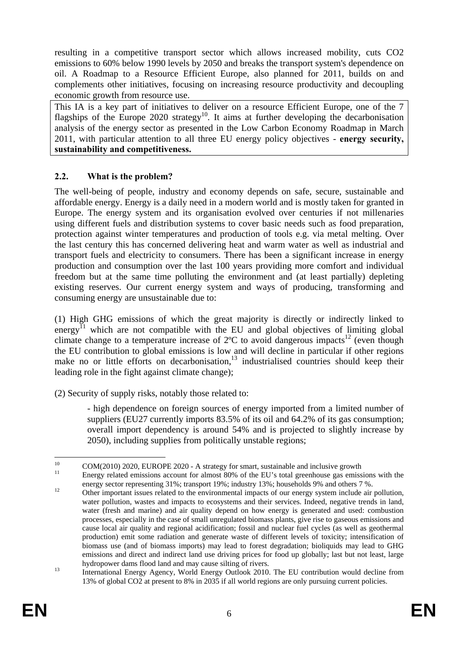resulting in a competitive transport sector which allows increased mobility, cuts CO2 emissions to 60% below 1990 levels by 2050 and breaks the transport system's dependence on oil. A Roadmap to a Resource Efficient Europe, also planned for 2011, builds on and complements other initiatives, focusing on increasing resource productivity and decoupling economic growth from resource use.

This IA is a key part of initiatives to deliver on a resource Efficient Europe, one of the 7 flagships of the Europe 2020 strategy<sup>10</sup>. It aims at further developing the decarbonisation analysis of the energy sector as presented in the Low Carbon Economy Roadmap in March 2011, with particular attention to all three EU energy policy objectives - **energy security, sustainability and competitiveness.** 

## <span id="page-6-0"></span>**2.2. What is the problem?**

The well-being of people, industry and economy depends on safe, secure, sustainable and affordable energy. Energy is a daily need in a modern world and is mostly taken for granted in Europe. The energy system and its organisation evolved over centuries if not millenaries using different fuels and distribution systems to cover basic needs such as food preparation, protection against winter temperatures and production of tools e.g. via metal melting. Over the last century this has concerned delivering heat and warm water as well as industrial and transport fuels and electricity to consumers. There has been a significant increase in energy production and consumption over the last 100 years providing more comfort and individual freedom but at the same time polluting the environment and (at least partially) depleting existing reserves. Our current energy system and ways of producing, transforming and consuming energy are unsustainable due to:

(1) High GHG emissions of which the great majority is directly or indirectly linked to energy<sup> $I_1$ </sup> which are not compatible with the EU and global objectives of limiting global climate change to a temperature increase of  $2^{\circ}C$  to avoid dangerous impacts<sup>12</sup> (even though the EU contribution to global emissions is low and will decline in particular if other regions make no or little efforts on decarbonisation, $13$  industrialised countries should keep their leading role in the fight against climate change);

(2) Security of supply risks, notably those related to:

- high dependence on foreign sources of energy imported from a limited number of suppliers (EU27 currently imports 83.5% of its oil and 64.2% of its gas consumption; overall import dependency is around 54% and is projected to slightly increase by 2050), including supplies from politically unstable regions;

 $10<sup>1</sup>$ 

<sup>&</sup>lt;sup>10</sup> COM(2010) 2020, EUROPE 2020 - A strategy for smart, sustainable and inclusive growth  $\frac{11}{11}$  Energy related emissions account for almost 80% of the EU's total greenhouse gas emissions with the energy sector representing 31%; transport 19%; industry 13%; households 9% and others 7 %.

<sup>12</sup> Other important issues related to the environmental impacts of our energy system include air pollution, water pollution, wastes and impacts to ecosystems and their services. Indeed, negative trends in land, water (fresh and marine) and air quality depend on how energy is generated and used: combustion processes, especially in the case of small unregulated biomass plants, give rise to gaseous emissions and cause local air quality and regional acidification; fossil and nuclear fuel cycles (as well as geothermal production) emit some radiation and generate waste of different levels of toxicity; intensification of biomass use (and of biomass imports) may lead to forest degradation; bioliquids may lead to GHG emissions and direct and indirect land use driving prices for food up globally; last but not least, large

hydropower dams flood land and may cause silting of rivers.<br><sup>13</sup> International Energy Agency, World Energy Outlook 2010. The EU contribution would decline from 13% of global CO2 at present to 8% in 2035 if all world regions are only pursuing current policies.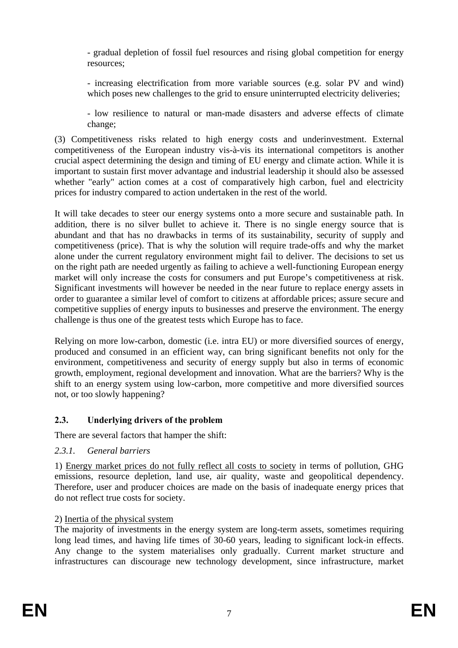- gradual depletion of fossil fuel resources and rising global competition for energy resources;

- increasing electrification from more variable sources (e.g. solar PV and wind) which poses new challenges to the grid to ensure uninterrupted electricity deliveries;

- low resilience to natural or man-made disasters and adverse effects of climate change;

(3) Competitiveness risks related to high energy costs and underinvestment. External competitiveness of the European industry vis-à-vis its international competitors is another crucial aspect determining the design and timing of EU energy and climate action. While it is important to sustain first mover advantage and industrial leadership it should also be assessed whether "early" action comes at a cost of comparatively high carbon, fuel and electricity prices for industry compared to action undertaken in the rest of the world.

It will take decades to steer our energy systems onto a more secure and sustainable path. In addition, there is no silver bullet to achieve it. There is no single energy source that is abundant and that has no drawbacks in terms of its sustainability, security of supply and competitiveness (price). That is why the solution will require trade-offs and why the market alone under the current regulatory environment might fail to deliver. The decisions to set us on the right path are needed urgently as failing to achieve a well-functioning European energy market will only increase the costs for consumers and put Europe's competitiveness at risk. Significant investments will however be needed in the near future to replace energy assets in order to guarantee a similar level of comfort to citizens at affordable prices; assure secure and competitive supplies of energy inputs to businesses and preserve the environment. The energy challenge is thus one of the greatest tests which Europe has to face.

Relying on more low-carbon, domestic (i.e. intra EU) or more diversified sources of energy, produced and consumed in an efficient way, can bring significant benefits not only for the environment, competitiveness and security of energy supply but also in terms of economic growth, employment, regional development and innovation. What are the barriers? Why is the shift to an energy system using low-carbon, more competitive and more diversified sources not, or too slowly happening?

## <span id="page-7-0"></span>**2.3. Underlying drivers of the problem**

<span id="page-7-1"></span>There are several factors that hamper the shift:

## *2.3.1. General barriers*

1) Energy market prices do not fully reflect all costs to society in terms of pollution, GHG emissions, resource depletion, land use, air quality, waste and geopolitical dependency. Therefore, user and producer choices are made on the basis of inadequate energy prices that do not reflect true costs for society.

## 2) Inertia of the physical system

The majority of investments in the energy system are long-term assets, sometimes requiring long lead times, and having life times of 30-60 years, leading to significant lock-in effects. Any change to the system materialises only gradually. Current market structure and infrastructures can discourage new technology development, since infrastructure, market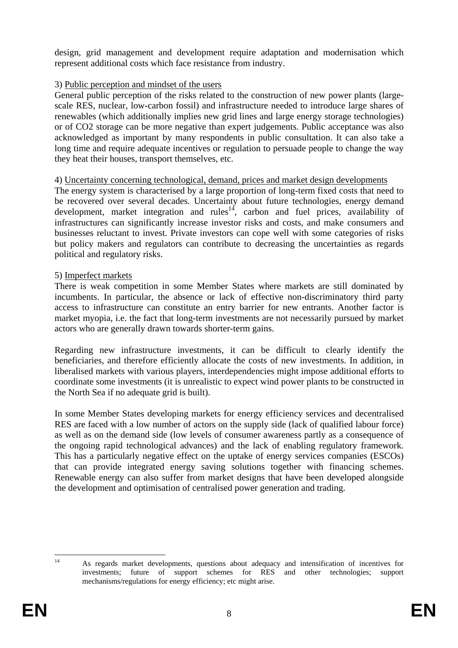design, grid management and development require adaptation and modernisation which represent additional costs which face resistance from industry.

## 3) Public perception and mindset of the users

General public perception of the risks related to the construction of new power plants (largescale RES, nuclear, low-carbon fossil) and infrastructure needed to introduce large shares of renewables (which additionally implies new grid lines and large energy storage technologies) or of CO2 storage can be more negative than expert judgements. Public acceptance was also acknowledged as important by many respondents in public consultation. It can also take a long time and require adequate incentives or regulation to persuade people to change the way they heat their houses, transport themselves, etc.

## 4) Uncertainty concerning technological, demand, prices and market design developments

The energy system is characterised by a large proportion of long-term fixed costs that need to be recovered over several decades. Uncertainty about future technologies, energy demand development, market integration and rules<sup>14</sup>, carbon and fuel prices, availability of infrastructures can significantly increase investor risks and costs, and make consumers and businesses reluctant to invest. Private investors can cope well with some categories of risks but policy makers and regulators can contribute to decreasing the uncertainties as regards political and regulatory risks.

## 5) Imperfect markets

There is weak competition in some Member States where markets are still dominated by incumbents. In particular, the absence or lack of effective non-discriminatory third party access to infrastructure can constitute an entry barrier for new entrants. Another factor is market myopia, i.e. the fact that long-term investments are not necessarily pursued by market actors who are generally drawn towards shorter-term gains.

Regarding new infrastructure investments, it can be difficult to clearly identify the beneficiaries, and therefore efficiently allocate the costs of new investments. In addition, in liberalised markets with various players, interdependencies might impose additional efforts to coordinate some investments (it is unrealistic to expect wind power plants to be constructed in the North Sea if no adequate grid is built).

In some Member States developing markets for energy efficiency services and decentralised RES are faced with a low number of actors on the supply side (lack of qualified labour force) as well as on the demand side (low levels of consumer awareness partly as a consequence of the ongoing rapid technological advances) and the lack of enabling regulatory framework. This has a particularly negative effect on the uptake of energy services companies (ESCOs) that can provide integrated energy saving solutions together with financing schemes. Renewable energy can also suffer from market designs that have been developed alongside the development and optimisation of centralised power generation and trading.

 $14$ 

<sup>14</sup> As regards market developments, questions about adequacy and intensification of incentives for investments; future of support schemes for RES and other technologies; support mechanisms/regulations for energy efficiency; etc might arise.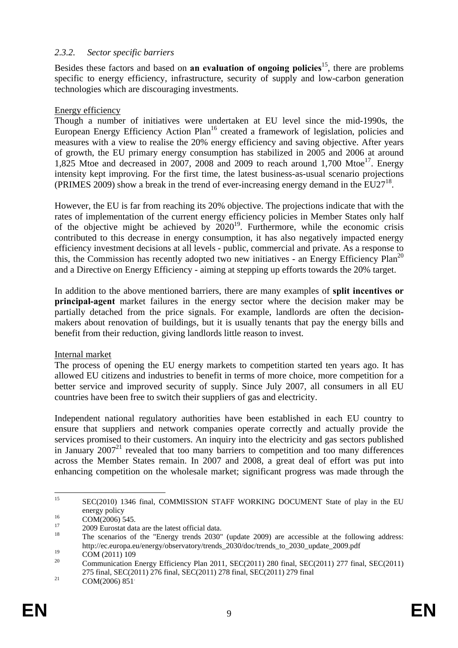### <span id="page-9-0"></span>*2.3.2. Sector specific barriers*

Besides these factors and based on **an evaluation of ongoing policies**15, there are problems specific to energy efficiency, infrastructure, security of supply and low-carbon generation technologies which are discouraging investments.

## Energy efficiency

Though a number of initiatives were undertaken at EU level since the mid-1990s, the European Energy Efficiency Action Plan<sup>16</sup> created a framework of legislation, policies and measures with a view to realise the 20% energy efficiency and saving objective. After years of growth, the EU primary energy consumption has stabilized in 2005 and 2006 at around 1,825 Mtoe and decreased in 2007, 2008 and 2009 to reach around 1,700 Mtoe<sup>17</sup>. Energy intensity kept improving. For the first time, the latest business-as-usual scenario projections (PRIMES 2009) show a break in the trend of ever-increasing energy demand in the  $EU27^{18}$ .

However, the EU is far from reaching its 20% objective. The projections indicate that with the rates of implementation of the current energy efficiency policies in Member States only half of the objective might be achieved by  $2020^{19}$ . Furthermore, while the economic crisis contributed to this decrease in energy consumption, it has also negatively impacted energy efficiency investment decisions at all levels - public, commercial and private. As a response to this, the Commission has recently adopted two new initiatives - an Energy Efficiency  $Plan^{20}$ and a Directive on Energy Efficiency - aiming at stepping up efforts towards the 20% target.

In addition to the above mentioned barriers, there are many examples of **split incentives or principal-agent** market failures in the energy sector where the decision maker may be partially detached from the price signals. For example, landlords are often the decisionmakers about renovation of buildings, but it is usually tenants that pay the energy bills and benefit from their reduction, giving landlords little reason to invest.

#### Internal market

The process of opening the EU energy markets to competition started ten years ago. It has allowed EU citizens and industries to benefit in terms of more choice, more competition for a better service and improved security of supply. Since July 2007, all consumers in all EU countries have been free to switch their suppliers of gas and electricity.

Independent national regulatory authorities have been established in each EU country to ensure that suppliers and network companies operate correctly and actually provide the services promised to their customers. An inquiry into the electricity and gas sectors published in January  $2007<sup>21</sup>$  revealed that too many barriers to competition and too many differences across the Member States remain. In 2007 and 2008, a great deal of effort was put into enhancing competition on the wholesale market; significant progress was made through the

<sup>15</sup> 15 SEC(2010) 1346 final, COMMISSION STAFF WORKING DOCUMENT State of play in the EU energy policy<br>
COM(2006) 545.<br>
2009 Eurostat data are the latest official data.<br>
<sup>18</sup> The scenarios of the "Energy trends 2030" (update 2009) are accessible at the following address:

http://ec.europa.eu/energy/observatory/trends\_2030/doc/trends\_to\_2030\_update\_2009.pdf

<sup>&</sup>lt;sup>19</sup> COM (2011) 109 <sup>20</sup> Communication Energy Efficiency Plan 2011, SEC(2011) 280 final, SEC(2011) 277 final, SEC(2011) 275 final, SEC(2011) 276 final, SEC(2011) 278 final, SEC(2011) 279 final<br>COM(2006) 851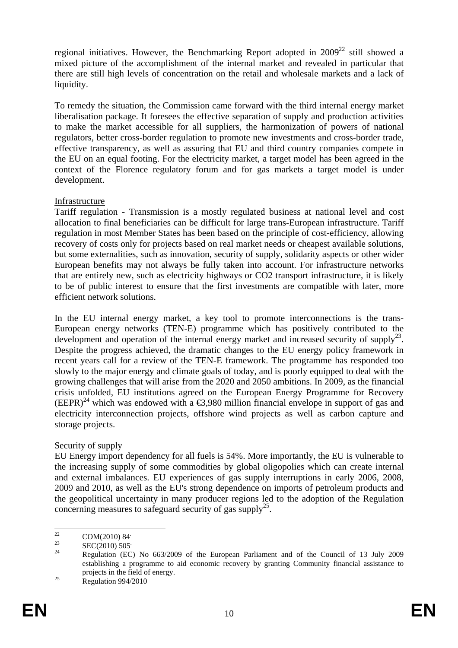regional initiatives. However, the Benchmarking Report adopted in  $2009^{22}$  still showed a mixed picture of the accomplishment of the internal market and revealed in particular that there are still high levels of concentration on the retail and wholesale markets and a lack of liquidity.

To remedy the situation, the Commission came forward with the third internal energy market liberalisation package. It foresees the effective separation of supply and production activities to make the market accessible for all suppliers, the harmonization of powers of national regulators, better cross-border regulation to promote new investments and cross-border trade, effective transparency, as well as assuring that EU and third country companies compete in the EU on an equal footing. For the electricity market, a target model has been agreed in the context of the Florence regulatory forum and for gas markets a target model is under development.

## Infrastructure

Tariff regulation - Transmission is a mostly regulated business at national level and cost allocation to final beneficiaries can be difficult for large trans-European infrastructure. Tariff regulation in most Member States has been based on the principle of cost-efficiency, allowing recovery of costs only for projects based on real market needs or cheapest available solutions, but some externalities, such as innovation, security of supply, solidarity aspects or other wider European benefits may not always be fully taken into account. For infrastructure networks that are entirely new, such as electricity highways or CO2 transport infrastructure, it is likely to be of public interest to ensure that the first investments are compatible with later, more efficient network solutions.

In the EU internal energy market, a key tool to promote interconnections is the trans-European energy networks (TEN-E) programme which has positively contributed to the development and operation of the internal energy market and increased security of supply<sup>23</sup>. Despite the progress achieved, the dramatic changes to the EU energy policy framework in recent years call for a review of the TEN-E framework. The programme has responded too slowly to the major energy and climate goals of today, and is poorly equipped to deal with the growing challenges that will arise from the 2020 and 2050 ambitions. In 2009, as the financial crisis unfolded, EU institutions agreed on the European Energy Programme for Recovery  $(EEPR)^{24}$  which was endowed with a  $\bigoplus$ ,980 million financial envelope in support of gas and electricity interconnection projects, offshore wind projects as well as carbon capture and storage projects.

## Security of supply

EU Energy import dependency for all fuels is 54%. More importantly, the EU is vulnerable to the increasing supply of some commodities by global oligopolies which can create internal and external imbalances. EU experiences of gas supply interruptions in early 2006, 2008, 2009 and 2010, as well as the EU's strong dependence on imports of petroleum products and the geopolitical uncertainty in many producer regions led to the adoption of the Regulation concerning measures to safeguard security of gas supply<sup>25</sup>.

<sup>22</sup>  $\frac{22}{23}$  COM(2010) 84.

 $\sum_{24}^{23}$  SEC(2010) 505.

<sup>24</sup> Regulation (EC) No 663/2009 of the European Parliament and of the Council of 13 July 2009 establishing a programme to aid economic recovery by granting Community financial assistance to projects in the field of energy.<br>Regulation 994/2010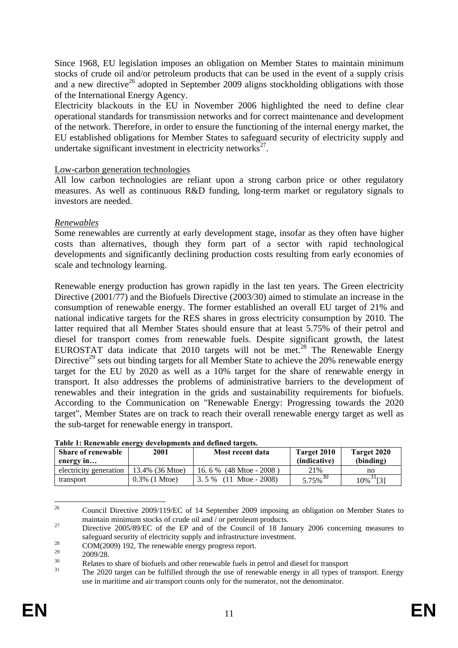Since 1968, EU legislation imposes an obligation on Member States to maintain minimum stocks of crude oil and/or petroleum products that can be used in the event of a supply crisis and a new directive<sup>26</sup> adopted in September 2009 aligns stockholding obligations with those of the International Energy Agency.

Electricity blackouts in the EU in November 2006 highlighted the need to define clear operational standards for transmission networks and for correct maintenance and development of the network. Therefore, in order to ensure the functioning of the internal energy market, the EU established obligations for Member States to safeguard security of electricity supply and undertake significant investment in electricity networks $27$ .

## Low-carbon generation technologies

All low carbon technologies are reliant upon a strong carbon price or other regulatory measures. As well as continuous R&D funding, long-term market or regulatory signals to investors are needed.

## *Renewables*

Some renewables are currently at early development stage, insofar as they often have higher costs than alternatives, though they form part of a sector with rapid technological developments and significantly declining production costs resulting from early economies of scale and technology learning.

Renewable energy production has grown rapidly in the last ten years. The Green electricity Directive (2001/77) and the Biofuels Directive (2003/30) aimed to stimulate an increase in the consumption of renewable energy. The former established an overall EU target of 21% and national indicative targets for the RES shares in gross electricity consumption by 2010. The latter required that all Member States should ensure that at least 5.75% of their petrol and diesel for transport comes from renewable fuels. Despite significant growth, the latest EUROSTAT data indicate that 2010 targets will not be met.<sup>28</sup> The Renewable Energy Directive<sup>29</sup> sets out binding targets for all Member State to achieve the 20% renewable energy target for the EU by 2020 as well as a 10% target for the share of renewable energy in transport. It also addresses the problems of administrative barriers to the development of renewables and their integration in the grids and sustainability requirements for biofuels. According to the Communication on "Renewable Energy: Progressing towards the 2020 target", Member States are on track to reach their overall renewable energy target as well as the sub-target for renewable energy in transport.

| <b>Share of renewable</b><br>energy in | 2001             | Most recent data          | Target 2010<br>(indicative) | Target 2020<br>(binding) |
|----------------------------------------|------------------|---------------------------|-----------------------------|--------------------------|
| electricity generation                 | 13.4% (36 Mtoe)  | 16.6 % $(48$ Mtoe - 2008) | 21%                         | no                       |
| transport                              | $0.3\%$ (1 Mtoe) | $3.5\%$ (11 Mtoe - 2008)  | $5.75\%$ <sup>30</sup>      | $10\%$ <sup>31</sup> [3] |

**Table 1: Renewable energy developments and defined targets.** 

<sup>26</sup> 26 Council Directive 2009/119/EC of 14 September 2009 imposing an obligation on Member States to maintain minimum stocks of crude oil and / or petroleum products.<br><sup>27</sup> Directive 2005/89/EC of the EP and of the Council of 18 January 2006 concerning measures to

safeguard security of electricity supply and infrastructure investment.<br>
COM(2009) 192, The renewable energy progress report.<br>
29 2000/29

<sup>&</sup>lt;sup>29</sup> 2009/28.<br><sup>30</sup> Relates to share of biofuels and other renewable fuels in petrol and diesel for transport<br><sup>31</sup> The 2020 target can be fulfilled through the use of renewable energy in all types of transport. Energy use in maritime and air transport counts only for the numerator, not the denominator.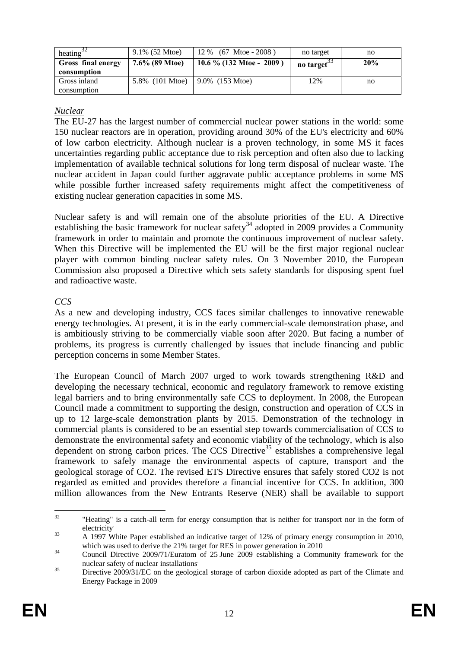| heating <sup>32</sup>             | $9.1\%$ (52 Mtoe) | $12\%$ (67 Mtoe - 2008)     | no target | no  |
|-----------------------------------|-------------------|-----------------------------|-----------|-----|
| Gross final energy<br>consumption | $7.6\%$ (89 Mtoe) | 10.6 $\%$ (132 Mtoe - 2009) | no target | 20% |
| Gross inland                      | 5.8% (101 Mtoe)   | 9.0% (153 Mtoe)             | 12%       | no  |
| consumption                       |                   |                             |           |     |

## *Nuclear*

The EU-27 has the largest number of commercial nuclear power stations in the world: some 150 nuclear reactors are in operation, providing around 30% of the EU's electricity and 60% of low carbon electricity. Although nuclear is a proven technology, in some MS it faces uncertainties regarding public acceptance due to risk perception and often also due to lacking implementation of available technical solutions for long term disposal of nuclear waste. The nuclear accident in Japan could further aggravate public acceptance problems in some MS while possible further increased safety requirements might affect the competitiveness of existing nuclear generation capacities in some MS.

Nuclear safety is and will remain one of the absolute priorities of the EU. A Directive establishing the basic framework for nuclear safety<sup>34</sup> adopted in 2009 provides a Community framework in order to maintain and promote the continuous improvement of nuclear safety. When this Directive will be implemented the EU will be the first major regional nuclear player with common binding nuclear safety rules. On 3 November 2010, the European Commission also proposed a Directive which sets safety standards for disposing spent fuel and radioactive waste.

## *CCS*

As a new and developing industry, CCS faces similar challenges to innovative renewable energy technologies. At present, it is in the early commercial-scale demonstration phase, and is ambitiously striving to be commercially viable soon after 2020. But facing a number of problems, its progress is currently challenged by issues that include financing and public perception concerns in some Member States.

The European Council of March 2007 urged to work towards strengthening R&D and developing the necessary technical, economic and regulatory framework to remove existing legal barriers and to bring environmentally safe CCS to deployment. In 2008, the European Council made a commitment to supporting the design, construction and operation of CCS in up to 12 large-scale demonstration plants by 2015. Demonstration of the technology in commercial plants is considered to be an essential step towards commercialisation of CCS to demonstrate the environmental safety and economic viability of the technology, which is also dependent on strong carbon prices. The CCS Directive<sup>35</sup> establishes a comprehensive legal framework to safely manage the environmental aspects of capture, transport and the geological storage of CO2. The revised ETS Directive ensures that safely stored CO2 is not regarded as emitted and provides therefore a financial incentive for CCS. In addition, 300 million allowances from the New Entrants Reserve (NER) shall be available to support

 $32$ "Heating" is a catch-all term for energy consumption that is neither for transport nor in the form of electricity.

<sup>&</sup>lt;sup>33</sup> A 1997 White Paper established an indicative target of 12% of primary energy consumption in 2010, which was used to derive the 21% target for RES in power generation in 2010<br>Council Directive 2009/71/Euratom of 25 June 2009 establishing a Community framework for the

nuclear safety of nuclear installations.

<sup>&</sup>lt;sup>35</sup> Directive 2009/31/EC on the geological storage of carbon dioxide adopted as part of the Climate and Energy Package in 2009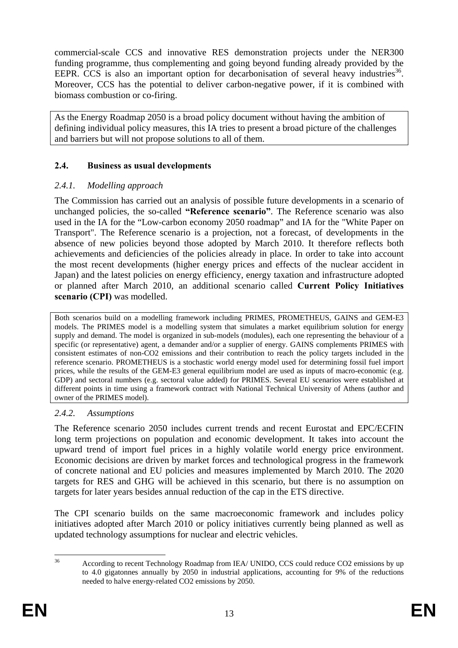commercial-scale CCS and innovative RES demonstration projects under the NER300 funding programme, thus complementing and going beyond funding already provided by the EEPR. CCS is also an important option for decarbonisation of several heavy industries<sup>36</sup>. Moreover, CCS has the potential to deliver carbon-negative power, if it is combined with biomass combustion or co-firing.

As the Energy Roadmap 2050 is a broad policy document without having the ambition of defining individual policy measures, this IA tries to present a broad picture of the challenges and barriers but will not propose solutions to all of them.

## <span id="page-13-0"></span>**2.4. Business as usual developments**

## <span id="page-13-1"></span>*2.4.1. Modelling approach*

The Commission has carried out an analysis of possible future developments in a scenario of unchanged policies, the so-called **"Reference scenario"**. The Reference scenario was also used in the IA for the "Low-carbon economy 2050 roadmap" and IA for the "White Paper on Transport". The Reference scenario is a projection, not a forecast, of developments in the absence of new policies beyond those adopted by March 2010. It therefore reflects both achievements and deficiencies of the policies already in place. In order to take into account the most recent developments (higher energy prices and effects of the nuclear accident in Japan) and the latest policies on energy efficiency, energy taxation and infrastructure adopted or planned after March 2010, an additional scenario called **Current Policy Initiatives scenario (CPI)** was modelled.

Both scenarios build on a modelling framework including PRIMES, PROMETHEUS, GAINS and GEM-E3 models. The PRIMES model is a modelling system that simulates a market equilibrium solution for energy supply and demand. The model is organized in sub-models (modules), each one representing the behaviour of a specific (or representative) agent, a demander and/or a supplier of energy. GAINS complements PRIMES with consistent estimates of non-CO2 emissions and their contribution to reach the policy targets included in the reference scenario. PROMETHEUS is a stochastic world energy model used for determining fossil fuel import prices, while the results of the GEM-E3 general equilibrium model are used as inputs of macro-economic (e.g. GDP) and sectoral numbers (e.g. sectoral value added) for PRIMES. Several EU scenarios were established at different points in time using a framework contract with National Technical University of Athens (author and owner of the PRIMES model).

#### <span id="page-13-2"></span>*2.4.2. Assumptions*

The Reference scenario 2050 includes current trends and recent Eurostat and EPC/ECFIN long term projections on population and economic development. It takes into account the upward trend of import fuel prices in a highly volatile world energy price environment. Economic decisions are driven by market forces and technological progress in the framework of concrete national and EU policies and measures implemented by March 2010. The 2020 targets for RES and GHG will be achieved in this scenario, but there is no assumption on targets for later years besides annual reduction of the cap in the ETS directive.

The CPI scenario builds on the same macroeconomic framework and includes policy initiatives adopted after March 2010 or policy initiatives currently being planned as well as updated technology assumptions for nuclear and electric vehicles.

 $36^{\circ}$ 

<sup>36</sup> According to recent Technology Roadmap from IEA/ UNIDO, CCS could reduce CO2 emissions by up to 4.0 gigatonnes annually by 2050 in industrial applications, accounting for 9% of the reductions needed to halve energy-related CO2 emissions by 2050.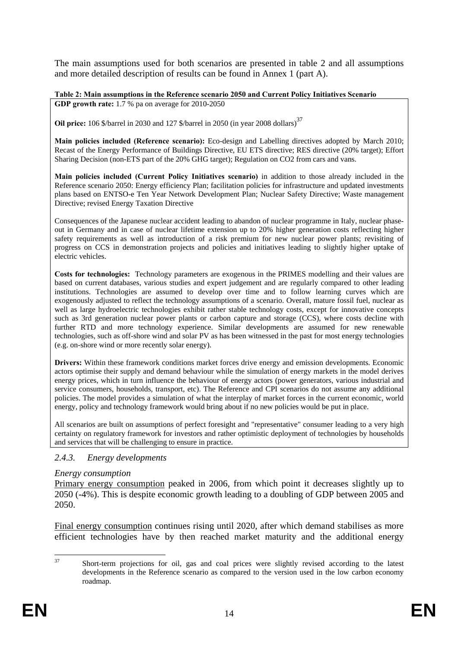The main assumptions used for both scenarios are presented in table 2 and all assumptions and more detailed description of results can be found in Annex 1 (part A).

**Table 2: Main assumptions in the Reference scenario 2050 and Current Policy Initiatives Scenario** 

**GDP growth rate:** 1.7 % pa on average for 2010-2050

**Oil price:** 106 \$/barrel in 2030 and 127 \$/barrel in 2050 (in year 2008 dollars)<sup>37</sup>

**Main policies included (Reference scenario):** Eco-design and Labelling directives adopted by March 2010; Recast of the Energy Performance of Buildings Directive, EU ETS directive; RES directive (20% target); Effort Sharing Decision (non-ETS part of the 20% GHG target); Regulation on CO2 from cars and vans.

**Main policies included (Current Policy Initiatives scenario)** in addition to those already included in the Reference scenario 2050: Energy efficiency Plan; facilitation policies for infrastructure and updated investments plans based on ENTSO-e Ten Year Network Development Plan; Nuclear Safety Directive; Waste management Directive; revised Energy Taxation Directive

Consequences of the Japanese nuclear accident leading to abandon of nuclear programme in Italy, nuclear phaseout in Germany and in case of nuclear lifetime extension up to 20% higher generation costs reflecting higher safety requirements as well as introduction of a risk premium for new nuclear power plants; revisiting of progress on CCS in demonstration projects and policies and initiatives leading to slightly higher uptake of electric vehicles.

**Costs for technologies:** Technology parameters are exogenous in the PRIMES modelling and their values are based on current databases, various studies and expert judgement and are regularly compared to other leading institutions. Technologies are assumed to develop over time and to follow learning curves which are exogenously adjusted to reflect the technology assumptions of a scenario. Overall, mature fossil fuel, nuclear as well as large hydroelectric technologies exhibit rather stable technology costs, except for innovative concepts such as 3rd generation nuclear power plants or carbon capture and storage (CCS), where costs decline with further RTD and more technology experience. Similar developments are assumed for new renewable technologies, such as off-shore wind and solar PV as has been witnessed in the past for most energy technologies (e.g. on-shore wind or more recently solar energy).

**Drivers:** Within these framework conditions market forces drive energy and emission developments. Economic actors optimise their supply and demand behaviour while the simulation of energy markets in the model derives energy prices, which in turn influence the behaviour of energy actors (power generators, various industrial and service consumers, households, transport, etc). The Reference and CPI scenarios do not assume any additional policies. The model provides a simulation of what the interplay of market forces in the current economic, world energy, policy and technology framework would bring about if no new policies would be put in place.

All scenarios are built on assumptions of perfect foresight and "representative" consumer leading to a very high certainty on regulatory framework for investors and rather optimistic deployment of technologies by households and services that will be challenging to ensure in practice.

#### <span id="page-14-0"></span>*2.4.3. Energy developments*

#### *Energy consumption*

Primary energy consumption peaked in 2006, from which point it decreases slightly up to 2050 (-4%). This is despite economic growth leading to a doubling of GDP between 2005 and 2050.

Final energy consumption continues rising until 2020, after which demand stabilises as more efficient technologies have by then reached market maturity and the additional energy

 $37$ 37 Short-term projections for oil, gas and coal prices were slightly revised according to the latest developments in the Reference scenario as compared to the version used in the low carbon economy roadmap.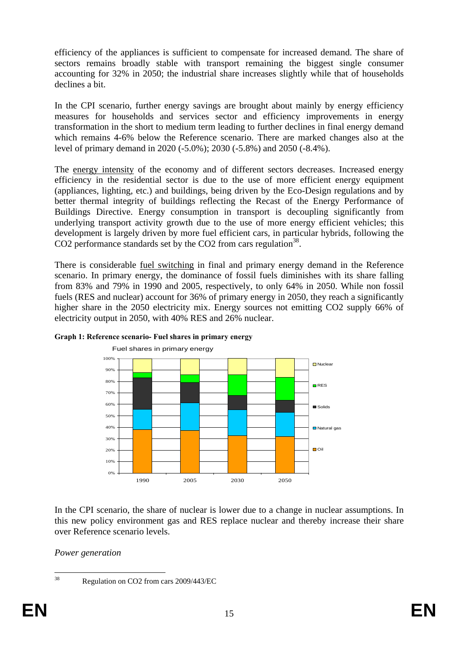efficiency of the appliances is sufficient to compensate for increased demand. The share of sectors remains broadly stable with transport remaining the biggest single consumer accounting for 32% in 2050; the industrial share increases slightly while that of households declines a bit.

In the CPI scenario, further energy savings are brought about mainly by energy efficiency measures for households and services sector and efficiency improvements in energy transformation in the short to medium term leading to further declines in final energy demand which remains 4-6% below the Reference scenario. There are marked changes also at the level of primary demand in 2020 (-5.0%); 2030 (-5.8%) and 2050 (-8.4%).

The energy intensity of the economy and of different sectors decreases. Increased energy efficiency in the residential sector is due to the use of more efficient energy equipment (appliances, lighting, etc.) and buildings, being driven by the Eco-Design regulations and by better thermal integrity of buildings reflecting the Recast of the Energy Performance of Buildings Directive. Energy consumption in transport is decoupling significantly from underlying transport activity growth due to the use of more energy efficient vehicles; this development is largely driven by more fuel efficient cars, in particular hybrids, following the CO2 performance standards set by the CO2 from cars regulation<sup>38</sup>.

There is considerable fuel switching in final and primary energy demand in the Reference scenario. In primary energy, the dominance of fossil fuels diminishes with its share falling from 83% and 79% in 1990 and 2005, respectively, to only 64% in 2050. While non fossil fuels (RES and nuclear) account for 36% of primary energy in 2050, they reach a significantly higher share in the 2050 electricity mix. Energy sources not emitting CO2 supply 66% of electricity output in 2050, with 40% RES and 26% nuclear.



#### **Graph 1: Reference scenario- Fuel shares in primary energy**

In the CPI scenario, the share of nuclear is lower due to a change in nuclear assumptions. In this new policy environment gas and RES replace nuclear and thereby increase their share over Reference scenario levels.

*Power generation* 

<sup>38</sup> 

Regulation on CO2 from cars 2009/443/EC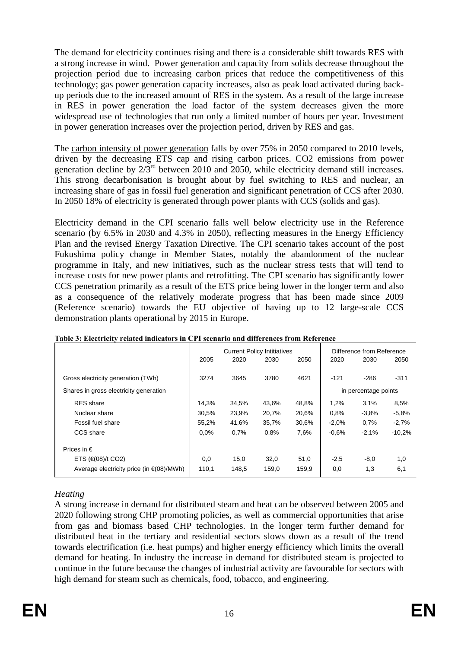The demand for electricity continues rising and there is a considerable shift towards RES with a strong increase in wind. Power generation and capacity from solids decrease throughout the projection period due to increasing carbon prices that reduce the competitiveness of this technology; gas power generation capacity increases, also as peak load activated during backup periods due to the increased amount of RES in the system. As a result of the large increase in RES in power generation the load factor of the system decreases given the more widespread use of technologies that run only a limited number of hours per year. Investment in power generation increases over the projection period, driven by RES and gas.

The carbon intensity of power generation falls by over 75% in 2050 compared to 2010 levels, driven by the decreasing ETS cap and rising carbon prices. CO2 emissions from power generation decline by  $2/\overline{3}^{rd}$  between 2010 and 2050, while electricity demand still increases. This strong decarbonisation is brought about by fuel switching to RES and nuclear, an increasing share of gas in fossil fuel generation and significant penetration of CCS after 2030. In 2050 18% of electricity is generated through power plants with CCS (solids and gas).

Electricity demand in the CPI scenario falls well below electricity use in the Reference scenario (by 6.5% in 2030 and 4.3% in 2050), reflecting measures in the Energy Efficiency Plan and the revised Energy Taxation Directive. The CPI scenario takes account of the post Fukushima policy change in Member States, notably the abandonment of the nuclear programme in Italy, and new initiatives, such as the nuclear stress tests that will tend to increase costs for new power plants and retrofitting. The CPI scenario has significantly lower CCS penetration primarily as a result of the ETS price being lower in the longer term and also as a consequence of the relatively moderate progress that has been made since 2009 (Reference scenario) towards the EU objective of having up to 12 large-scale CCS demonstration plants operational by 2015 in Europe.

|                                                |       |       | <b>Current Policy Intitiatives</b> |       |         | Difference from Reference |          |
|------------------------------------------------|-------|-------|------------------------------------|-------|---------|---------------------------|----------|
|                                                | 2005  | 2020  | 2030                               | 2050  | 2020    | 2030                      | 2050     |
| Gross electricity generation (TWh)             | 3274  | 3645  | 3780                               | 4621  | $-121$  | $-286$                    | $-311$   |
| Shares in gross electricity generation         |       |       |                                    |       |         | in percentage points      |          |
| <b>RES</b> share                               | 14,3% | 34,5% | 43,6%                              | 48,8% | 1,2%    | 3,1%                      | 8,5%     |
| Nuclear share                                  | 30,5% | 23,9% | 20,7%                              | 20,6% | 0.8%    | $-3.8%$                   | $-5.8%$  |
| Fossil fuel share                              | 55,2% | 41,6% | 35,7%                              | 30,6% | $-2,0%$ | 0.7%                      | $-2,7%$  |
| CCS share                                      | 0.0%  | 0.7%  | 0.8%                               | 7,6%  | $-0.6%$ | $-2,1%$                   | $-10.2%$ |
| Prices in $\epsilon$                           |       |       |                                    |       |         |                           |          |
| ETS $(€(08)/t$ CO2)                            | 0,0   | 15,0  | 32,0                               | 51,0  | $-2,5$  | $-8,0$                    | 1,0      |
| Average electricity price (in $\in (08)/MWh$ ) | 110.1 | 148.5 | 159,0                              | 159,9 | 0,0     | 1,3                       | 6,1      |

| Table 3: Electricity related indicators in CPI scenario and differences from Reference |
|----------------------------------------------------------------------------------------|
|----------------------------------------------------------------------------------------|

## *Heating*

A strong increase in demand for distributed steam and heat can be observed between 2005 and 2020 following strong CHP promoting policies, as well as commercial opportunities that arise from gas and biomass based CHP technologies. In the longer term further demand for distributed heat in the tertiary and residential sectors slows down as a result of the trend towards electrification (i.e. heat pumps) and higher energy efficiency which limits the overall demand for heating. In industry the increase in demand for distributed steam is projected to continue in the future because the changes of industrial activity are favourable for sectors with high demand for steam such as chemicals, food, tobacco, and engineering.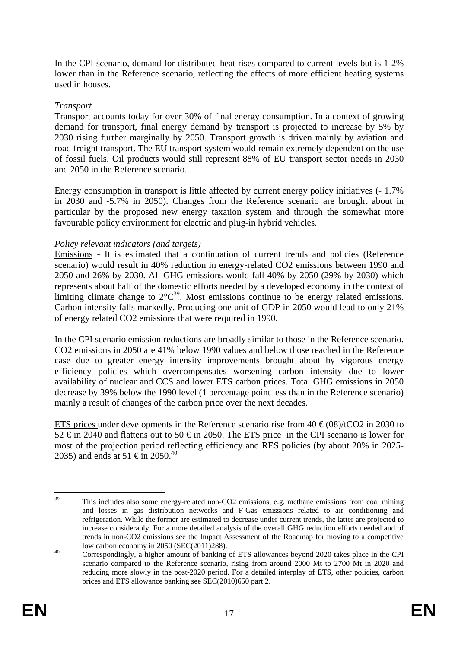In the CPI scenario, demand for distributed heat rises compared to current levels but is 1-2% lower than in the Reference scenario, reflecting the effects of more efficient heating systems used in houses.

#### *Transport*

Transport accounts today for over 30% of final energy consumption. In a context of growing demand for transport, final energy demand by transport is projected to increase by 5% by 2030 rising further marginally by 2050. Transport growth is driven mainly by aviation and road freight transport. The EU transport system would remain extremely dependent on the use of fossil fuels. Oil products would still represent 88% of EU transport sector needs in 2030 and 2050 in the Reference scenario.

Energy consumption in transport is little affected by current energy policy initiatives (- 1.7% in 2030 and -5.7% in 2050). Changes from the Reference scenario are brought about in particular by the proposed new energy taxation system and through the somewhat more favourable policy environment for electric and plug-in hybrid vehicles.

## *Policy relevant indicators (and targets)*

Emissions - It is estimated that a continuation of current trends and policies (Reference scenario) would result in 40% reduction in energy-related CO2 emissions between 1990 and 2050 and 26% by 2030. All GHG emissions would fall 40% by 2050 (29% by 2030) which represents about half of the domestic efforts needed by a developed economy in the context of limiting climate change to  $2^{\circ}C^{39}$ . Most emissions continue to be energy related emissions. Carbon intensity falls markedly. Producing one unit of GDP in 2050 would lead to only 21% of energy related CO2 emissions that were required in 1990.

In the CPI scenario emission reductions are broadly similar to those in the Reference scenario. CO2 emissions in 2050 are 41% below 1990 values and below those reached in the Reference case due to greater energy intensity improvements brought about by vigorous energy efficiency policies which overcompensates worsening carbon intensity due to lower availability of nuclear and CCS and lower ETS carbon prices. Total GHG emissions in 2050 decrease by 39% below the 1990 level (1 percentage point less than in the Reference scenario) mainly a result of changes of the carbon price over the next decades.

ETS prices under developments in the Reference scenario rise from  $40 \text{ } \in (08)/tCO2$  in 2030 to 52 € in 2040 and flattens out to 50 € in 2050. The ETS price in the CPI scenario is lower for most of the projection period reflecting efficiency and RES policies (by about 20% in 2025- 2035) and ends at 51 € in 2050.<sup>40</sup>

<sup>39</sup> This includes also some energy-related non-CO2 emissions, e.g. methane emissions from coal mining and losses in gas distribution networks and F-Gas emissions related to air conditioning and refrigeration. While the former are estimated to decrease under current trends, the latter are projected to increase considerably. For a more detailed analysis of the overall GHG reduction efforts needed and of trends in non-CO2 emissions see the Impact Assessment of the Roadmap for moving to a competitive

low carbon economy in 2050 (SEC(2011)288).<br>
Correspondingly, a higher amount of banking of ETS allowances beyond 2020 takes place in the CPI scenario compared to the Reference scenario, rising from around 2000 Mt to 2700 Mt in 2020 and reducing more slowly in the post-2020 period. For a detailed interplay of ETS, other policies, carbon prices and ETS allowance banking see SEC(2010)650 part 2.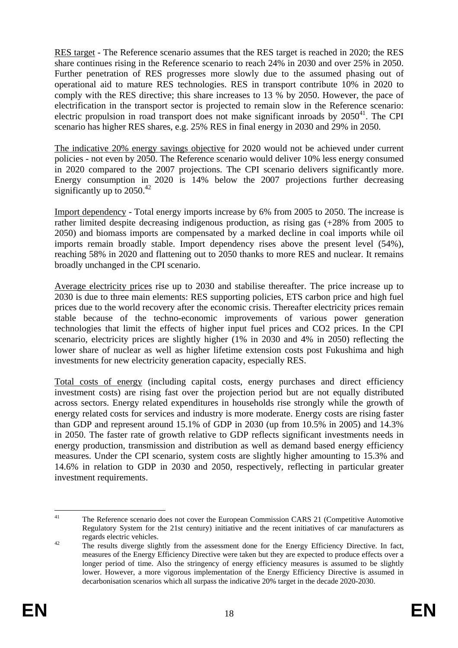RES target - The Reference scenario assumes that the RES target is reached in 2020; the RES share continues rising in the Reference scenario to reach 24% in 2030 and over 25% in 2050. Further penetration of RES progresses more slowly due to the assumed phasing out of operational aid to mature RES technologies. RES in transport contribute 10% in 2020 to comply with the RES directive; this share increases to 13 % by 2050. However, the pace of electrification in the transport sector is projected to remain slow in the Reference scenario: electric propulsion in road transport does not make significant inroads by  $2050^{41}$ . The CPI scenario has higher RES shares, e.g. 25% RES in final energy in 2030 and 29% in 2050.

The indicative 20% energy savings objective for 2020 would not be achieved under current policies - not even by 2050. The Reference scenario would deliver 10% less energy consumed in 2020 compared to the 2007 projections. The CPI scenario delivers significantly more. Energy consumption in 2020 is 14% below the 2007 projections further decreasing significantly up to 2050.<sup>42</sup>

Import dependency - Total energy imports increase by 6% from 2005 to 2050. The increase is rather limited despite decreasing indigenous production, as rising gas (+28% from 2005 to 2050) and biomass imports are compensated by a marked decline in coal imports while oil imports remain broadly stable. Import dependency rises above the present level (54%), reaching 58% in 2020 and flattening out to 2050 thanks to more RES and nuclear. It remains broadly unchanged in the CPI scenario.

Average electricity prices rise up to 2030 and stabilise thereafter. The price increase up to 2030 is due to three main elements: RES supporting policies, ETS carbon price and high fuel prices due to the world recovery after the economic crisis. Thereafter electricity prices remain stable because of the techno-economic improvements of various power generation technologies that limit the effects of higher input fuel prices and CO2 prices. In the CPI scenario, electricity prices are slightly higher (1% in 2030 and 4% in 2050) reflecting the lower share of nuclear as well as higher lifetime extension costs post Fukushima and high investments for new electricity generation capacity, especially RES.

Total costs of energy (including capital costs, energy purchases and direct efficiency investment costs) are rising fast over the projection period but are not equally distributed across sectors. Energy related expenditures in households rise strongly while the growth of energy related costs for services and industry is more moderate. Energy costs are rising faster than GDP and represent around 15.1% of GDP in 2030 (up from 10.5% in 2005) and 14.3% in 2050. The faster rate of growth relative to GDP reflects significant investments needs in energy production, transmission and distribution as well as demand based energy efficiency measures. Under the CPI scenario, system costs are slightly higher amounting to 15.3% and 14.6% in relation to GDP in 2030 and 2050, respectively, reflecting in particular greater investment requirements.

 $41$ 41 The Reference scenario does not cover the European Commission CARS 21 (Competitive Automotive Regulatory System for the 21st century) initiative and the recent initiatives of car manufacturers as regards electric vehicles.

<sup>&</sup>lt;sup>42</sup> The results diverge slightly from the assessment done for the Energy Efficiency Directive. In fact, measures of the Energy Efficiency Directive were taken but they are expected to produce effects over a longer period of time. Also the stringency of energy efficiency measures is assumed to be slightly lower. However, a more vigorous implementation of the Energy Efficiency Directive is assumed in decarbonisation scenarios which all surpass the indicative 20% target in the decade 2020-2030.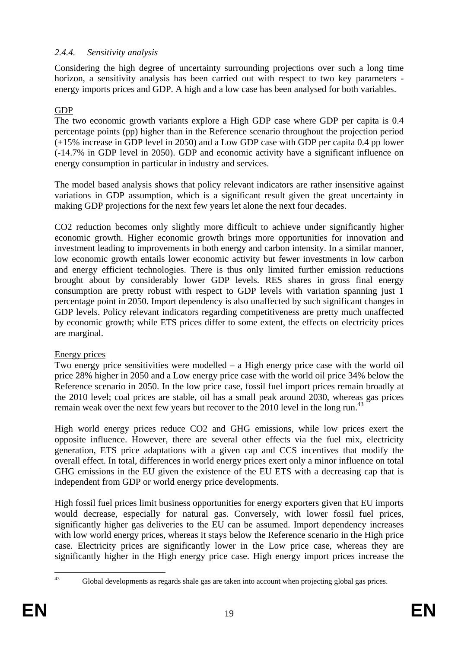## <span id="page-19-0"></span>*2.4.4. Sensitivity analysis*

Considering the high degree of uncertainty surrounding projections over such a long time horizon, a sensitivity analysis has been carried out with respect to two key parameters energy imports prices and GDP. A high and a low case has been analysed for both variables.

## GDP

The two economic growth variants explore a High GDP case where GDP per capita is 0.4 percentage points (pp) higher than in the Reference scenario throughout the projection period (+15% increase in GDP level in 2050) and a Low GDP case with GDP per capita 0.4 pp lower (-14.7% in GDP level in 2050). GDP and economic activity have a significant influence on energy consumption in particular in industry and services.

The model based analysis shows that policy relevant indicators are rather insensitive against variations in GDP assumption, which is a significant result given the great uncertainty in making GDP projections for the next few years let alone the next four decades.

CO2 reduction becomes only slightly more difficult to achieve under significantly higher economic growth. Higher economic growth brings more opportunities for innovation and investment leading to improvements in both energy and carbon intensity. In a similar manner, low economic growth entails lower economic activity but fewer investments in low carbon and energy efficient technologies. There is thus only limited further emission reductions brought about by considerably lower GDP levels. RES shares in gross final energy consumption are pretty robust with respect to GDP levels with variation spanning just 1 percentage point in 2050. Import dependency is also unaffected by such significant changes in GDP levels. Policy relevant indicators regarding competitiveness are pretty much unaffected by economic growth; while ETS prices differ to some extent, the effects on electricity prices are marginal.

## Energy prices

Two energy price sensitivities were modelled – a High energy price case with the world oil price 28% higher in 2050 and a Low energy price case with the world oil price 34% below the Reference scenario in 2050. In the low price case, fossil fuel import prices remain broadly at the 2010 level; coal prices are stable, oil has a small peak around 2030, whereas gas prices remain weak over the next few years but recover to the 2010 level in the long run.<sup>43</sup>

High world energy prices reduce CO2 and GHG emissions, while low prices exert the opposite influence. However, there are several other effects via the fuel mix, electricity generation, ETS price adaptations with a given cap and CCS incentives that modify the overall effect. In total, differences in world energy prices exert only a minor influence on total GHG emissions in the EU given the existence of the EU ETS with a decreasing cap that is independent from GDP or world energy price developments.

High fossil fuel prices limit business opportunities for energy exporters given that EU imports would decrease, especially for natural gas. Conversely, with lower fossil fuel prices, significantly higher gas deliveries to the EU can be assumed. Import dependency increases with low world energy prices, whereas it stays below the Reference scenario in the High price case. Electricity prices are significantly lower in the Low price case, whereas they are significantly higher in the High energy price case. High energy import prices increase the

 $43$ 

Global developments as regards shale gas are taken into account when projecting global gas prices.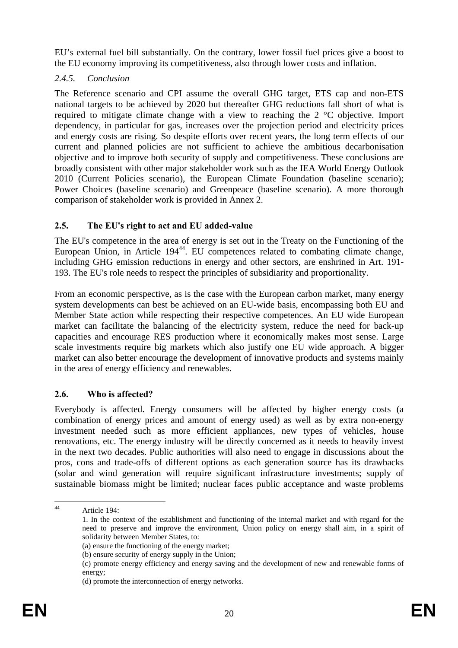EU's external fuel bill substantially. On the contrary, lower fossil fuel prices give a boost to the EU economy improving its competitiveness, also through lower costs and inflation.

## <span id="page-20-0"></span>*2.4.5. Conclusion*

The Reference scenario and CPI assume the overall GHG target, ETS cap and non-ETS national targets to be achieved by 2020 but thereafter GHG reductions fall short of what is required to mitigate climate change with a view to reaching the 2 °C objective. Import dependency, in particular for gas, increases over the projection period and electricity prices and energy costs are rising. So despite efforts over recent years, the long term effects of our current and planned policies are not sufficient to achieve the ambitious decarbonisation objective and to improve both security of supply and competitiveness. These conclusions are broadly consistent with other major stakeholder work such as the IEA World Energy Outlook 2010 (Current Policies scenario), the European Climate Foundation (baseline scenario); Power Choices (baseline scenario) and Greenpeace (baseline scenario). A more thorough comparison of stakeholder work is provided in Annex 2.

## <span id="page-20-1"></span>**2.5. The EU's right to act and EU added-value**

The EU's competence in the area of energy is set out in the Treaty on the Functioning of the European Union, in Article 194<sup>44</sup>. EU competences related to combating climate change, including GHG emission reductions in energy and other sectors, are enshrined in Art. 191- 193. The EU's role needs to respect the principles of subsidiarity and proportionality.

From an economic perspective, as is the case with the European carbon market, many energy system developments can best be achieved on an EU-wide basis, encompassing both EU and Member State action while respecting their respective competences. An EU wide European market can facilitate the balancing of the electricity system, reduce the need for back-up capacities and encourage RES production where it economically makes most sense. Large scale investments require big markets which also justify one EU wide approach. A bigger market can also better encourage the development of innovative products and systems mainly in the area of energy efficiency and renewables.

## <span id="page-20-2"></span>**2.6. Who is affected?**

Everybody is affected. Energy consumers will be affected by higher energy costs (a combination of energy prices and amount of energy used) as well as by extra non-energy investment needed such as more efficient appliances, new types of vehicles, house renovations, etc. The energy industry will be directly concerned as it needs to heavily invest in the next two decades. Public authorities will also need to engage in discussions about the pros, cons and trade-offs of different options as each generation source has its drawbacks (solar and wind generation will require significant infrastructure investments; supply of sustainable biomass might be limited; nuclear faces public acceptance and waste problems

 $44$ Article 194:

<sup>1.</sup> In the context of the establishment and functioning of the internal market and with regard for the need to preserve and improve the environment, Union policy on energy shall aim, in a spirit of solidarity between Member States, to:

<sup>(</sup>a) ensure the functioning of the energy market;

<sup>(</sup>b) ensure security of energy supply in the Union;

<sup>(</sup>c) promote energy efficiency and energy saving and the development of new and renewable forms of energy;

<sup>(</sup>d) promote the interconnection of energy networks.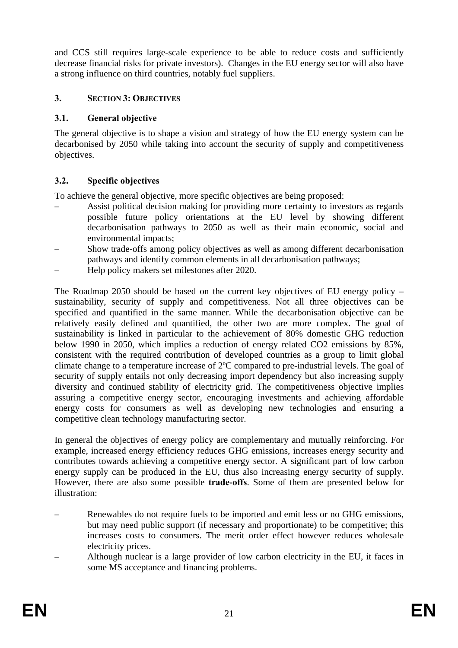and CCS still requires large-scale experience to be able to reduce costs and sufficiently decrease financial risks for private investors). Changes in the EU energy sector will also have a strong influence on third countries, notably fuel suppliers.

## <span id="page-21-1"></span><span id="page-21-0"></span>**3. SECTION 3: OBJECTIVES**

## **3.1. General objective**

The general objective is to shape a vision and strategy of how the EU energy system can be decarbonised by 2050 while taking into account the security of supply and competitiveness objectives.

## <span id="page-21-2"></span>**3.2. Specific objectives**

To achieve the general objective, more specific objectives are being proposed:

- Assist political decision making for providing more certainty to investors as regards possible future policy orientations at the EU level by showing different decarbonisation pathways to 2050 as well as their main economic, social and environmental impacts;
- Show trade-offs among policy objectives as well as among different decarbonisation pathways and identify common elements in all decarbonisation pathways;
- Help policy makers set milestones after 2020.

The Roadmap 2050 should be based on the current key objectives of EU energy policy – sustainability, security of supply and competitiveness. Not all three objectives can be specified and quantified in the same manner. While the decarbonisation objective can be relatively easily defined and quantified, the other two are more complex. The goal of sustainability is linked in particular to the achievement of 80% domestic GHG reduction below 1990 in 2050, which implies a reduction of energy related CO2 emissions by 85%, consistent with the required contribution of developed countries as a group to limit global climate change to a temperature increase of 2ºC compared to pre-industrial levels. The goal of security of supply entails not only decreasing import dependency but also increasing supply diversity and continued stability of electricity grid. The competitiveness objective implies assuring a competitive energy sector, encouraging investments and achieving affordable energy costs for consumers as well as developing new technologies and ensuring a competitive clean technology manufacturing sector.

In general the objectives of energy policy are complementary and mutually reinforcing. For example, increased energy efficiency reduces GHG emissions, increases energy security and contributes towards achieving a competitive energy sector. A significant part of low carbon energy supply can be produced in the EU, thus also increasing energy security of supply. However, there are also some possible **trade-offs**. Some of them are presented below for illustration:

- Renewables do not require fuels to be imported and emit less or no GHG emissions, but may need public support (if necessary and proportionate) to be competitive; this increases costs to consumers. The merit order effect however reduces wholesale electricity prices.
- Although nuclear is a large provider of low carbon electricity in the EU, it faces in some MS acceptance and financing problems.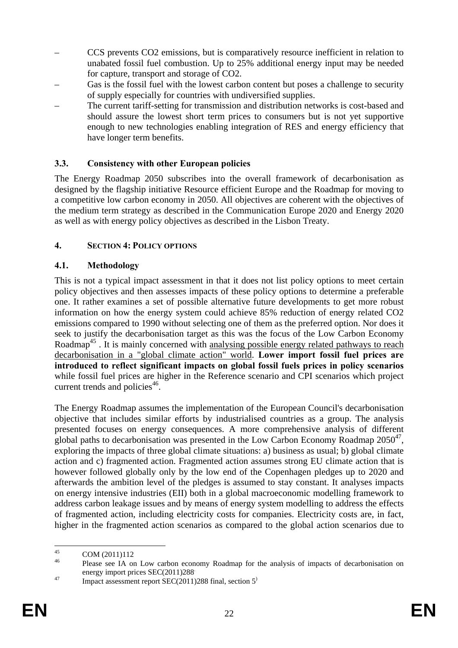- CCS prevents CO2 emissions, but is comparatively resource inefficient in relation to unabated fossil fuel combustion. Up to 25% additional energy input may be needed for capture, transport and storage of CO2.
- Gas is the fossil fuel with the lowest carbon content but poses a challenge to security of supply especially for countries with undiversified supplies.
- The current tariff-setting for transmission and distribution networks is cost-based and should assure the lowest short term prices to consumers but is not yet supportive enough to new technologies enabling integration of RES and energy efficiency that have longer term benefits.

## <span id="page-22-0"></span>**3.3. Consistency with other European policies**

The Energy Roadmap 2050 subscribes into the overall framework of decarbonisation as designed by the flagship initiative Resource efficient Europe and the Roadmap for moving to a competitive low carbon economy in 2050. All objectives are coherent with the objectives of the medium term strategy as described in the Communication Europe 2020 and Energy 2020 as well as with energy policy objectives as described in the Lisbon Treaty.

## <span id="page-22-1"></span>**4. SECTION 4: POLICY OPTIONS**

## <span id="page-22-2"></span>**4.1. Methodology**

This is not a typical impact assessment in that it does not list policy options to meet certain policy objectives and then assesses impacts of these policy options to determine a preferable one. It rather examines a set of possible alternative future developments to get more robust information on how the energy system could achieve 85% reduction of energy related CO2 emissions compared to 1990 without selecting one of them as the preferred option. Nor does it seek to justify the decarbonisation target as this was the focus of the Low Carbon Economy Roadmap<sup>45</sup>. It is mainly concerned with analysing possible energy related pathways to reach decarbonisation in a "global climate action" world. **Lower import fossil fuel prices are introduced to reflect significant impacts on global fossil fuels prices in policy scenarios** while fossil fuel prices are higher in the Reference scenario and CPI scenarios which project current trends and policies<sup>46</sup>.

The Energy Roadmap assumes the implementation of the European Council's decarbonisation objective that includes similar efforts by industrialised countries as a group. The analysis presented focuses on energy consequences. A more comprehensive analysis of different global paths to decarbonisation was presented in the Low Carbon Economy Roadmap  $2050^{47}$ , exploring the impacts of three global climate situations: a) business as usual; b) global climate action and c) fragmented action. Fragmented action assumes strong EU climate action that is however followed globally only by the low end of the Copenhagen pledges up to 2020 and afterwards the ambition level of the pledges is assumed to stay constant. It analyses impacts on energy intensive industries (EII) both in a global macroeconomic modelling framework to address carbon leakage issues and by means of energy system modelling to address the effects of fragmented action, including electricity costs for companies. Electricity costs are, in fact, higher in the fragmented action scenarios as compared to the global action scenarios due to

 $45$ 

 $^{45}$  COM (2011)112<br><sup>46</sup> Please see IA on Low carbon economy Roadmap for the analysis of impacts of decarbonisation on energy import prices SEC(2011)288.

 $\frac{47}{47}$  Impact assessment report SEC(2011)288 final, section 5<sup>)</sup>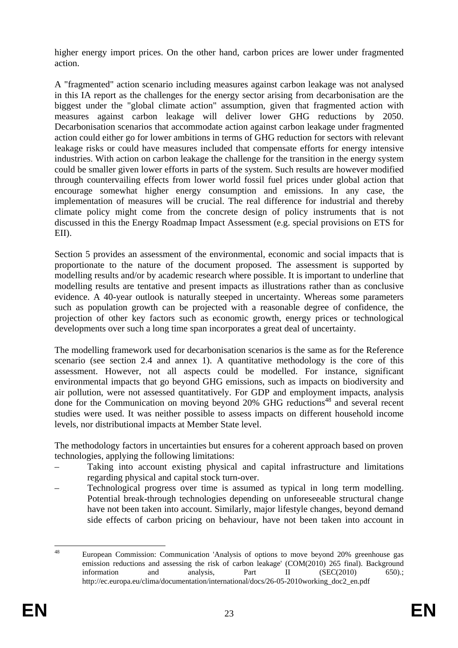higher energy import prices. On the other hand, carbon prices are lower under fragmented action.

A "fragmented" action scenario including measures against carbon leakage was not analysed in this IA report as the challenges for the energy sector arising from decarbonisation are the biggest under the "global climate action" assumption, given that fragmented action with measures against carbon leakage will deliver lower GHG reductions by 2050. Decarbonisation scenarios that accommodate action against carbon leakage under fragmented action could either go for lower ambitions in terms of GHG reduction for sectors with relevant leakage risks or could have measures included that compensate efforts for energy intensive industries. With action on carbon leakage the challenge for the transition in the energy system could be smaller given lower efforts in parts of the system. Such results are however modified through countervailing effects from lower world fossil fuel prices under global action that encourage somewhat higher energy consumption and emissions. In any case, the implementation of measures will be crucial. The real difference for industrial and thereby climate policy might come from the concrete design of policy instruments that is not discussed in this the Energy Roadmap Impact Assessment (e.g. special provisions on ETS for EII).

Section 5 provides an assessment of the environmental, economic and social impacts that is proportionate to the nature of the document proposed. The assessment is supported by modelling results and/or by academic research where possible. It is important to underline that modelling results are tentative and present impacts as illustrations rather than as conclusive evidence. A 40-year outlook is naturally steeped in uncertainty. Whereas some parameters such as population growth can be projected with a reasonable degree of confidence, the projection of other key factors such as economic growth, energy prices or technological developments over such a long time span incorporates a great deal of uncertainty.

The modelling framework used for decarbonisation scenarios is the same as for the Reference scenario (see section 2.4 and annex 1). A quantitative methodology is the core of this assessment. However, not all aspects could be modelled. For instance, significant environmental impacts that go beyond GHG emissions, such as impacts on biodiversity and air pollution, were not assessed quantitatively. For GDP and employment impacts, analysis done for the Communication on moving beyond 20% GHG reductions<sup>48</sup> and several recent studies were used. It was neither possible to assess impacts on different household income levels, nor distributional impacts at Member State level.

The methodology factors in uncertainties but ensures for a coherent approach based on proven technologies, applying the following limitations:

- Taking into account existing physical and capital infrastructure and limitations regarding physical and capital stock turn-over.
- Technological progress over time is assumed as typical in long term modelling. Potential break-through technologies depending on unforeseeable structural change have not been taken into account. Similarly, major lifestyle changes, beyond demand side effects of carbon pricing on behaviour, have not been taken into account in

 $\overline{48}$ 48 European Commission: Communication 'Analysis of options to move beyond 20% greenhouse gas emission reductions and assessing the risk of carbon leakage' (COM(2010) 265 final). Background information and analysis, Part II (SEC(2010) 650).; http://ec.europa.eu/clima/documentation/international/docs/26-05-2010working\_doc2\_en.pdf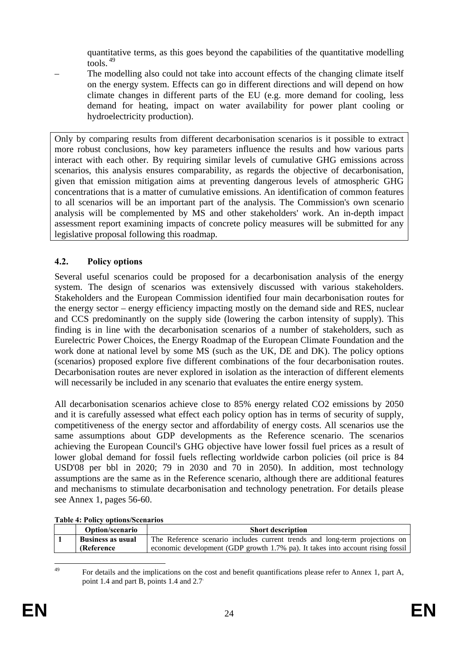quantitative terms, as this goes beyond the capabilities of the quantitative modelling  $t$ ools.  $49$ 

The modelling also could not take into account effects of the changing climate itself on the energy system. Effects can go in different directions and will depend on how climate changes in different parts of the EU (e.g. more demand for cooling, less demand for heating, impact on water availability for power plant cooling or hydroelectricity production).

Only by comparing results from different decarbonisation scenarios is it possible to extract more robust conclusions, how key parameters influence the results and how various parts interact with each other. By requiring similar levels of cumulative GHG emissions across scenarios, this analysis ensures comparability, as regards the objective of decarbonisation, given that emission mitigation aims at preventing dangerous levels of atmospheric GHG concentrations that is a matter of cumulative emissions. An identification of common features to all scenarios will be an important part of the analysis. The Commission's own scenario analysis will be complemented by MS and other stakeholders' work. An in-depth impact assessment report examining impacts of concrete policy measures will be submitted for any legislative proposal following this roadmap.

## <span id="page-24-0"></span>**4.2. Policy options**

Several useful scenarios could be proposed for a decarbonisation analysis of the energy system. The design of scenarios was extensively discussed with various stakeholders. Stakeholders and the European Commission identified four main decarbonisation routes for the energy sector – energy efficiency impacting mostly on the demand side and RES, nuclear and CCS predominantly on the supply side (lowering the carbon intensity of supply). This finding is in line with the decarbonisation scenarios of a number of stakeholders, such as Eurelectric Power Choices, the Energy Roadmap of the European Climate Foundation and the work done at national level by some MS (such as the UK, DE and DK). The policy options (scenarios) proposed explore five different combinations of the four decarbonisation routes. Decarbonisation routes are never explored in isolation as the interaction of different elements will necessarily be included in any scenario that evaluates the entire energy system.

All decarbonisation scenarios achieve close to 85% energy related CO2 emissions by 2050 and it is carefully assessed what effect each policy option has in terms of security of supply, competitiveness of the energy sector and affordability of energy costs. All scenarios use the same assumptions about GDP developments as the Reference scenario. The scenarios achieving the European Council's GHG objective have lower fossil fuel prices as a result of lower global demand for fossil fuels reflecting worldwide carbon policies (oil price is 84 USD'08 per bbl in 2020; 79 in 2030 and 70 in 2050). In addition, most technology assumptions are the same as in the Reference scenario, although there are additional features and mechanisms to stimulate decarbonisation and technology penetration. For details please see Annex 1, pages 56-60.

| <b>Option/scenario</b>   | <b>Short description</b>                                                       |
|--------------------------|--------------------------------------------------------------------------------|
| <b>Business as usual</b> | The Reference scenario includes current trends and long-term projections on    |
| <b>(Reference)</b>       | economic development (GDP growth 1.7% pa). It takes into account rising fossil |

#### **Table 4: Policy options/Scenarios**

 $\overline{AQ}$ 49 For details and the implications on the cost and benefit quantifications please refer to Annex 1, part A, point 1.4 and part B, points 1.4 and 2.7.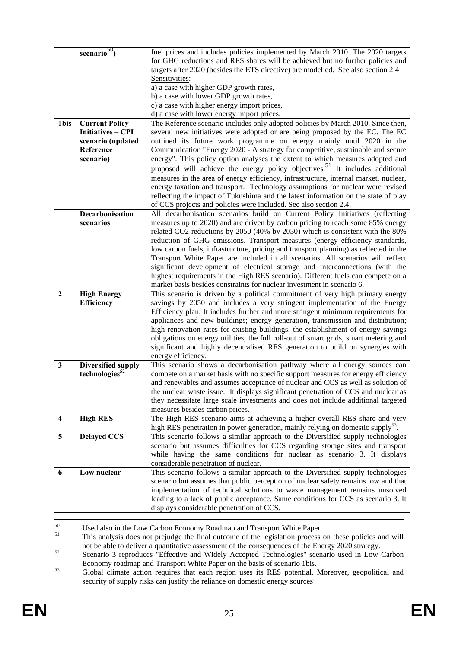|                         | scenario $50$              | fuel prices and includes policies implemented by March 2010. The 2020 targets               |
|-------------------------|----------------------------|---------------------------------------------------------------------------------------------|
|                         |                            | for GHG reductions and RES shares will be achieved but no further policies and              |
|                         |                            | targets after 2020 (besides the ETS directive) are modelled. See also section 2.4           |
|                         |                            | Sensitivities:                                                                              |
|                         |                            | a) a case with higher GDP growth rates,                                                     |
|                         |                            | b) a case with lower GDP growth rates,                                                      |
|                         |                            | c) a case with higher energy import prices,                                                 |
|                         |                            | d) a case with lower energy import prices.                                                  |
| 1bis                    | <b>Current Policy</b>      | The Reference scenario includes only adopted policies by March 2010. Since then,            |
|                         | Initiatives - CPI          | several new initiatives were adopted or are being proposed by the EC. The EC                |
|                         | scenario (updated          | outlined its future work programme on energy mainly until 2020 in the                       |
|                         | Reference                  | Communication "Energy 2020 - A strategy for competitive, sustainable and secure             |
|                         | scenario)                  | energy". This policy option analyses the extent to which measures adopted and               |
|                         |                            | proposed will achieve the energy policy objectives. <sup>51</sup> It includes additional    |
|                         |                            | measures in the area of energy efficiency, infrastructure, internal market, nuclear,        |
|                         |                            | energy taxation and transport. Technology assumptions for nuclear were revised              |
|                         |                            | reflecting the impact of Fukushima and the latest information on the state of play          |
|                         |                            | of CCS projects and policies were included. See also section 2.4.                           |
|                         | <b>Decarbonisation</b>     | All decarbonisation scenarios build on Current Policy Initiatives (reflecting               |
|                         | scenarios                  | measures up to 2020) and are driven by carbon pricing to reach some 85% energy              |
|                         |                            | related CO2 reductions by 2050 (40% by 2030) which is consistent with the 80%               |
|                         |                            | reduction of GHG emissions. Transport measures (energy efficiency standards,                |
|                         |                            | low carbon fuels, infrastructure, pricing and transport planning) as reflected in the       |
|                         |                            | Transport White Paper are included in all scenarios. All scenarios will reflect             |
|                         |                            | significant development of electrical storage and interconnections (with the                |
|                         |                            | highest requirements in the High RES scenario). Different fuels can compete on a            |
|                         |                            | market basis besides constraints for nuclear investment in scenario 6.                      |
| $\overline{2}$          | <b>High Energy</b>         | This scenario is driven by a political commitment of very high primary energy               |
|                         | Efficiency                 | savings by 2050 and includes a very stringent implementation of the Energy                  |
|                         |                            | Efficiency plan. It includes further and more stringent minimum requirements for            |
|                         |                            | appliances and new buildings; energy generation, transmission and distribution;             |
|                         |                            | high renovation rates for existing buildings; the establishment of energy savings           |
|                         |                            | obligations on energy utilities; the full roll-out of smart grids, smart metering and       |
|                         |                            | significant and highly decentralised RES generation to build on synergies with              |
|                         |                            | energy efficiency.                                                                          |
| 3                       | Diversified supply         | This scenario shows a decarbonisation pathway where all energy sources can                  |
|                         | technologies <sup>52</sup> | compete on a market basis with no specific support measures for energy efficiency           |
|                         |                            | and renewables and assumes acceptance of nuclear and CCS as well as solution of             |
|                         |                            | the nuclear waste issue. It displays significant penetration of CCS and nuclear as          |
|                         |                            | they necessitate large scale investments and does not include additional targeted           |
|                         |                            | measures besides carbon prices.                                                             |
| $\overline{\mathbf{4}}$ | <b>High RES</b>            | The High RES scenario aims at achieving a higher overall RES share and very                 |
|                         |                            | high RES penetration in power generation, mainly relying on domestic supply <sup>55</sup> . |
| 5                       | <b>Delayed CCS</b>         | This scenario follows a similar approach to the Diversified supply technologies             |
|                         |                            | scenario but assumes difficulties for CCS regarding storage sites and transport             |
|                         |                            | while having the same conditions for nuclear as scenario 3. It displays                     |
|                         |                            | considerable penetration of nuclear.                                                        |
| 6                       | Low nuclear                | This scenario follows a similar approach to the Diversified supply technologies             |
|                         |                            | scenario but assumes that public perception of nuclear safety remains low and that          |
|                         |                            | implementation of technical solutions to waste management remains unsolved                  |
|                         |                            | leading to a lack of public acceptance. Same conditions for CCS as scenario 3. It           |
|                         |                            | displays considerable penetration of CCS.                                                   |
|                         |                            |                                                                                             |

<sup>50</sup> Used also in the Low Carbon Economy Roadmap and Transport White Paper.<br><sup>51</sup> This analysis does not prejudge the final outcome of the legislation process on these policies and will not be able to deliver a quantitative assessment of the consequences of the Energy 2020 strategy.<br>Scenario 3 reproduces "Effective and Widely Accepted Technologies" scenario used in Low Carbon

Economy roadmap and Transport White Paper on the basis of scenario 1bis.

53 Global climate action requires that each region uses its RES potential. Moreover, geopolitical and security of supply risks can justify the reliance on domestic energy sources<sup>.</sup>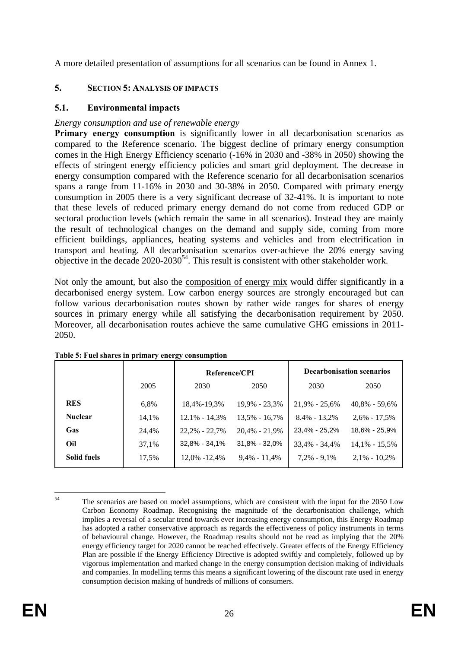A more detailed presentation of assumptions for all scenarios can be found in Annex 1.

## <span id="page-26-1"></span><span id="page-26-0"></span>**5. SECTION 5: ANALYSIS OF IMPACTS**

## **5.1. Environmental impacts**

## *Energy consumption and use of renewable energy*

**Primary energy consumption** is significantly lower in all decarbonisation scenarios as compared to the Reference scenario. The biggest decline of primary energy consumption comes in the High Energy Efficiency scenario (-16% in 2030 and -38% in 2050) showing the effects of stringent energy efficiency policies and smart grid deployment. The decrease in energy consumption compared with the Reference scenario for all decarbonisation scenarios spans a range from 11-16% in 2030 and 30-38% in 2050. Compared with primary energy consumption in 2005 there is a very significant decrease of 32-41%. It is important to note that these levels of reduced primary energy demand do not come from reduced GDP or sectoral production levels (which remain the same in all scenarios). Instead they are mainly the result of technological changes on the demand and supply side, coming from more efficient buildings, appliances, heating systems and vehicles and from electrification in transport and heating. All decarbonisation scenarios over-achieve the 20% energy saving objective in the decade  $2020$ - $2030<sup>54</sup>$ . This result is consistent with other stakeholder work.

Not only the amount, but also the composition of energy mix would differ significantly in a decarbonised energy system. Low carbon energy sources are strongly encouraged but can follow various decarbonisation routes shown by rather wide ranges for shares of energy sources in primary energy while all satisfying the decarbonisation requirement by 2050. Moreover, all decarbonisation routes achieve the same cumulative GHG emissions in 2011- 2050.

|                    |       | Reference/CPI     |                   |                   | <b>Decarbonisation scenarios</b> |
|--------------------|-------|-------------------|-------------------|-------------------|----------------------------------|
|                    | 2005  | 2030              | 2050              | 2030              | 2050                             |
| <b>RES</b>         | 6,8%  | 18,4%-19,3%       | 19,9% - 23,3%     | $21.9\% - 25.6\%$ | $40.8\% - 59.6\%$                |
| <b>Nuclear</b>     | 14,1% | $12.1\% - 14.3\%$ | $13.5\% - 16.7\%$ | $8.4\% - 13.2\%$  | $2,6\% - 17,5\%$                 |
| Gas                | 24,4% | $22,2\% - 22,7\%$ | $20,4% - 21,9%$   | 23,4% - 25,2%     | 18,6% - 25,9%                    |
| Oil                | 37,1% | $32.8\% - 34.1\%$ | $31.8\% - 32.0\%$ | $33,4\% - 34,4\%$ | $14.1\% - 15.5\%$                |
| <b>Solid fuels</b> | 17,5% | 12,0% -12,4%      | $9,4\% - 11,4\%$  | $7.2\% - 9.1\%$   | $2,1\% - 10,2\%$                 |

**Table 5: Fuel shares in primary energy consumption** 

 $54$ The scenarios are based on model assumptions, which are consistent with the input for the 2050 Low Carbon Economy Roadmap. Recognising the magnitude of the decarbonisation challenge, which implies a reversal of a secular trend towards ever increasing energy consumption, this Energy Roadmap has adopted a rather conservative approach as regards the effectiveness of policy instruments in terms of behavioural change. However, the Roadmap results should not be read as implying that the 20% energy efficiency target for 2020 cannot be reached effectively. Greater effects of the Energy Efficiency Plan are possible if the Energy Efficiency Directive is adopted swiftly and completely, followed up by vigorous implementation and marked change in the energy consumption decision making of individuals and companies. In modelling terms this means a significant lowering of the discount rate used in energy consumption decision making of hundreds of millions of consumers.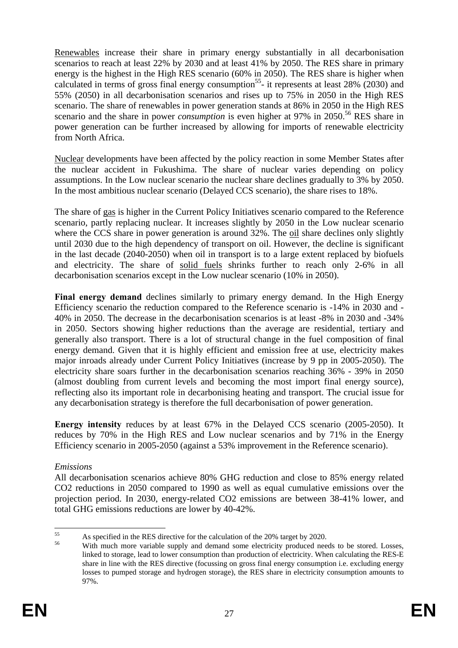Renewables increase their share in primary energy substantially in all decarbonisation scenarios to reach at least 22% by 2030 and at least 41% by 2050. The RES share in primary energy is the highest in the High RES scenario (60% in 2050). The RES share is higher when calculated in terms of gross final energy consumption<sup>55</sup>- it represents at least 28% (2030) and 55% (2050) in all decarbonisation scenarios and rises up to 75% in 2050 in the High RES scenario. The share of renewables in power generation stands at 86% in 2050 in the High RES scenario and the share in power *consumption* is even higher at 97% in 2050.<sup>56</sup> RES share in power generation can be further increased by allowing for imports of renewable electricity from North Africa.

Nuclear developments have been affected by the policy reaction in some Member States after the nuclear accident in Fukushima. The share of nuclear varies depending on policy assumptions. In the Low nuclear scenario the nuclear share declines gradually to 3% by 2050. In the most ambitious nuclear scenario (Delayed CCS scenario), the share rises to 18%.

The share of gas is higher in the Current Policy Initiatives scenario compared to the Reference scenario, partly replacing nuclear. It increases slightly by 2050 in the Low nuclear scenario where the CCS share in power generation is around 32%. The oil share declines only slightly until 2030 due to the high dependency of transport on oil. However, the decline is significant in the last decade (2040-2050) when oil in transport is to a large extent replaced by biofuels and electricity. The share of solid fuels shrinks further to reach only 2-6% in all decarbonisation scenarios except in the Low nuclear scenario (10% in 2050).

**Final energy demand** declines similarly to primary energy demand. In the High Energy Efficiency scenario the reduction compared to the Reference scenario is -14% in 2030 and - 40% in 2050. The decrease in the decarbonisation scenarios is at least -8% in 2030 and -34% in 2050. Sectors showing higher reductions than the average are residential, tertiary and generally also transport. There is a lot of structural change in the fuel composition of final energy demand. Given that it is highly efficient and emission free at use, electricity makes major inroads already under Current Policy Initiatives (increase by 9 pp in 2005-2050). The electricity share soars further in the decarbonisation scenarios reaching 36% - 39% in 2050 (almost doubling from current levels and becoming the most import final energy source), reflecting also its important role in decarbonising heating and transport. The crucial issue for any decarbonisation strategy is therefore the full decarbonisation of power generation.

**Energy intensity** reduces by at least 67% in the Delayed CCS scenario (2005-2050). It reduces by 70% in the High RES and Low nuclear scenarios and by 71% in the Energy Efficiency scenario in 2005-2050 (against a 53% improvement in the Reference scenario).

## *Emissions*

All decarbonisation scenarios achieve 80% GHG reduction and close to 85% energy related CO2 reductions in 2050 compared to 1990 as well as equal cumulative emissions over the projection period. In 2030, energy-related CO2 emissions are between 38-41% lower, and total GHG emissions reductions are lower by 40-42%.

<sup>55</sup> <sup>55</sup> As specified in the RES directive for the calculation of the 20% target by 2020.

With much more variable supply and demand some electricity produced needs to be stored. Losses, linked to storage, lead to lower consumption than production of electricity. When calculating the RES-E share in line with the RES directive (focussing on gross final energy consumption i.e. excluding energy losses to pumped storage and hydrogen storage), the RES share in electricity consumption amounts to 97%.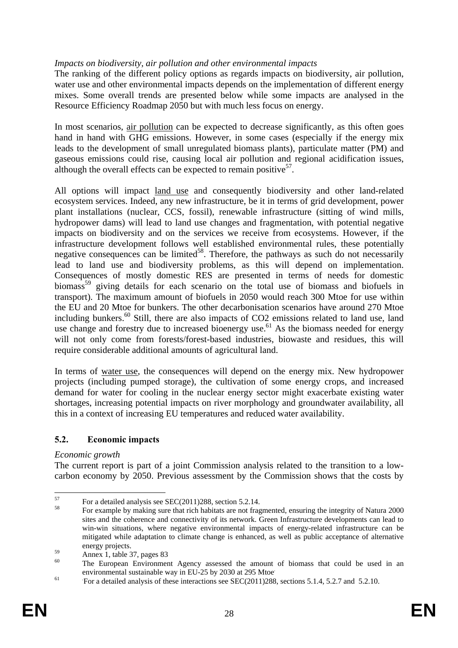## *Impacts on biodiversity, air pollution and other environmental impacts*

The ranking of the different policy options as regards impacts on biodiversity, air pollution, water use and other environmental impacts depends on the implementation of different energy mixes. Some overall trends are presented below while some impacts are analysed in the Resource Efficiency Roadmap 2050 but with much less focus on energy.

In most scenarios, air pollution can be expected to decrease significantly, as this often goes hand in hand with GHG emissions. However, in some cases (especially if the energy mix leads to the development of small unregulated biomass plants), particulate matter (PM) and gaseous emissions could rise, causing local air pollution and regional acidification issues, although the overall effects can be expected to remain positive<sup>57</sup>.

All options will impact land use and consequently biodiversity and other land-related ecosystem services. Indeed, any new infrastructure, be it in terms of grid development, power plant installations (nuclear, CCS, fossil), renewable infrastructure (sitting of wind mills, hydropower dams) will lead to land use changes and fragmentation, with potential negative impacts on biodiversity and on the services we receive from ecosystems. However, if the infrastructure development follows well established environmental rules, these potentially negative consequences can be limited<sup>58</sup>. Therefore, the pathways as such do not necessarily lead to land use and biodiversity problems, as this will depend on implementation. Consequences of mostly domestic RES are presented in terms of needs for domestic biomass<sup>59</sup> giving details for each scenario on the total use of biomass and biofuels in transport). The maximum amount of biofuels in 2050 would reach 300 Mtoe for use within the EU and 20 Mtoe for bunkers. The other decarbonisation scenarios have around 270 Mtoe including bunkers.<sup>60</sup> Still, there are also impacts of CO2 emissions related to land use, land use change and forestry due to increased bioenergy use.<sup>61</sup> As the biomass needed for energy will not only come from forests/forest-based industries, biowaste and residues, this will require considerable additional amounts of agricultural land.

In terms of water use, the consequences will depend on the energy mix. New hydropower projects (including pumped storage), the cultivation of some energy crops, and increased demand for water for cooling in the nuclear energy sector might exacerbate existing water shortages, increasing potential impacts on river morphology and groundwater availability, all this in a context of increasing EU temperatures and reduced water availability.

## <span id="page-28-0"></span>**5.2. Economic impacts**

#### *Economic growth*

The current report is part of a joint Commission analysis related to the transition to a lowcarbon economy by 2050. Previous assessment by the Commission shows that the costs by

<sup>57</sup>  $^{57}$  For a detailed analysis see SEC(2011)288, section 5.2.14.

<sup>58</sup> For example by making sure that rich habitats are not fragmented, ensuring the integrity of Natura 2000 sites and the coherence and connectivity of its network. Green Infrastructure developments can lead to win-win situations, where negative environmental impacts of energy-related infrastructure can be mitigated while adaptation to climate change is enhanced, as well as public acceptance of alternative energy projects.

 $59$  Annex 1, table 37, pages 83

The European Environment Agency assessed the amount of biomass that could be used in an environmental sustainable way in EU-25 by 2030 at 295 Mtoe.

<sup>61</sup> For a detailed analysis of these interactions see SEC(2011)288, sections 5.1.4, 5.2.7 and 5.2.10.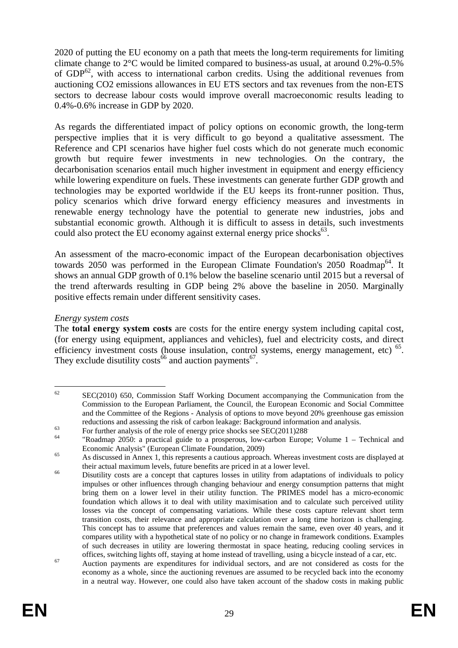2020 of putting the EU economy on a path that meets the long-term requirements for limiting climate change to 2°C would be limited compared to business-as usual, at around 0.2%-0.5% of GDP<sup>62</sup>, with access to international carbon credits. Using the additional revenues from auctioning CO2 emissions allowances in EU ETS sectors and tax revenues from the non-ETS sectors to decrease labour costs would improve overall macroeconomic results leading to 0.4%-0.6% increase in GDP by 2020.

As regards the differentiated impact of policy options on economic growth, the long-term perspective implies that it is very difficult to go beyond a qualitative assessment. The Reference and CPI scenarios have higher fuel costs which do not generate much economic growth but require fewer investments in new technologies. On the contrary, the decarbonisation scenarios entail much higher investment in equipment and energy efficiency while lowering expenditure on fuels. These investments can generate further GDP growth and technologies may be exported worldwide if the EU keeps its front-runner position. Thus, policy scenarios which drive forward energy efficiency measures and investments in renewable energy technology have the potential to generate new industries, jobs and substantial economic growth. Although it is difficult to assess in details, such investments could also protect the EU economy against external energy price shocks $^{63}$ .

An assessment of the macro-economic impact of the European decarbonisation objectives towards 2050 was performed in the European Climate Foundation's 2050 Roadmap<sup>64</sup>. It shows an annual GDP growth of 0.1% below the baseline scenario until 2015 but a reversal of the trend afterwards resulting in GDP being 2% above the baseline in 2050. Marginally positive effects remain under different sensitivity cases.

#### *Energy system costs*

The **total energy system costs** are costs for the entire energy system including capital cost, (for energy using equipment, appliances and vehicles), fuel and electricity costs, and direct efficiency investment costs (house insulation, control systems, energy management, etc) <sup>65</sup>. They exclude disutility costs<sup>66</sup> and auction payments<sup>67</sup>.

<sup>62</sup> 62 SEC(2010) 650, Commission Staff Working Document accompanying the Communication from the Commission to the European Parliament, the Council, the European Economic and Social Committee and the Committee of the Regions - Analysis of options to move beyond 20% greenhouse gas emission reductions and assessing the risk of carbon leakage: Background information and analysis.<br>For further analysis of the role of energy price shocks see SEC(2011)288.

<sup>&</sup>quot;Roadmap 2050: a practical guide to a prosperous, low-carbon Europe; Volume  $1 -$  Technical and Economic Analysis" (European Climate Foundation, 2009)<br>As discussed in Annex 1, this represents a cautious approach. Whereas investment costs are displayed at

their actual maximum levels, future benefits are priced in at a lower level.<br><sup>66</sup> Disutility costs are a concept that captures losses in utility from adaptations of individuals to policy

impulses or other influences through changing behaviour and energy consumption patterns that might bring them on a lower level in their utility function. The PRIMES model has a micro-economic foundation which allows it to deal with utility maximisation and to calculate such perceived utility losses via the concept of compensating variations. While these costs capture relevant short term transition costs, their relevance and appropriate calculation over a long time horizon is challenging. This concept has to assume that preferences and values remain the same, even over 40 years, and it compares utility with a hypothetical state of no policy or no change in framework conditions. Examples of such decreases in utility are lowering thermostat in space heating, reducing cooling services in offices, switching lights off, staying at home instead of travelling, using a bicycle instead of a car, etc.

<sup>&</sup>lt;sup>67</sup> Auction payments are expenditures for individual sectors, and are not considered as costs for the economy as a whole, since the auctioning revenues are assumed to be recycled back into the economy in a neutral way. However, one could also have taken account of the shadow costs in making public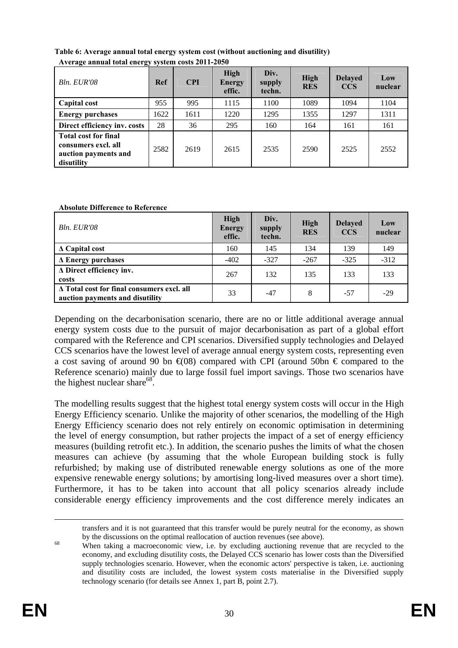| $1100 \text{ g}$ annual total energy system costs 2011 2000                              |      |            |                                 |                          |                           |                              |                |
|------------------------------------------------------------------------------------------|------|------------|---------------------------------|--------------------------|---------------------------|------------------------------|----------------|
| Bln. EUR'08                                                                              | Ref  | <b>CPI</b> | High<br><b>Energy</b><br>effic. | Div.<br>supply<br>techn. | <b>High</b><br><b>RES</b> | <b>Delayed</b><br><b>CCS</b> | Low<br>nuclear |
| Capital cost                                                                             | 955  | 995        | 1115                            | 1100                     | 1089                      | 1094                         | 1104           |
| <b>Energy purchases</b>                                                                  | 1622 | 1611       | 1220                            | 1295                     | 1355                      | 1297                         | 1311           |
| Direct efficiency inv. costs                                                             | 28   | 36         | 295                             | 160                      | 164                       | 161                          | 161            |
| <b>Total cost for final</b><br>consumers excl. all<br>auction payments and<br>disutility | 2582 | 2619       | 2615                            | 2535                     | 2590                      | 2525                         | 2552           |

**Table 6: Average annual total energy system cost (without auctioning and disutility) Average annual total energy system costs 2011-2050** 

#### **Absolute Difference to Reference**

| Bln. EUR'08                                                                          | <b>High</b><br><b>Energy</b><br>effic. | Div.<br>supply<br>techn. | <b>High</b><br><b>RES</b> | <b>Delayed</b><br><b>CCS</b> | Low<br>nuclear |
|--------------------------------------------------------------------------------------|----------------------------------------|--------------------------|---------------------------|------------------------------|----------------|
| $\Delta$ Capital cost                                                                | 160                                    | 145                      | 134                       | 139                          | 149            |
| $\Delta$ Energy purchases                                                            | $-402$                                 | $-327$                   | $-267$                    | $-325$                       | $-312$         |
| ∆ Direct efficiency inv.<br>costs                                                    | 267                                    | 132                      | 135                       | 133                          | 133            |
| $\Delta$ Total cost for final consumers excl. all<br>auction payments and disutility | 33                                     | $-47$                    | 8                         | $-57$                        | $-29$          |

Depending on the decarbonisation scenario, there are no or little additional average annual energy system costs due to the pursuit of major decarbonisation as part of a global effort compared with the Reference and CPI scenarios. Diversified supply technologies and Delayed CCS scenarios have the lowest level of average annual energy system costs, representing even a cost saving of around 90 bn  $\epsilon(08)$  compared with CPI (around 50bn  $\epsilon$  compared to the Reference scenario) mainly due to large fossil fuel import savings. Those two scenarios have the highest nuclear share $^{68}$ .

The modelling results suggest that the highest total energy system costs will occur in the High Energy Efficiency scenario. Unlike the majority of other scenarios, the modelling of the High Energy Efficiency scenario does not rely entirely on economic optimisation in determining the level of energy consumption, but rather projects the impact of a set of energy efficiency measures (building retrofit etc.). In addition, the scenario pushes the limits of what the chosen measures can achieve (by assuming that the whole European building stock is fully refurbished; by making use of distributed renewable energy solutions as one of the more expensive renewable energy solutions; by amortising long-lived measures over a short time). Furthermore, it has to be taken into account that all policy scenarios already include considerable energy efficiency improvements and the cost difference merely indicates an

transfers and it is not guaranteed that this transfer would be purely neutral for the economy, as shown

by the discussions on the optimal reallocation of auction revenues (see above).<br>When taking a macroeconomic view, i.e. by excluding auctioning revenue that are recycled to the economy, and excluding disutility costs, the Delayed CCS scenario has lower costs than the Diversified supply technologies scenario. However, when the economic actors' perspective is taken, i.e. auctioning and disutility costs are included, the lowest system costs materialise in the Diversified supply technology scenario (for details see Annex 1, part B, point 2.7).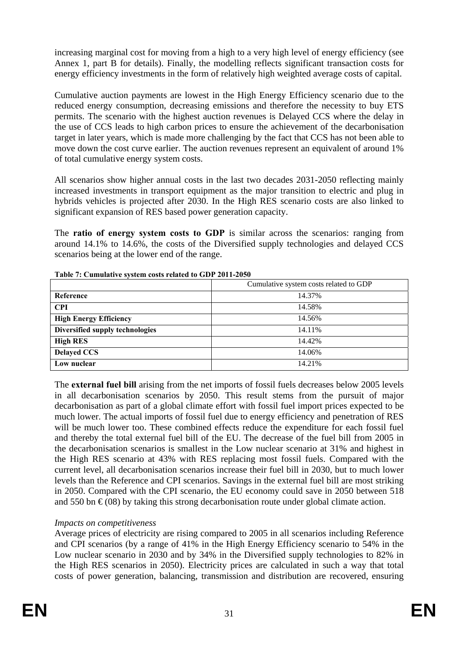increasing marginal cost for moving from a high to a very high level of energy efficiency (see Annex 1, part B for details). Finally, the modelling reflects significant transaction costs for energy efficiency investments in the form of relatively high weighted average costs of capital.

Cumulative auction payments are lowest in the High Energy Efficiency scenario due to the reduced energy consumption, decreasing emissions and therefore the necessity to buy ETS permits. The scenario with the highest auction revenues is Delayed CCS where the delay in the use of CCS leads to high carbon prices to ensure the achievement of the decarbonisation target in later years, which is made more challenging by the fact that CCS has not been able to move down the cost curve earlier. The auction revenues represent an equivalent of around 1% of total cumulative energy system costs.

All scenarios show higher annual costs in the last two decades 2031-2050 reflecting mainly increased investments in transport equipment as the major transition to electric and plug in hybrids vehicles is projected after 2030. In the High RES scenario costs are also linked to significant expansion of RES based power generation capacity.

The **ratio of energy system costs to GDP** is similar across the scenarios: ranging from around 14.1% to 14.6%, the costs of the Diversified supply technologies and delayed CCS scenarios being at the lower end of the range.

|                                 | Cumulative system costs related to GDP |  |  |  |  |
|---------------------------------|----------------------------------------|--|--|--|--|
| Reference                       | 14.37%                                 |  |  |  |  |
| <b>CPI</b>                      | 14.58%                                 |  |  |  |  |
| <b>High Energy Efficiency</b>   | 14.56%                                 |  |  |  |  |
| Diversified supply technologies | 14.11%                                 |  |  |  |  |
| <b>High RES</b>                 | 14.42%                                 |  |  |  |  |
| <b>Delayed CCS</b>              | 14.06%                                 |  |  |  |  |
| Low nuclear                     | 14.21%                                 |  |  |  |  |

**Table 7: Cumulative system costs related to GDP 2011-2050** 

The **external fuel bill** arising from the net imports of fossil fuels decreases below 2005 levels in all decarbonisation scenarios by 2050. This result stems from the pursuit of major decarbonisation as part of a global climate effort with fossil fuel import prices expected to be much lower. The actual imports of fossil fuel due to energy efficiency and penetration of RES will be much lower too. These combined effects reduce the expenditure for each fossil fuel and thereby the total external fuel bill of the EU. The decrease of the fuel bill from 2005 in the decarbonisation scenarios is smallest in the Low nuclear scenario at 31% and highest in the High RES scenario at 43% with RES replacing most fossil fuels. Compared with the current level, all decarbonisation scenarios increase their fuel bill in 2030, but to much lower levels than the Reference and CPI scenarios. Savings in the external fuel bill are most striking in 2050. Compared with the CPI scenario, the EU economy could save in 2050 between 518 and 550 bn  $\epsilon$ (08) by taking this strong decarbonisation route under global climate action.

## *Impacts on competitiveness*

Average prices of electricity are rising compared to 2005 in all scenarios including Reference and CPI scenarios (by a range of 41% in the High Energy Efficiency scenario to 54% in the Low nuclear scenario in 2030 and by 34% in the Diversified supply technologies to 82% in the High RES scenarios in 2050). Electricity prices are calculated in such a way that total costs of power generation, balancing, transmission and distribution are recovered, ensuring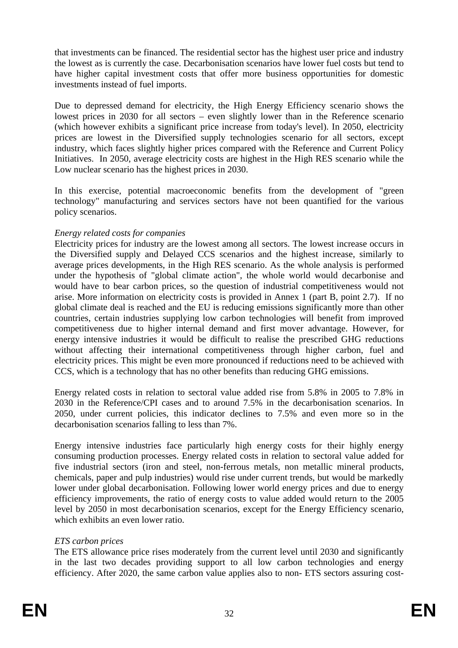that investments can be financed. The residential sector has the highest user price and industry the lowest as is currently the case. Decarbonisation scenarios have lower fuel costs but tend to have higher capital investment costs that offer more business opportunities for domestic investments instead of fuel imports.

Due to depressed demand for electricity, the High Energy Efficiency scenario shows the lowest prices in 2030 for all sectors – even slightly lower than in the Reference scenario (which however exhibits a significant price increase from today's level). In 2050, electricity prices are lowest in the Diversified supply technologies scenario for all sectors, except industry, which faces slightly higher prices compared with the Reference and Current Policy Initiatives. In 2050, average electricity costs are highest in the High RES scenario while the Low nuclear scenario has the highest prices in 2030.

In this exercise, potential macroeconomic benefits from the development of "green technology" manufacturing and services sectors have not been quantified for the various policy scenarios.

## *Energy related costs for companies*

Electricity prices for industry are the lowest among all sectors. The lowest increase occurs in the Diversified supply and Delayed CCS scenarios and the highest increase, similarly to average prices developments, in the High RES scenario. As the whole analysis is performed under the hypothesis of "global climate action", the whole world would decarbonise and would have to bear carbon prices, so the question of industrial competitiveness would not arise. More information on electricity costs is provided in Annex 1 (part B, point 2.7). If no global climate deal is reached and the EU is reducing emissions significantly more than other countries, certain industries supplying low carbon technologies will benefit from improved competitiveness due to higher internal demand and first mover advantage. However, for energy intensive industries it would be difficult to realise the prescribed GHG reductions without affecting their international competitiveness through higher carbon, fuel and electricity prices. This might be even more pronounced if reductions need to be achieved with CCS, which is a technology that has no other benefits than reducing GHG emissions.

Energy related costs in relation to sectoral value added rise from 5.8% in 2005 to 7.8% in 2030 in the Reference/CPI cases and to around 7.5% in the decarbonisation scenarios. In 2050, under current policies, this indicator declines to 7.5% and even more so in the decarbonisation scenarios falling to less than 7%.

Energy intensive industries face particularly high energy costs for their highly energy consuming production processes. Energy related costs in relation to sectoral value added for five industrial sectors (iron and steel, non-ferrous metals, non metallic mineral products, chemicals, paper and pulp industries) would rise under current trends, but would be markedly lower under global decarbonisation. Following lower world energy prices and due to energy efficiency improvements, the ratio of energy costs to value added would return to the 2005 level by 2050 in most decarbonisation scenarios, except for the Energy Efficiency scenario, which exhibits an even lower ratio.

#### *ETS carbon prices*

The ETS allowance price rises moderately from the current level until 2030 and significantly in the last two decades providing support to all low carbon technologies and energy efficiency. After 2020, the same carbon value applies also to non- ETS sectors assuring cost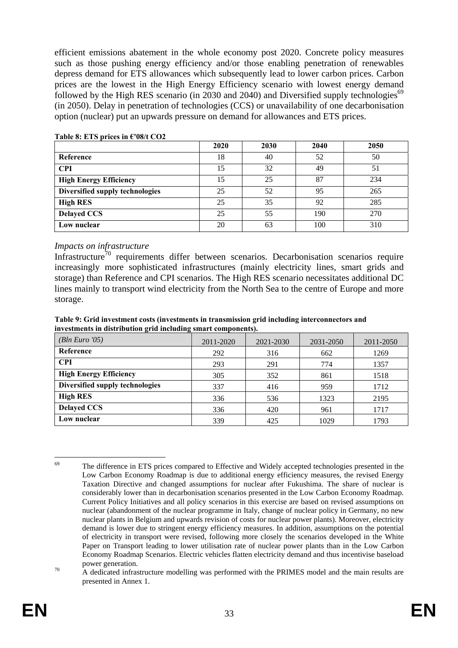efficient emissions abatement in the whole economy post 2020. Concrete policy measures such as those pushing energy efficiency and/or those enabling penetration of renewables depress demand for ETS allowances which subsequently lead to lower carbon prices. Carbon prices are the lowest in the High Energy Efficiency scenario with lowest energy demand followed by the High RES scenario (in 2030 and 2040) and Diversified supply technologies<sup>69</sup> (in 2050). Delay in penetration of technologies (CCS) or unavailability of one decarbonisation option (nuclear) put an upwards pressure on demand for allowances and ETS prices.

|                                 | 2020 | 2030 | 2040 | 2050 |
|---------------------------------|------|------|------|------|
| Reference                       | 18   | 40   | 52   | 50   |
| <b>CPI</b>                      | 15   | 32   | 49   | 51   |
| <b>High Energy Efficiency</b>   | 15   | 25   | 87   | 234  |
| Diversified supply technologies | 25   | 52   | 95   | 265  |
| <b>High RES</b>                 | 25   | 35   | 92   | 285  |
| <b>Delayed CCS</b>              | 25   | 55   | 190  | 270  |
| Low nuclear                     | 20   | 63   | 100  | 310  |

#### **Table 8: ETS prices in €'08/t CO2**

#### *Impacts on infrastructure*

Infrastructure<sup>70</sup> requirements differ between scenarios. Decarbonisation scenarios require increasingly more sophisticated infrastructures (mainly electricity lines, smart grids and storage) than Reference and CPI scenarios. The High RES scenario necessitates additional DC lines mainly to transport wind electricity from the North Sea to the centre of Europe and more storage.

| Table 9: Grid investment costs (investments in transmission grid including interconnectors and |  |  |  |  |  |  |  |
|------------------------------------------------------------------------------------------------|--|--|--|--|--|--|--|
| investments in distribution grid including smart components).                                  |  |  |  |  |  |  |  |

| <i>(Bln Euro '05)</i>           | 2011-2020 | 2021-2030 | 2031-2050 | 2011-2050 |
|---------------------------------|-----------|-----------|-----------|-----------|
| Reference                       | 292       | 316       | 662       | 1269      |
| <b>CPI</b>                      | 293       | 291       | 774       | 1357      |
| <b>High Energy Efficiency</b>   | 305       | 352       | 861       | 1518      |
| Diversified supply technologies | 337       | 416       | 959       | 1712      |
| <b>High RES</b>                 | 336       | 536       | 1323      | 2195      |
| <b>Delayed CCS</b>              | 336       | 420       | 961       | 1717      |
| Low nuclear                     | 339       | 425       | 1029      | 1793      |

<sup>69</sup> The difference in ETS prices compared to Effective and Widely accepted technologies presented in the Low Carbon Economy Roadmap is due to additional energy efficiency measures, the revised Energy Taxation Directive and changed assumptions for nuclear after Fukushima. The share of nuclear is considerably lower than in decarbonisation scenarios presented in the Low Carbon Economy Roadmap. Current Policy Initiatives and all policy scenarios in this exercise are based on revised assumptions on nuclear (abandonment of the nuclear programme in Italy, change of nuclear policy in Germany, no new nuclear plants in Belgium and upwards revision of costs for nuclear power plants). Moreover, electricity demand is lower due to stringent energy efficiency measures. In addition, assumptions on the potential of electricity in transport were revised, following more closely the scenarios developed in the White Paper on Transport leading to lower utilisation rate of nuclear power plants than in the Low Carbon Economy Roadmap Scenarios. Electric vehicles flatten electricity demand and thus incentivise baseload

power generation.<br>A dedicated infrastructure modelling was performed with the PRIMES model and the main results are presented in Annex 1.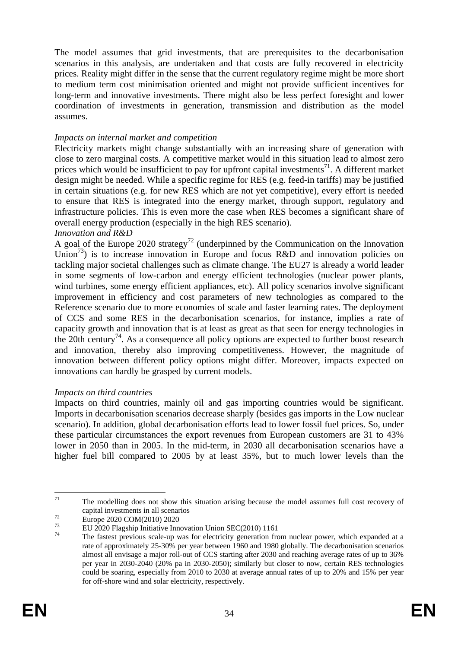The model assumes that grid investments, that are prerequisites to the decarbonisation scenarios in this analysis, are undertaken and that costs are fully recovered in electricity prices. Reality might differ in the sense that the current regulatory regime might be more short to medium term cost minimisation oriented and might not provide sufficient incentives for long-term and innovative investments. There might also be less perfect foresight and lower coordination of investments in generation, transmission and distribution as the model assumes.

#### *Impacts on internal market and competition*

Electricity markets might change substantially with an increasing share of generation with close to zero marginal costs. A competitive market would in this situation lead to almost zero prices which would be insufficient to pay for upfront capital investments<sup>71</sup>. A different market design might be needed. While a specific regime for RES (e.g. feed-in tariffs) may be justified in certain situations (e.g. for new RES which are not yet competitive), every effort is needed to ensure that RES is integrated into the energy market, through support, regulatory and infrastructure policies. This is even more the case when RES becomes a significant share of overall energy production (especially in the high RES scenario).

#### *Innovation and R&D*

A goal of the Europe 2020 strategy<sup>72</sup> (underpinned by the Communication on the Innovation Union<sup>73</sup>) is to increase innovation in Europe and focus R&D and innovation policies on tackling major societal challenges such as climate change. The EU27 is already a world leader in some segments of low-carbon and energy efficient technologies (nuclear power plants, wind turbines, some energy efficient appliances, etc). All policy scenarios involve significant improvement in efficiency and cost parameters of new technologies as compared to the Reference scenario due to more economies of scale and faster learning rates. The deployment of CCS and some RES in the decarbonisation scenarios, for instance, implies a rate of capacity growth and innovation that is at least as great as that seen for energy technologies in the 20th century<sup>74</sup>. As a consequence all policy options are expected to further boost research and innovation, thereby also improving competitiveness. However, the magnitude of innovation between different policy options might differ. Moreover, impacts expected on innovations can hardly be grasped by current models.

#### *Impacts on third countries*

Impacts on third countries, mainly oil and gas importing countries would be significant. Imports in decarbonisation scenarios decrease sharply (besides gas imports in the Low nuclear scenario). In addition, global decarbonisation efforts lead to lower fossil fuel prices. So, under these particular circumstances the export revenues from European customers are 31 to 43% lower in 2050 than in 2005. In the mid-term, in 2030 all decarbonisation scenarios have a higher fuel bill compared to 2005 by at least 35%, but to much lower levels than the

<sup>71</sup> The modelling does not show this situation arising because the model assumes full cost recovery of capital investments in all scenarios<br>
Europe 2020 COM(2010) 2020<br>
EU 2020 Flagship Initiative Innovation Union SEC(2010) 1161<br>
The fastest previous scale-up was for electricity generation from nuclear power, which expande

rate of approximately 25-30% per year between 1960 and 1980 globally. The decarbonisation scenarios almost all envisage a major roll-out of CCS starting after 2030 and reaching average rates of up to 36% per year in 2030-2040 (20% pa in 2030-2050); similarly but closer to now, certain RES technologies could be soaring, especially from 2010 to 2030 at average annual rates of up to 20% and 15% per year for off-shore wind and solar electricity, respectively.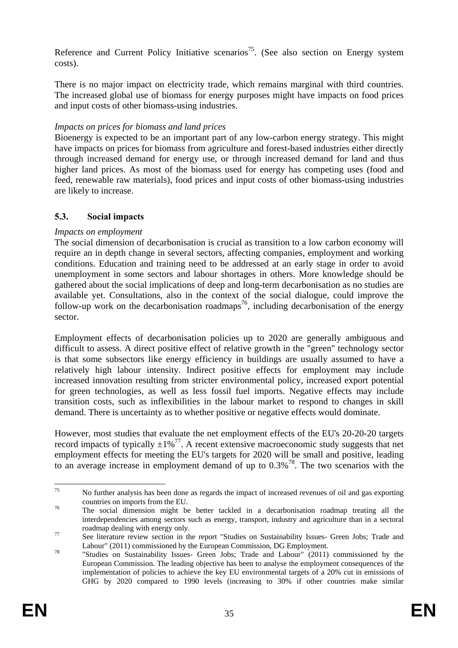Reference and Current Policy Initiative scenarios<sup>75</sup>. (See also section on Energy system costs).

There is no major impact on electricity trade, which remains marginal with third countries. The increased global use of biomass for energy purposes might have impacts on food prices and input costs of other biomass-using industries.

## *Impacts on prices for biomass and land prices*

Bioenergy is expected to be an important part of any low-carbon energy strategy. This might have impacts on prices for biomass from agriculture and forest-based industries either directly through increased demand for energy use, or through increased demand for land and thus higher land prices. As most of the biomass used for energy has competing uses (food and feed, renewable raw materials), food prices and input costs of other biomass-using industries are likely to increase.

## <span id="page-35-0"></span>**5.3. Social impacts**

## *Impacts on employment*

The social dimension of decarbonisation is crucial as transition to a low carbon economy will require an in depth change in several sectors, affecting companies, employment and working conditions. Education and training need to be addressed at an early stage in order to avoid unemployment in some sectors and labour shortages in others. More knowledge should be gathered about the social implications of deep and long-term decarbonisation as no studies are available yet. Consultations, also in the context of the social dialogue, could improve the follow-up work on the decarbonisation roadmaps<sup>76</sup>, including decarbonisation of the energy sector.

Employment effects of decarbonisation policies up to 2020 are generally ambiguous and difficult to assess. A direct positive effect of relative growth in the "green" technology sector is that some subsectors like energy efficiency in buildings are usually assumed to have a relatively high labour intensity. Indirect positive effects for employment may include increased innovation resulting from stricter environmental policy, increased export potential for green technologies, as well as less fossil fuel imports. Negative effects may include transition costs, such as inflexibilities in the labour market to respond to changes in skill demand. There is uncertainty as to whether positive or negative effects would dominate.

However, most studies that evaluate the net employment effects of the EU's 20-20-20 targets record impacts of typically  $\pm 1\%$ <sup>77</sup>. A recent extensive macroeconomic study suggests that net employment effects for meeting the EU's targets for 2020 will be small and positive, leading to an average increase in employment demand of up to  $0.3\%$ <sup>78</sup>. The two scenarios with the

<sup>75</sup> 75 No further analysis has been done as regards the impact of increased revenues of oil and gas exporting countries on imports from the EU.

<sup>&</sup>lt;sup>76</sup> The social dimension might be better tackled in a decarbonisation roadmap treating all the interdependencies among sectors such as energy, transport, industry and agriculture than in a sectoral

roadmap dealing with energy only.<br>See literature review section in the report "Studies on Sustainability Issues- Green Jobs; Trade and

Labour" (2011) commissioned by the European Commission, DG Employment. 78 "Studies on Sustainability Issues- Green Jobs; Trade and Labour" (2011) commissioned by the European Commission. The leading objective has been to analyse the employment consequences of the implementation of policies to achieve the key EU environmental targets of a 20% cut in emissions of GHG by 2020 compared to 1990 levels (increasing to 30% if other countries make similar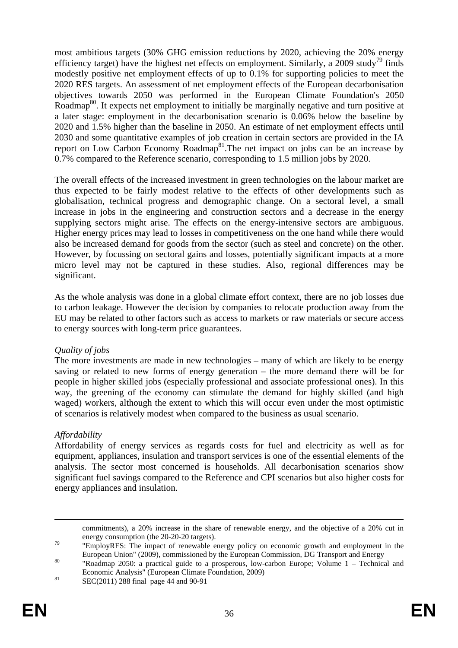most ambitious targets (30% GHG emission reductions by 2020, achieving the 20% energy efficiency target) have the highest net effects on employment. Similarly, a 2009 study<sup>79</sup> finds modestly positive net employment effects of up to 0.1% for supporting policies to meet the 2020 RES targets. An assessment of net employment effects of the European decarbonisation objectives towards 2050 was performed in the European Climate Foundation's 2050 Roadmap<sup>80</sup>. It expects net employment to initially be marginally negative and turn positive at a later stage: employment in the decarbonisation scenario is 0.06% below the baseline by 2020 and 1.5% higher than the baseline in 2050. An estimate of net employment effects until 2030 and some quantitative examples of job creation in certain sectors are provided in the IA report on Low Carbon Economy Roadmap<sup>81</sup>. The net impact on jobs can be an increase by 0.7% compared to the Reference scenario, corresponding to 1.5 million jobs by 2020.

The overall effects of the increased investment in green technologies on the labour market are thus expected to be fairly modest relative to the effects of other developments such as globalisation, technical progress and demographic change. On a sectoral level, a small increase in jobs in the engineering and construction sectors and a decrease in the energy supplying sectors might arise. The effects on the energy-intensive sectors are ambiguous. Higher energy prices may lead to losses in competitiveness on the one hand while there would also be increased demand for goods from the sector (such as steel and concrete) on the other. However, by focussing on sectoral gains and losses, potentially significant impacts at a more micro level may not be captured in these studies. Also, regional differences may be significant.

As the whole analysis was done in a global climate effort context, there are no job losses due to carbon leakage. However the decision by companies to relocate production away from the EU may be related to other factors such as access to markets or raw materials or secure access to energy sources with long-term price guarantees.

## *Quality of jobs*

The more investments are made in new technologies – many of which are likely to be energy saving or related to new forms of energy generation – the more demand there will be for people in higher skilled jobs (especially professional and associate professional ones). In this way, the greening of the economy can stimulate the demand for highly skilled (and high waged) workers, although the extent to which this will occur even under the most optimistic of scenarios is relatively modest when compared to the business as usual scenario.

## *Affordability*

Affordability of energy services as regards costs for fuel and electricity as well as for equipment, appliances, insulation and transport services is one of the essential elements of the analysis. The sector most concerned is households. All decarbonisation scenarios show significant fuel savings compared to the Reference and CPI scenarios but also higher costs for energy appliances and insulation.

commitments), a 20% increase in the share of renewable energy, and the objective of a 20% cut in

energy consumption (the 20-20-20 targets).<br>"EmployRES: The impact of renewable energy policy on economic growth and employment in the European Union" (2009), commissioned by the European Commission, DG Transport and Energy "Roadmap 2050: a practical guide to a prosperous, low-carbon Europe; Volume  $1 -$  Technical and

Economic Analysis" (European Climate Foundation, 2009) 81 SEC(2011) 288 final page 44 and 90-91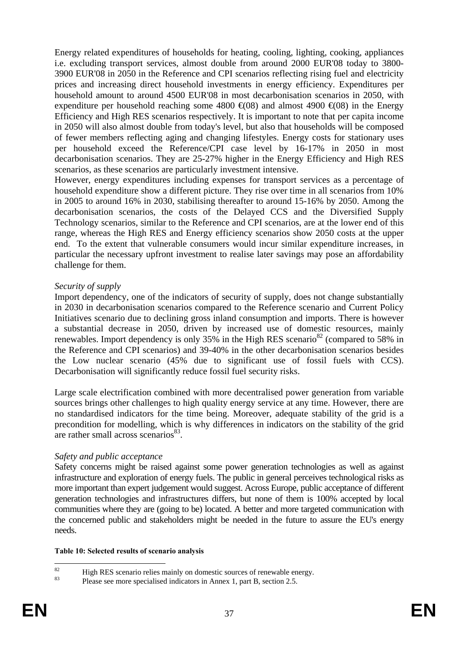Energy related expenditures of households for heating, cooling, lighting, cooking, appliances i.e. excluding transport services, almost double from around 2000 EUR'08 today to 3800- 3900 EUR'08 in 2050 in the Reference and CPI scenarios reflecting rising fuel and electricity prices and increasing direct household investments in energy efficiency. Expenditures per household amount to around 4500 EUR'08 in most decarbonisation scenarios in 2050, with expenditure per household reaching some 4800  $\text{\textsterling}$ (08) and almost 4900  $\text{\textsterling}$ (08) in the Energy Efficiency and High RES scenarios respectively. It is important to note that per capita income in 2050 will also almost double from today's level, but also that households will be composed of fewer members reflecting aging and changing lifestyles. Energy costs for stationary uses per household exceed the Reference/CPI case level by 16-17% in 2050 in most decarbonisation scenarios. They are 25-27% higher in the Energy Efficiency and High RES scenarios, as these scenarios are particularly investment intensive.

However, energy expenditures including expenses for transport services as a percentage of household expenditure show a different picture. They rise over time in all scenarios from 10% in 2005 to around 16% in 2030, stabilising thereafter to around 15-16% by 2050. Among the decarbonisation scenarios, the costs of the Delayed CCS and the Diversified Supply Technology scenarios, similar to the Reference and CPI scenarios, are at the lower end of this range, whereas the High RES and Energy efficiency scenarios show 2050 costs at the upper end. To the extent that vulnerable consumers would incur similar expenditure increases, in particular the necessary upfront investment to realise later savings may pose an affordability challenge for them.

### *Security of supply*

Import dependency, one of the indicators of security of supply, does not change substantially in 2030 in decarbonisation scenarios compared to the Reference scenario and Current Policy Initiatives scenario due to declining gross inland consumption and imports. There is however a substantial decrease in 2050, driven by increased use of domestic resources, mainly renewables. Import dependency is only 35% in the High RES scenario<sup>82</sup> (compared to 58% in the Reference and CPI scenarios) and 39-40% in the other decarbonisation scenarios besides the Low nuclear scenario (45% due to significant use of fossil fuels with CCS). Decarbonisation will significantly reduce fossil fuel security risks.

Large scale electrification combined with more decentralised power generation from variable sources brings other challenges to high quality energy service at any time. However, there are no standardised indicators for the time being. Moreover, adequate stability of the grid is a precondition for modelling, which is why differences in indicators on the stability of the grid are rather small across scenarios $83$ .

## *Safety and public acceptance*

Safety concerns might be raised against some power generation technologies as well as against infrastructure and exploration of energy fuels. The public in general perceives technological risks as more important than expert judgement would suggest. Across Europe, public acceptance of different generation technologies and infrastructures differs, but none of them is 100% accepted by local communities where they are (going to be) located. A better and more targeted communication with the concerned public and stakeholders might be needed in the future to assure the EU's energy needs.

### **Table 10: Selected results of scenario analysis**

 $\mathbf{S}$ <sup>82</sup><br>High RES scenario relies mainly on domestic sources of renewable energy.<br>
Please see more enoughled indicators in Anney 1, nort B, section 2.5

Please see more specialised indicators in Annex 1, part B, section 2.5.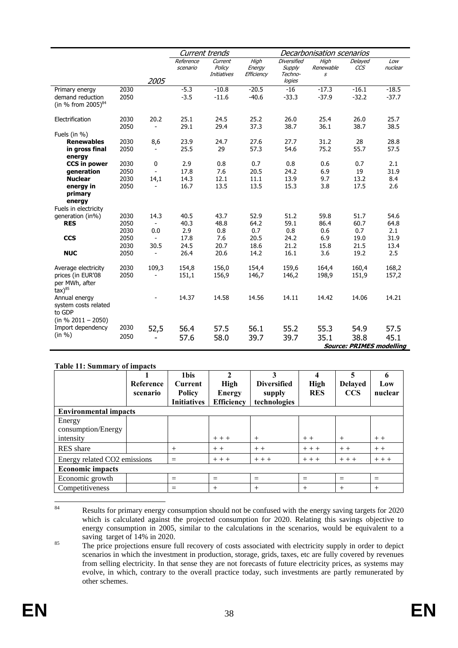|                                                                                  |              |                                   | Current trends        |                                  |                              |                                         | Decarbonisation scenarios                      |                                         |                |
|----------------------------------------------------------------------------------|--------------|-----------------------------------|-----------------------|----------------------------------|------------------------------|-----------------------------------------|------------------------------------------------|-----------------------------------------|----------------|
|                                                                                  |              |                                   | Reference<br>scenario | Current<br>Policy<br>Initiatives | High<br>Energy<br>Efficiency | <b>Diversified</b><br>Supply<br>Techno- | High<br>Renewable<br>$\boldsymbol{\mathit{s}}$ | Delayed<br>CCS                          | Low<br>nuclear |
|                                                                                  | 2030         | 2005                              |                       | $-10.8$                          | $-20.5$                      | logies<br>$-16$                         |                                                | $-16.1$                                 | $-18.5$        |
| Primary energy<br>demand reduction<br>(in % from 2005) <sup>84</sup>             | 2050         |                                   | $-5.3$<br>$-3.5$      | $-11.6$                          | $-40.6$                      | $-33.3$                                 | $-17.3$<br>$-37.9$                             | $-32.2$                                 | $-37.7$        |
| Electrification                                                                  | 2030<br>2050 | 20.2<br>$\overline{\phantom{a}}$  | 25.1<br>29.1          | 24.5<br>29.4                     | 25.2<br>37.3                 | 26.0<br>38.7                            | 25.4<br>36.1                                   | 26.0<br>38.7                            | 25.7<br>38.5   |
| Fuels (in $%$ )                                                                  |              |                                   |                       |                                  |                              |                                         |                                                |                                         |                |
| <b>Renewables</b>                                                                | 2030         | 8,6                               | 23.9                  | 24.7                             | 27.6                         | 27.7                                    | 31.2                                           | 28                                      | 28.8           |
| in gross final<br>energy                                                         | 2050         |                                   | 25.5                  | 29                               | 57.3                         | 54.6                                    | 75.2                                           | 55.7                                    | 57.5           |
| <b>CCS in power</b>                                                              | 2030         | 0                                 | 2.9                   | 0.8                              | 0.7                          | 0.8                                     | 0.6                                            | 0.7                                     | 2.1            |
| generation                                                                       | 2050         | $\overline{\phantom{a}}$          | 17.8                  | 7.6                              | 20.5                         | 24.2                                    | 6.9                                            | 19                                      | 31.9           |
| <b>Nuclear</b>                                                                   | 2030         | 14,1                              | 14.3                  | 12.1                             | 11.1                         | 13.9                                    | 9.7                                            | 13.2                                    | 8.4            |
| energy in<br>primary<br>energy                                                   | 2050         | $\overline{\phantom{a}}$          | 16.7                  | 13.5                             | 13.5                         | 15.3                                    | 3.8                                            | 17.5                                    | 2.6            |
| Fuels in electricity                                                             |              |                                   |                       |                                  |                              |                                         |                                                |                                         |                |
| generation (in%)                                                                 | 2030         | 14.3                              | 40.5                  | 43.7                             | 52.9                         | 51.2                                    | 59.8                                           | 51.7                                    | 54.6           |
| <b>RES</b>                                                                       | 2050         | $\blacksquare$                    | 40.3                  | 48.8                             | 64.2<br>0.7                  | 59.1                                    | 86.4                                           | 60.7                                    | 64.8           |
| <b>CCS</b>                                                                       | 2030<br>2050 | 0.0                               | 2.9<br>17.8           | 0.8<br>7.6                       | 20.5                         | 0.8<br>24.2                             | 0.6<br>6.9                                     | 0.7<br>19.0                             | 2.1<br>31.9    |
|                                                                                  | 2030         | 30.5                              | 24.5                  | 20.7                             | 18.6                         | 21.2                                    | 15.8                                           | 21.5                                    | 13.4           |
| <b>NUC</b>                                                                       | 2050         | $\overline{\phantom{a}}$          | 26.4                  | 20.6                             | 14.2                         | 16.1                                    | 3.6                                            | 19.2                                    | 2.5            |
| Average electricity<br>prices (in EUR'08<br>per MWh, after<br>$\text{tax})^{85}$ | 2030<br>2050 | 109,3<br>$\overline{\phantom{a}}$ | 154,8<br>151,1        | 156,0<br>156,9                   | 154,4<br>146,7               | 159,6<br>146,2                          | 164,4<br>198,9                                 | 160,4<br>151,9                          | 168,2<br>157,2 |
| Annual energy<br>system costs related<br>to GDP<br>$(in % 2011 - 2050)$          |              |                                   | 14.37                 | 14.58                            | 14.56                        | 14.11                                   | 14.42                                          | 14.06                                   | 14.21          |
| Import dependency                                                                | 2030         | 52,5                              | 56.4                  | 57.5                             | 56.1                         | 55.2                                    | 55.3                                           | 54.9                                    | 57.5           |
| (in %)                                                                           | 2050         |                                   | 57.6                  | 58.0                             | 39.7                         | 39.7                                    | 35.1                                           | 38.8<br><b>Source: PRIMES modelling</b> | 45.1           |

#### **Table 11: Summary of impacts**

|                              | <b>Reference</b><br>scenario | 1 <sub>bis</sub><br><b>Current</b><br><b>Policy</b><br><b>Initiatives</b> | High<br><b>Energy</b><br><b>Efficiency</b> | <b>Diversified</b><br>supply<br>technologies | <b>High</b><br><b>RES</b> | 5<br><b>Delayed</b><br><b>CCS</b> | Low<br>nuclear |  |  |
|------------------------------|------------------------------|---------------------------------------------------------------------------|--------------------------------------------|----------------------------------------------|---------------------------|-----------------------------------|----------------|--|--|
| <b>Environmental impacts</b> |                              |                                                                           |                                            |                                              |                           |                                   |                |  |  |
| Energy                       |                              |                                                                           |                                            |                                              |                           |                                   |                |  |  |
| consumption/Energy           |                              |                                                                           |                                            |                                              |                           |                                   |                |  |  |
| intensity                    |                              |                                                                           | $++$                                       | $^{+}$                                       | $++$                      | $^{+}$                            | $++$           |  |  |
| <b>RES</b> share             |                              | $^{+}$                                                                    | $++$                                       | $++$                                         | $+ + +$                   | $++$                              | $++$           |  |  |
| Energy related CO2 emissions |                              | $=$                                                                       | $++$                                       | $++$                                         | $++$                      | $++ +$                            | $++ +$         |  |  |
| <b>Economic impacts</b>      |                              |                                                                           |                                            |                                              |                           |                                   |                |  |  |
| Economic growth              |                              | $=$                                                                       | $=$                                        | $=$                                          | $=$                       | $=$                               | $=$            |  |  |
| Competitiveness              |                              | $=$                                                                       | $+$                                        | $^{+}$                                       | $+$                       | $^{+}$                            | $+$            |  |  |

<sup>84</sup> Results for primary energy consumption should not be confused with the energy saving targets for 2020 which is calculated against the projected consumption for 2020. Relating this savings objective to energy consumption in 2005, similar to the calculations in the scenarios, would be equivalent to a saving target of 14% in 2020.

<sup>&</sup>lt;sup>85</sup> The price projections ensure full recovery of costs associated with electricity supply in order to depict scenarios in which the investment in production, storage, grids, taxes, etc are fully covered by revenues from selling electricity. In that sense they are not forecasts of future electricity prices, as systems may evolve, in which, contrary to the overall practice today, such investments are partly remunerated by other schemes.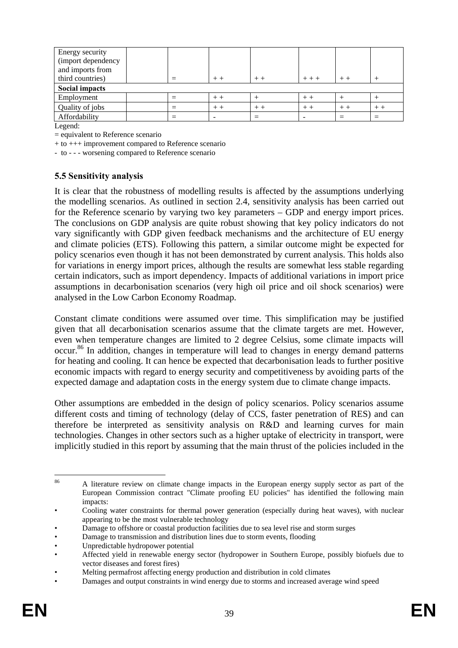| Energy security    |  |  |       |         |      |      |  |  |  |
|--------------------|--|--|-------|---------|------|------|--|--|--|
| (import dependency |  |  |       |         |      |      |  |  |  |
| and imports from   |  |  |       |         |      |      |  |  |  |
| third countries)   |  |  | $+ +$ | $+ + +$ |      |      |  |  |  |
| Social impacts     |  |  |       |         |      |      |  |  |  |
| Employment         |  |  |       |         | $++$ |      |  |  |  |
| Quality of jobs    |  |  |       | $++$    | $++$ | $++$ |  |  |  |
| Affordability      |  |  |       |         |      |      |  |  |  |

Legend:

= equivalent to Reference scenario

+ to +++ improvement compared to Reference scenario

- to - - - worsening compared to Reference scenario

### **5.5 Sensitivity analysis**

It is clear that the robustness of modelling results is affected by the assumptions underlying the modelling scenarios. As outlined in section 2.4, sensitivity analysis has been carried out for the Reference scenario by varying two key parameters – GDP and energy import prices. The conclusions on GDP analysis are quite robust showing that key policy indicators do not vary significantly with GDP given feedback mechanisms and the architecture of EU energy and climate policies (ETS). Following this pattern, a similar outcome might be expected for policy scenarios even though it has not been demonstrated by current analysis. This holds also for variations in energy import prices, although the results are somewhat less stable regarding certain indicators, such as import dependency. Impacts of additional variations in import price assumptions in decarbonisation scenarios (very high oil price and oil shock scenarios) were analysed in the Low Carbon Economy Roadmap.

Constant climate conditions were assumed over time. This simplification may be justified given that all decarbonisation scenarios assume that the climate targets are met. However, even when temperature changes are limited to 2 degree Celsius, some climate impacts will occur.86 In addition, changes in temperature will lead to changes in energy demand patterns for heating and cooling. It can hence be expected that decarbonisation leads to further positive economic impacts with regard to energy security and competitiveness by avoiding parts of the expected damage and adaptation costs in the energy system due to climate change impacts.

Other assumptions are embedded in the design of policy scenarios. Policy scenarios assume different costs and timing of technology (delay of CCS, faster penetration of RES) and can therefore be interpreted as sensitivity analysis on R&D and learning curves for main technologies. Changes in other sectors such as a higher uptake of electricity in transport, were implicitly studied in this report by assuming that the main thrust of the policies included in the

 $86$ 86 A literature review on climate change impacts in the European energy supply sector as part of the European Commission contract "Climate proofing EU policies" has identified the following main impacts:

<sup>•</sup> Cooling water constraints for thermal power generation (especially during heat waves), with nuclear appearing to be the most vulnerable technology

<sup>•</sup> Damage to offshore or coastal production facilities due to sea level rise and storm surges

<sup>•</sup> Damage to transmission and distribution lines due to storm events, flooding

<sup>•</sup> Unpredictable hydropower potential

<sup>•</sup> Affected yield in renewable energy sector (hydropower in Southern Europe, possibly biofuels due to vector diseases and forest fires)

<sup>•</sup> Melting permafrost affecting energy production and distribution in cold climates

<sup>•</sup> Damages and output constraints in wind energy due to storms and increased average wind speed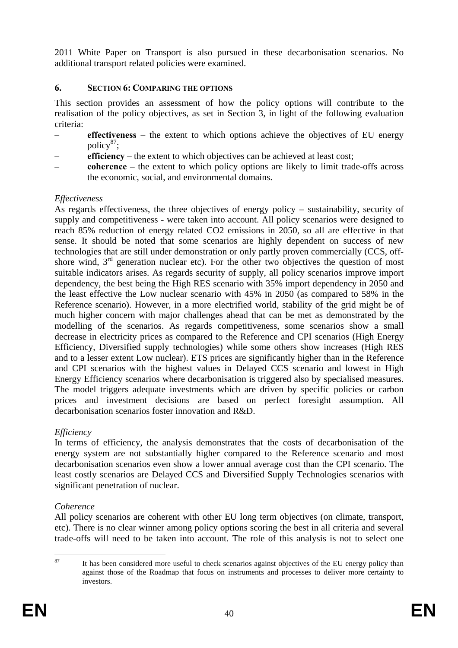2011 White Paper on Transport is also pursued in these decarbonisation scenarios. No additional transport related policies were examined.

### **6. SECTION 6: COMPARING THE OPTIONS**

This section provides an assessment of how the policy options will contribute to the realisation of the policy objectives, as set in Section 3, in light of the following evaluation criteria:

- **effectiveness** the extent to which options achieve the objectives of EU energy policy<sup>87</sup>;
- **efficiency** the extent to which objectives can be achieved at least cost;
- **coherence** the extent to which policy options are likely to limit trade-offs across the economic, social, and environmental domains.

## *Effectiveness*

As regards effectiveness, the three objectives of energy policy – sustainability, security of supply and competitiveness - were taken into account. All policy scenarios were designed to reach 85% reduction of energy related CO2 emissions in 2050, so all are effective in that sense. It should be noted that some scenarios are highly dependent on success of new technologies that are still under demonstration or only partly proven commercially (CCS, offshore wind,  $3<sup>rd</sup>$  generation nuclear etc). For the other two objectives the question of most suitable indicators arises. As regards security of supply, all policy scenarios improve import dependency, the best being the High RES scenario with 35% import dependency in 2050 and the least effective the Low nuclear scenario with 45% in 2050 (as compared to 58% in the Reference scenario). However, in a more electrified world, stability of the grid might be of much higher concern with major challenges ahead that can be met as demonstrated by the modelling of the scenarios. As regards competitiveness, some scenarios show a small decrease in electricity prices as compared to the Reference and CPI scenarios (High Energy Efficiency, Diversified supply technologies) while some others show increases (High RES and to a lesser extent Low nuclear). ETS prices are significantly higher than in the Reference and CPI scenarios with the highest values in Delayed CCS scenario and lowest in High Energy Efficiency scenarios where decarbonisation is triggered also by specialised measures. The model triggers adequate investments which are driven by specific policies or carbon prices and investment decisions are based on perfect foresight assumption. All decarbonisation scenarios foster innovation and R&D.

## *Efficiency*

In terms of efficiency, the analysis demonstrates that the costs of decarbonisation of the energy system are not substantially higher compared to the Reference scenario and most decarbonisation scenarios even show a lower annual average cost than the CPI scenario. The least costly scenarios are Delayed CCS and Diversified Supply Technologies scenarios with significant penetration of nuclear.

## *Coherence*

All policy scenarios are coherent with other EU long term objectives (on climate, transport, etc). There is no clear winner among policy options scoring the best in all criteria and several trade-offs will need to be taken into account. The role of this analysis is not to select one

 $87$ 

It has been considered more useful to check scenarios against objectives of the EU energy policy than against those of the Roadmap that focus on instruments and processes to deliver more certainty to investors.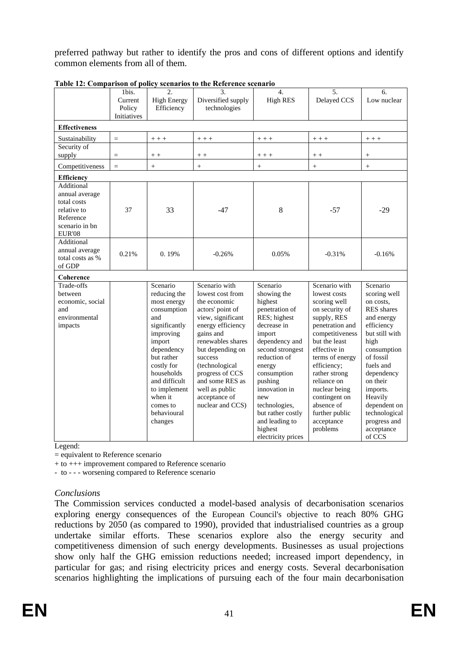preferred pathway but rather to identify the pros and cons of different options and identify common elements from all of them.

|                                                                                                            | 1bis.       | 2.                       | $\overline{3}$ .                   | 4.                               | 5.                             | 6.                       |
|------------------------------------------------------------------------------------------------------------|-------------|--------------------------|------------------------------------|----------------------------------|--------------------------------|--------------------------|
|                                                                                                            | Current     | <b>High Energy</b>       | Diversified supply                 | <b>High RES</b>                  | Delayed CCS                    | Low nuclear              |
|                                                                                                            | Policy      | Efficiency               | technologies                       |                                  |                                |                          |
|                                                                                                            | Initiatives |                          |                                    |                                  |                                |                          |
| <b>Effectiveness</b>                                                                                       |             |                          |                                    |                                  |                                |                          |
| Sustainability                                                                                             | $=$         | $++ +$                   | $++ +$                             | $++ +$                           | $++ +$                         | $+ + +$                  |
| Security of                                                                                                |             |                          |                                    |                                  |                                |                          |
| supply                                                                                                     | $=$         | $+ +$                    | $+ +$                              | $++ +$                           | $+ +$                          | $^{+}$                   |
| Competitiveness                                                                                            | $=$         | $^{+}$                   | $+$                                | $+$                              | $^{+}$                         | $^{+}$                   |
| <b>Efficiency</b>                                                                                          |             |                          |                                    |                                  |                                |                          |
| Additional<br>annual average<br>total costs<br>relative to<br>Reference<br>scenario in bn<br><b>EUR'08</b> | 37          | 33                       | $-47$                              | 8                                | $-57$                          | $-29$                    |
| Additional<br>annual average<br>total costs as %<br>of GDP                                                 | 0.21%       | 0.19%                    | $-0.26%$                           | 0.05%                            | $-0.31%$                       | $-0.16%$                 |
| Coherence                                                                                                  |             |                          |                                    |                                  |                                |                          |
| Trade-offs                                                                                                 |             | Scenario                 | Scenario with                      | Scenario                         | Scenario with                  | Scenario                 |
| between                                                                                                    |             | reducing the             | lowest cost from                   | showing the                      | lowest costs                   | scoring well             |
| economic, social                                                                                           |             | most energy              | the economic                       | highest                          | scoring well                   | on costs.                |
| and                                                                                                        |             | consumption              | actors' point of                   | penetration of                   | on security of                 | RES shares               |
| environmental                                                                                              |             | and                      | view, significant                  | RES; highest                     | supply, RES                    | and energy               |
| impacts                                                                                                    |             | significantly            | energy efficiency                  | decrease in                      | penetration and                | efficiency               |
|                                                                                                            |             | improving                | gains and                          | import                           | competitiveness                | but still with           |
|                                                                                                            |             | import                   | renewables shares                  | dependency and                   | but the least                  | high                     |
|                                                                                                            |             | dependency<br>but rather | but depending on                   | second strongest<br>reduction of | effective in                   | consumption<br>of fossil |
|                                                                                                            |             | costly for               | success                            |                                  | terms of energy<br>efficiency; | fuels and                |
|                                                                                                            |             | households               | (technological                     | energy                           |                                |                          |
|                                                                                                            |             | and difficult            | progress of CCS<br>and some RES as | consumption                      | rather strong<br>reliance on   | dependency<br>on their   |
|                                                                                                            |             | to implement             | well as public                     | pushing<br>innovation in         | nuclear being                  | imports.                 |
|                                                                                                            |             | when it                  | acceptance of                      | new                              | contingent on                  | Heavily                  |
|                                                                                                            |             | comes to                 | nuclear and CCS)                   | technologies,                    | absence of                     | dependent on             |
|                                                                                                            |             | behavioural              |                                    | but rather costly                | further public                 | technological            |
|                                                                                                            |             | changes                  |                                    | and leading to                   | acceptance                     | progress and             |
|                                                                                                            |             |                          |                                    | highest                          | problems                       | acceptance               |
|                                                                                                            |             |                          |                                    | electricity prices               |                                | of CCS                   |

**Table 12: Comparison of policy scenarios to the Reference scenario** 

Legend:

= equivalent to Reference scenario

+ to +++ improvement compared to Reference scenario

- to - - - worsening compared to Reference scenario

## *Conclusions*

The Commission services conducted a model-based analysis of decarbonisation scenarios exploring energy consequences of the European Council's objective to reach 80% GHG reductions by 2050 (as compared to 1990), provided that industrialised countries as a group undertake similar efforts. These scenarios explore also the energy security and competitiveness dimension of such energy developments. Businesses as usual projections show only half the GHG emission reductions needed; increased import dependency, in particular for gas; and rising electricity prices and energy costs. Several decarbonisation scenarios highlighting the implications of pursuing each of the four main decarbonisation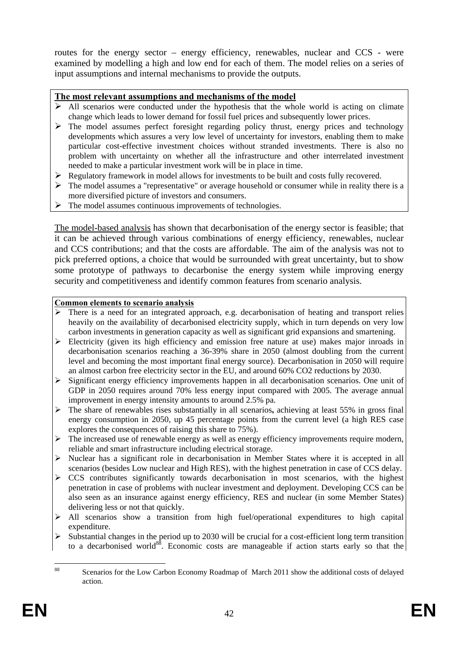routes for the energy sector – energy efficiency, renewables, nuclear and CCS - were examined by modelling a high and low end for each of them. The model relies on a series of input assumptions and internal mechanisms to provide the outputs.

### **The most relevant assumptions and mechanisms of the model**

- $\triangleright$  All scenarios were conducted under the hypothesis that the whole world is acting on climate change which leads to lower demand for fossil fuel prices and subsequently lower prices.
- $\triangleright$  The model assumes perfect foresight regarding policy thrust, energy prices and technology developments which assures a very low level of uncertainty for investors, enabling them to make particular cost-effective investment choices without stranded investments. There is also no problem with uncertainty on whether all the infrastructure and other interrelated investment needed to make a particular investment work will be in place in time.
- $\triangleright$  Regulatory framework in model allows for investments to be built and costs fully recovered.
- $\triangleright$  The model assumes a "representative" or average household or consumer while in reality there is a more diversified picture of investors and consumers.
- $\triangleright$  The model assumes continuous improvements of technologies.

The model-based analysis has shown that decarbonisation of the energy sector is feasible; that it can be achieved through various combinations of energy efficiency, renewables, nuclear and CCS contributions; and that the costs are affordable. The aim of the analysis was not to pick preferred options, a choice that would be surrounded with great uncertainty, but to show some prototype of pathways to decarbonise the energy system while improving energy security and competitiveness and identify common features from scenario analysis.

### **Common elements to scenario analysis**

- $\triangleright$  There is a need for an integrated approach, e.g. decarbonisation of heating and transport relies heavily on the availability of decarbonised electricity supply, which in turn depends on very low carbon investments in generation capacity as well as significant grid expansions and smartening.
- $\triangleright$  Electricity (given its high efficiency and emission free nature at use) makes major inroads in decarbonisation scenarios reaching a 36-39% share in 2050 (almost doubling from the current level and becoming the most important final energy source). Decarbonisation in 2050 will require an almost carbon free electricity sector in the EU, and around 60% CO2 reductions by 2030.
- ¾ Significant energy efficiency improvements happen in all decarbonisation scenarios. One unit of GDP in 2050 requires around 70% less energy input compared with 2005. The average annual improvement in energy intensity amounts to around 2.5% pa.
- ¾ The share of renewables rises substantially in all scenarios**,** achieving at least 55% in gross final energy consumption in 2050, up 45 percentage points from the current level (a high RES case explores the consequences of raising this share to 75%).
- ¾ The increased use of renewable energy as well as energy efficiency improvements require modern, reliable and smart infrastructure including electrical storage.
- ¾ Nuclear has a significant role in decarbonisation in Member States where it is accepted in all scenarios (besides Low nuclear and High RES), with the highest penetration in case of CCS delay.
- $\triangleright$  CCS contributes significantly towards decarbonisation in most scenarios, with the highest penetration in case of problems with nuclear investment and deployment. Developing CCS can be also seen as an insurance against energy efficiency, RES and nuclear (in some Member States) delivering less or not that quickly.
- $\triangleright$  All scenarios show a transition from high fuel/operational expenditures to high capital expenditure.
- $\triangleright$  Substantial changes in the period up to 2030 will be crucial for a cost-efficient long term transition to a decarbonised world<sup>88</sup>. Economic costs are manageable if action starts early so that the

 $\Omega$ Scenarios for the Low Carbon Economy Roadmap of March 2011 show the additional costs of delayed action.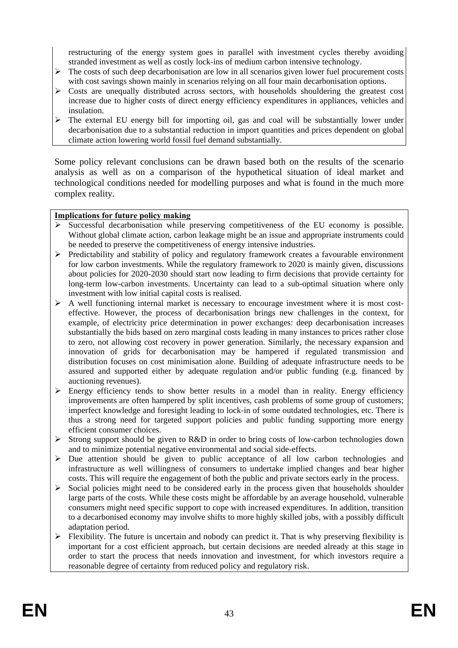restructuring of the energy system goes in parallel with investment cycles thereby avoiding stranded investment as well as costly lock-ins of medium carbon intensive technology.

- $\triangleright$  The costs of such deep decarbonisation are low in all scenarios given lower fuel procurement costs with cost savings shown mainly in scenarios relying on all four main decarbonisation options.
- $\triangleright$  Costs are unequally distributed across sectors, with households shouldering the greatest cost increase due to higher costs of direct energy efficiency expenditures in appliances, vehicles and insulation.
- $\triangleright$  The external EU energy bill for importing oil, gas and coal will be substantially lower under decarbonisation due to a substantial reduction in import quantities and prices dependent on global climate action lowering world fossil fuel demand substantially.

Some policy relevant conclusions can be drawn based both on the results of the scenario analysis as well as on a comparison of the hypothetical situation of ideal market and technological conditions needed for modelling purposes and what is found in the much more complex reality.

### **Implications for future policy making**

- ¾ Successful decarbonisation while preserving competitiveness of the EU economy is possible. Without global climate action, carbon leakage might be an issue and appropriate instruments could be needed to preserve the competitiveness of energy intensive industries.
- $\triangleright$  Predictability and stability of policy and regulatory framework creates a favourable environment for low carbon investments. While the regulatory framework to 2020 is mainly given, discussions about policies for 2020-2030 should start now leading to firm decisions that provide certainty for long-term low-carbon investments. Uncertainty can lead to a sub-optimal situation where only investment with low initial capital costs is realised.
- $\triangleright$  A well functioning internal market is necessary to encourage investment where it is most costeffective. However, the process of decarbonisation brings new challenges in the context, for example, of electricity price determination in power exchanges: deep decarbonisation increases substantially the bids based on zero marginal costs leading in many instances to prices rather close to zero, not allowing cost recovery in power generation. Similarly, the necessary expansion and innovation of grids for decarbonisation may be hampered if regulated transmission and distribution focuses on cost minimisation alone. Building of adequate infrastructure needs to be assured and supported either by adequate regulation and/or public funding (e.g. financed by auctioning revenues).
- $\triangleright$  Energy efficiency tends to show better results in a model than in reality. Energy efficiency improvements are often hampered by split incentives, cash problems of some group of customers; imperfect knowledge and foresight leading to lock-in of some outdated technologies, etc. There is thus a strong need for targeted support policies and public funding supporting more energy efficient consumer choices.
- $\triangleright$  Strong support should be given to R&D in order to bring costs of low-carbon technologies down and to minimize potential negative environmental and social side-effects.
- $\triangleright$  Due attention should be given to public acceptance of all low carbon technologies and infrastructure as well willingness of consumers to undertake implied changes and bear higher costs. This will require the engagement of both the public and private sectors early in the process.
- $\triangleright$  Social policies might need to be considered early in the process given that households shoulder large parts of the costs. While these costs might be affordable by an average household, vulnerable consumers might need specific support to cope with increased expenditures. In addition, transition to a decarbonised economy may involve shifts to more highly skilled jobs, with a possibly difficult adaptation period.
- $\triangleright$  Flexibility. The future is uncertain and nobody can predict it. That is why preserving flexibility is important for a cost efficient approach, but certain decisions are needed already at this stage in order to start the process that needs innovation and investment, for which investors require a reasonable degree of certainty from reduced policy and regulatory risk.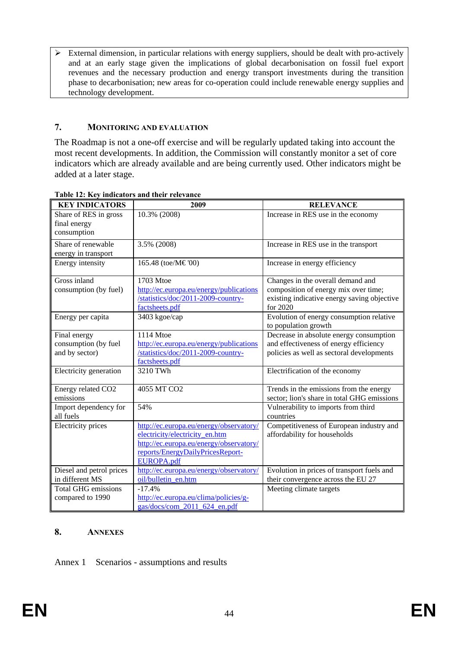$\triangleright$  External dimension, in particular relations with energy suppliers, should be dealt with pro-actively and at an early stage given the implications of global decarbonisation on fossil fuel export revenues and the necessary production and energy transport investments during the transition phase to decarbonisation; new areas for co-operation could include renewable energy supplies and technology development.

### **7. MONITORING AND EVALUATION**

The Roadmap is not a one-off exercise and will be regularly updated taking into account the most recent developments. In addition, the Commission will constantly monitor a set of core indicators which are already available and are being currently used. Other indicators might be added at a later stage.

| <b>KEY INDICATORS</b>     | 2009                                    | <b>RELEVANCE</b>                            |
|---------------------------|-----------------------------------------|---------------------------------------------|
| Share of RES in gross     | 10.3% (2008)                            | Increase in RES use in the economy          |
| final energy              |                                         |                                             |
| consumption               |                                         |                                             |
| Share of renewable        | 3.5% (2008)                             | Increase in RES use in the transport        |
| energy in transport       |                                         |                                             |
| <b>Energy</b> intensity   | 165.48 (toe/M€'00)                      | Increase in energy efficiency               |
| Gross inland              | 1703 Mtoe                               | Changes in the overall demand and           |
| consumption (by fuel)     | http://ec.europa.eu/energy/publications | composition of energy mix over time;        |
|                           | /statistics/doc/2011-2009-country-      | existing indicative energy saving objective |
|                           | factsheets.pdf                          | for 2020                                    |
| Energy per capita         | 3403 kgoe/cap                           | Evolution of energy consumption relative    |
|                           |                                         | to population growth                        |
| Final energy              | 1114 Mtoe                               | Decrease in absolute energy consumption     |
| consumption (by fuel      | http://ec.europa.eu/energy/publications | and effectiveness of energy efficiency      |
| and by sector)            | /statistics/doc/2011-2009-country-      | policies as well as sectoral developments   |
|                           | factsheets.pdf                          |                                             |
| Electricity generation    | 3210 TWh                                | Electrification of the economy              |
| Energy related CO2        | 4055 MT CO2                             | Trends in the emissions from the energy     |
| emissions                 |                                         | sector; lion's share in total GHG emissions |
| Import dependency for     | 54%                                     | Vulnerability to imports from third         |
| all fuels                 |                                         | countries                                   |
| <b>Electricity</b> prices | http://ec.europa.eu/energy/observatory/ | Competitiveness of European industry and    |
|                           | electricity/electricity en.htm          | affordability for households                |
|                           | http://ec.europa.eu/energy/observatory/ |                                             |
|                           | reports/EnergyDailyPricesReport-        |                                             |
|                           | <b>EUROPA.pdf</b>                       |                                             |
| Diesel and petrol prices  | http://ec.europa.eu/energy/observatory/ | Evolution in prices of transport fuels and  |
| in different MS           | oil/bulletin en.htm                     | their convergence across the EU 27          |
| Total GHG emissions       | $-17.4%$                                | Meeting climate targets                     |
| compared to 1990          | http://ec.europa.eu/clima/policies/g-   |                                             |
|                           | gas/docs/com_2011_624_en.pdf            |                                             |

### **Table 12: Key indicators and their relevance**

## **8. ANNEXES**

Annex 1 Scenarios - assumptions and results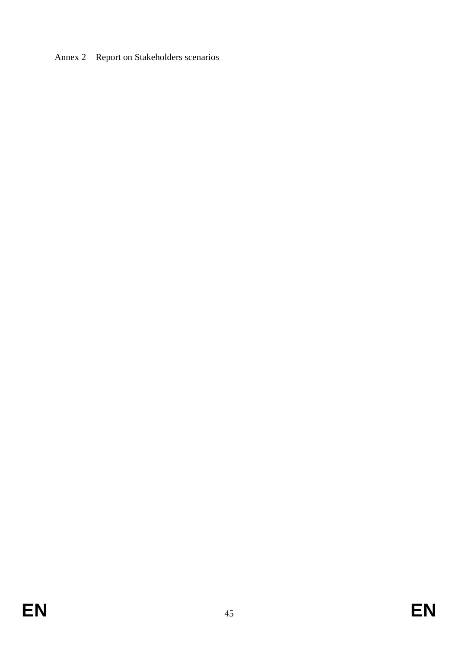Annex 2 Report on Stakeholders scenarios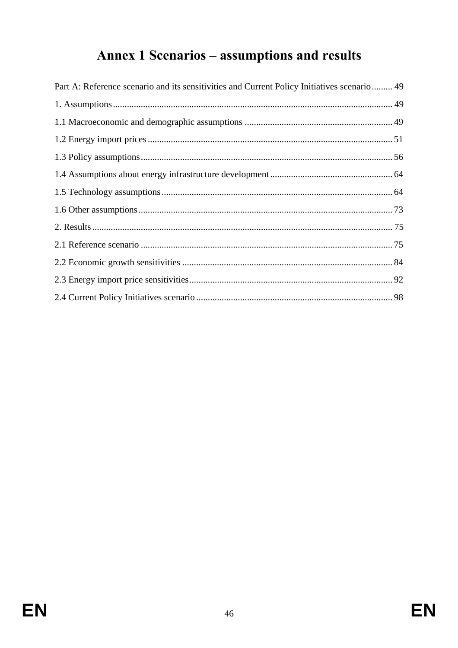# Annex 1 Scenarios - assumptions and results

| Part A: Reference scenario and its sensitivities and Current Policy Initiatives scenario 49 |  |
|---------------------------------------------------------------------------------------------|--|
|                                                                                             |  |
|                                                                                             |  |
|                                                                                             |  |
|                                                                                             |  |
|                                                                                             |  |
|                                                                                             |  |
|                                                                                             |  |
|                                                                                             |  |
|                                                                                             |  |
|                                                                                             |  |
|                                                                                             |  |
|                                                                                             |  |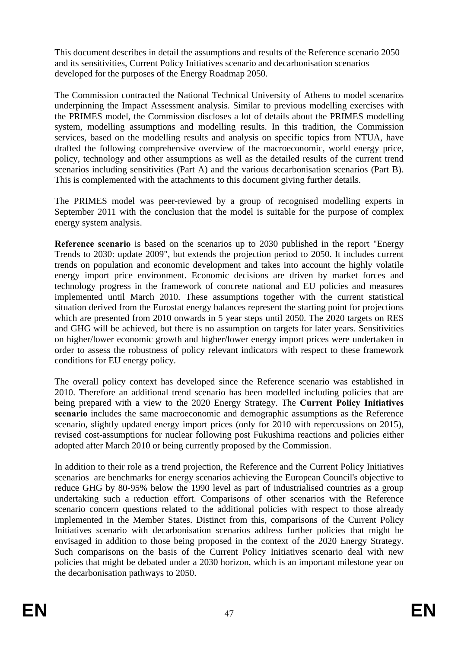This document describes in detail the assumptions and results of the Reference scenario 2050 and its sensitivities, Current Policy Initiatives scenario and decarbonisation scenarios developed for the purposes of the Energy Roadmap 2050.

The Commission contracted the National Technical University of Athens to model scenarios underpinning the Impact Assessment analysis. Similar to previous modelling exercises with the PRIMES model, the Commission discloses a lot of details about the PRIMES modelling system, modelling assumptions and modelling results. In this tradition, the Commission services, based on the modelling results and analysis on specific topics from NTUA, have drafted the following comprehensive overview of the macroeconomic, world energy price, policy, technology and other assumptions as well as the detailed results of the current trend scenarios including sensitivities (Part A) and the various decarbonisation scenarios (Part B). This is complemented with the attachments to this document giving further details.

The PRIMES model was peer-reviewed by a group of recognised modelling experts in September 2011 with the conclusion that the model is suitable for the purpose of complex energy system analysis.

**Reference scenario** is based on the scenarios up to 2030 published in the report "Energy Trends to 2030: update 2009", but extends the projection period to 2050. It includes current trends on population and economic development and takes into account the highly volatile energy import price environment. Economic decisions are driven by market forces and technology progress in the framework of concrete national and EU policies and measures implemented until March 2010. These assumptions together with the current statistical situation derived from the Eurostat energy balances represent the starting point for projections which are presented from 2010 onwards in 5 year steps until 2050. The 2020 targets on RES and GHG will be achieved, but there is no assumption on targets for later years. Sensitivities on higher/lower economic growth and higher/lower energy import prices were undertaken in order to assess the robustness of policy relevant indicators with respect to these framework conditions for EU energy policy.

The overall policy context has developed since the Reference scenario was established in 2010. Therefore an additional trend scenario has been modelled including policies that are being prepared with a view to the 2020 Energy Strategy. The **Current Policy Initiatives scenario** includes the same macroeconomic and demographic assumptions as the Reference scenario, slightly updated energy import prices (only for 2010 with repercussions on 2015), revised cost-assumptions for nuclear following post Fukushima reactions and policies either adopted after March 2010 or being currently proposed by the Commission.

In addition to their role as a trend projection, the Reference and the Current Policy Initiatives scenarios are benchmarks for energy scenarios achieving the European Council's objective to reduce GHG by 80-95% below the 1990 level as part of industrialised countries as a group undertaking such a reduction effort. Comparisons of other scenarios with the Reference scenario concern questions related to the additional policies with respect to those already implemented in the Member States. Distinct from this, comparisons of the Current Policy Initiatives scenario with decarbonisation scenarios address further policies that might be envisaged in addition to those being proposed in the context of the 2020 Energy Strategy. Such comparisons on the basis of the Current Policy Initiatives scenario deal with new policies that might be debated under a 2030 horizon, which is an important milestone year on the decarbonisation pathways to 2050.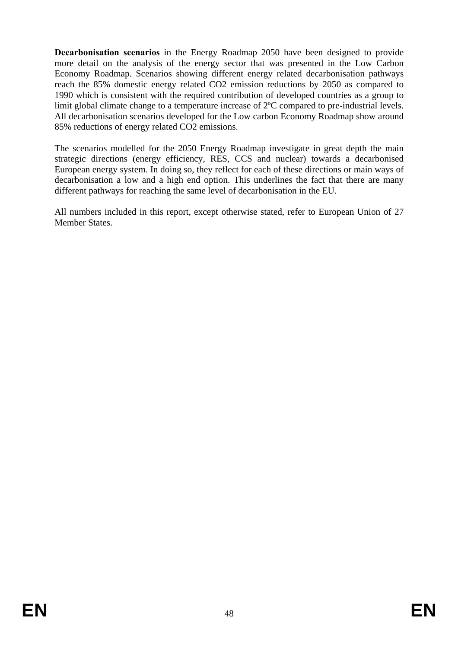**Decarbonisation scenarios** in the Energy Roadmap 2050 have been designed to provide more detail on the analysis of the energy sector that was presented in the Low Carbon Economy Roadmap. Scenarios showing different energy related decarbonisation pathways reach the 85% domestic energy related CO2 emission reductions by 2050 as compared to 1990 which is consistent with the required contribution of developed countries as a group to limit global climate change to a temperature increase of 2ºC compared to pre-industrial levels. All decarbonisation scenarios developed for the Low carbon Economy Roadmap show around 85% reductions of energy related CO2 emissions.

The scenarios modelled for the 2050 Energy Roadmap investigate in great depth the main strategic directions (energy efficiency, RES, CCS and nuclear) towards a decarbonised European energy system. In doing so, they reflect for each of these directions or main ways of decarbonisation a low and a high end option. This underlines the fact that there are many different pathways for reaching the same level of decarbonisation in the EU.

All numbers included in this report, except otherwise stated, refer to European Union of 27 Member States.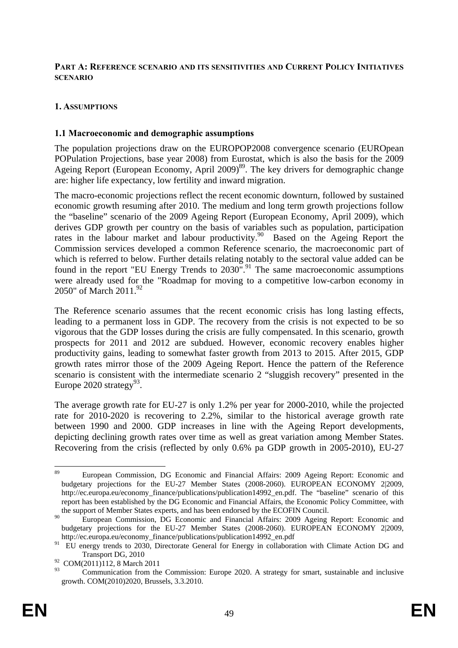### <span id="page-49-0"></span>**PART A: REFERENCE SCENARIO AND ITS SENSITIVITIES AND CURRENT POLICY INITIATIVES SCENARIO**

### <span id="page-49-1"></span>**1. ASSUMPTIONS**

### <span id="page-49-2"></span>**1.1 Macroeconomic and demographic assumptions**

The population projections draw on the EUROPOP2008 convergence scenario (EUROpean POPulation Projections, base year 2008) from Eurostat, which is also the basis for the 2009 Ageing Report (European Economy, April 2009)<sup>89</sup>. The key drivers for demographic change are: higher life expectancy, low fertility and inward migration.

The macro-economic projections reflect the recent economic downturn, followed by sustained economic growth resuming after 2010. The medium and long term growth projections follow the "baseline" scenario of the 2009 Ageing Report (European Economy, April 2009), which derives GDP growth per country on the basis of variables such as population, participation rates in the labour market and labour productivity.<sup>90</sup> Based on the Ageing Report the Commission services developed a common Reference scenario, the macroeconomic part of which is referred to below. Further details relating notably to the sectoral value added can be found in the report "EU Energy Trends to  $2030$ ".<sup>91</sup> The same macroeconomic assumptions were already used for the "Roadmap for moving to a competitive low-carbon economy in 2050" of March 2011.<sup>92</sup>

The Reference scenario assumes that the recent economic crisis has long lasting effects, leading to a permanent loss in GDP. The recovery from the crisis is not expected to be so vigorous that the GDP losses during the crisis are fully compensated. In this scenario, growth prospects for 2011 and 2012 are subdued. However, economic recovery enables higher productivity gains, leading to somewhat faster growth from 2013 to 2015. After 2015, GDP growth rates mirror those of the 2009 Ageing Report. Hence the pattern of the Reference scenario is consistent with the intermediate scenario 2 "sluggish recovery" presented in the Europe 2020 strategy<sup>93</sup>.

The average growth rate for EU-27 is only 1.2% per year for 2000-2010, while the projected rate for 2010-2020 is recovering to 2.2%, similar to the historical average growth rate between 1990 and 2000. GDP increases in line with the Ageing Report developments, depicting declining growth rates over time as well as great variation among Member States. Recovering from the crisis (reflected by only 0.6% pa GDP growth in 2005-2010), EU-27

<sup>89</sup> 89 European Commission, DG Economic and Financial Affairs: 2009 Ageing Report: Economic and budgetary projections for the EU-27 Member States (2008-2060). EUROPEAN ECONOMY 2|2009, http://ec.europa.eu/economy\_finance/publications/publication14992\_en.pdf. The "baseline" scenario of this report has been established by the DG Economic and Financial Affairs, the Economic Policy Committee, with the support of Member States experts, and has been endorsed by the ECOFIN Council.

<sup>90</sup> European Commission, DG Economic and Financial Affairs: 2009 Ageing Report: Economic and budgetary projections for the EU-27 Member States (2008-2060). EUROPEAN ECONOMY 2|2009, http://ec.europa.eu/economy\_finance/publications/publication14992\_en.pdf

<sup>&</sup>lt;sup>91</sup> EU energy trends to 2030, Directorate General for Energy in collaboration with Climate Action DG and Transport DG, 2010

 $^{92}_{93}$  COM(2011)112, 8 March 2011

<sup>93</sup> Communication from the Commission: Europe 2020. A strategy for smart, sustainable and inclusive growth. COM(2010)2020, Brussels, 3.3.2010.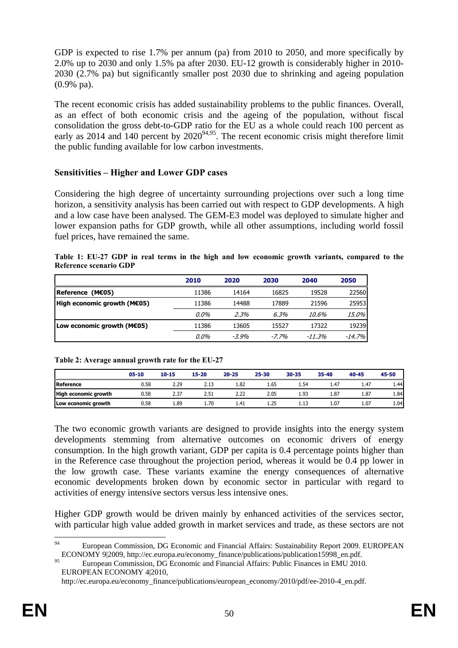GDP is expected to rise 1.7% per annum (pa) from 2010 to 2050, and more specifically by 2.0% up to 2030 and only 1.5% pa after 2030. EU-12 growth is considerably higher in 2010- 2030 (2.7% pa) but significantly smaller post 2030 due to shrinking and ageing population (0.9% pa).

The recent economic crisis has added sustainability problems to the public finances. Overall, as an effect of both economic crisis and the ageing of the population, without fiscal consolidation the gross debt-to-GDP ratio for the EU as a whole could reach 100 percent as early as 2014 and 140 percent by  $2020^{94,95}$ . The recent economic crisis might therefore limit the public funding available for low carbon investments.

## **Sensitivities – Higher and Lower GDP cases**

Considering the high degree of uncertainty surrounding projections over such a long time horizon, a sensitivity analysis has been carried out with respect to GDP developments. A high and a low case have been analysed. The GEM-E3 model was deployed to simulate higher and lower expansion paths for GDP growth, while all other assumptions, including world fossil fuel prices, have remained the same.

|  |                        |  |  |  |  |  |  | Table 1: EU-27 GDP in real terms in the high and low economic growth variants, compared to the |  |
|--|------------------------|--|--|--|--|--|--|------------------------------------------------------------------------------------------------|--|
|  | Reference scenario GDP |  |  |  |  |  |  |                                                                                                |  |

|                             | 2010  | 2020     | 2030     | 2040   | 2050      |
|-----------------------------|-------|----------|----------|--------|-----------|
| Reference (M€05)            | 11386 | 14164    | 16825    | 19528  | 22560     |
| High economic growth (M€05) | 11386 | 14488    | 17889    | 21596  | 25953     |
|                             | 0.0%  | 2.3%     | 6.3%     | 10.6%  | 15.0%     |
| Low economic growth (ME05)  | 11386 | 13605    | 15527    | 17322  | 19239     |
|                             | 0.0%  | $-3.9\%$ | $-7.7\%$ | -11.3% | $-14.7\%$ |

|                             | 05-10 | $10 - 15$ | $15 - 20$ | $20 - 25$ | 25-30 | 30-35 | 35-40 | 40-45 | 45-50 |
|-----------------------------|-------|-----------|-----------|-----------|-------|-------|-------|-------|-------|
| Reference                   | 0.58  | 2.29      | 2.13      | 1.82      | 1.65  | 1.54  | 1.47  | 1.47  | 1.44  |
| <b>High economic growth</b> | 0.58  | 2.37      | 2.51      | 2.22      | 2.05  | 1.93  | 1.87  | 1.87  | 1.84  |
| Low economic growth         | 0.58  | 1.89      | .70       | 1.41      | 1.25  |       | 1.07  | 1.07  | 1.04  |

**Table 2: Average annual growth rate for the EU-27** 

The two economic growth variants are designed to provide insights into the energy system developments stemming from alternative outcomes on economic drivers of energy consumption. In the high growth variant, GDP per capita is 0.4 percentage points higher than in the Reference case throughout the projection period, whereas it would be 0.4 pp lower in the low growth case. These variants examine the energy consequences of alternative economic developments broken down by economic sector in particular with regard to activities of energy intensive sectors versus less intensive ones.

Higher GDP growth would be driven mainly by enhanced activities of the services sector, with particular high value added growth in market services and trade, as these sectors are not

 $\alpha$ 94 European Commission, DG Economic and Financial Affairs: Sustainability Report 2009. EUROPEAN ECONOMY 9|2009, http://ec.europa.eu/economy\_finance/publications/publication15998\_en.pdf.

<sup>95</sup> European Commission, DG Economic and Financial Affairs: Public Finances in EMU 2010. EUROPEAN ECONOMY 4|2010,

http://ec.europa.eu/economy\_finance/publications/european\_economy/2010/pdf/ee-2010-4\_en.pdf.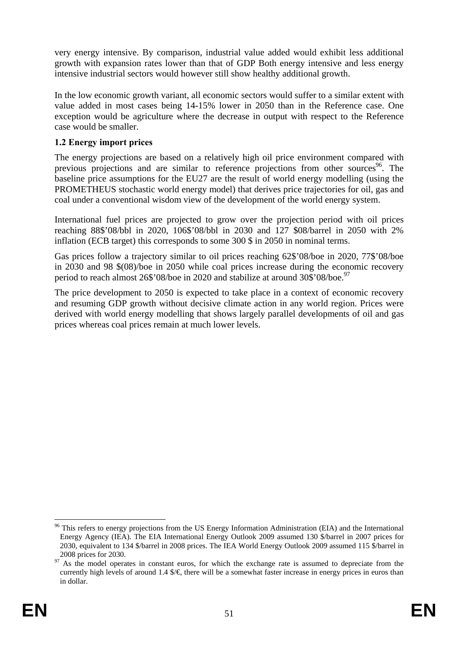very energy intensive. By comparison, industrial value added would exhibit less additional growth with expansion rates lower than that of GDP Both energy intensive and less energy intensive industrial sectors would however still show healthy additional growth.

In the low economic growth variant, all economic sectors would suffer to a similar extent with value added in most cases being 14-15% lower in 2050 than in the Reference case. One exception would be agriculture where the decrease in output with respect to the Reference case would be smaller.

### <span id="page-51-0"></span>**1.2 Energy import prices**

The energy projections are based on a relatively high oil price environment compared with previous projections and are similar to reference projections from other sources<sup>96</sup>. The baseline price assumptions for the EU27 are the result of world energy modelling (using the PROMETHEUS stochastic world energy model) that derives price trajectories for oil, gas and coal under a conventional wisdom view of the development of the world energy system.

International fuel prices are projected to grow over the projection period with oil prices reaching 88\$'08/bbl in 2020, 106\$'08/bbl in 2030 and 127 \$08/barrel in 2050 with 2% inflation (ECB target) this corresponds to some 300 \$ in 2050 in nominal terms.

Gas prices follow a trajectory similar to oil prices reaching 62\$'08/boe in 2020, 77\$'08/boe in 2030 and 98 \$(08)/boe in 2050 while coal prices increase during the economic recovery period to reach almost 26\$'08/boe in 2020 and stabilize at around 30\$'08/boe.<sup>97</sup>

The price development to 2050 is expected to take place in a context of economic recovery and resuming GDP growth without decisive climate action in any world region. Prices were derived with world energy modelling that shows largely parallel developments of oil and gas prices whereas coal prices remain at much lower levels.

 $\overline{a}$ 

<sup>&</sup>lt;sup>96</sup> This refers to energy projections from the US Energy Information Administration (EIA) and the International Energy Agency (IEA). The EIA International Energy Outlook 2009 assumed 130 \$/barrel in 2007 prices for 2030, equivalent to 134 \$/barrel in 2008 prices. The IEA World Energy Outlook 2009 assumed 115 \$/barrel in

 $2008$  prices for 2030.<br><sup>97</sup> As the model operates in constant euros, for which the exchange rate is assumed to depreciate from the currently high levels of around 1.4  $\mathcal{S}/\mathcal{E}$  there will be a somewhat faster increase in energy prices in euros than in dollar.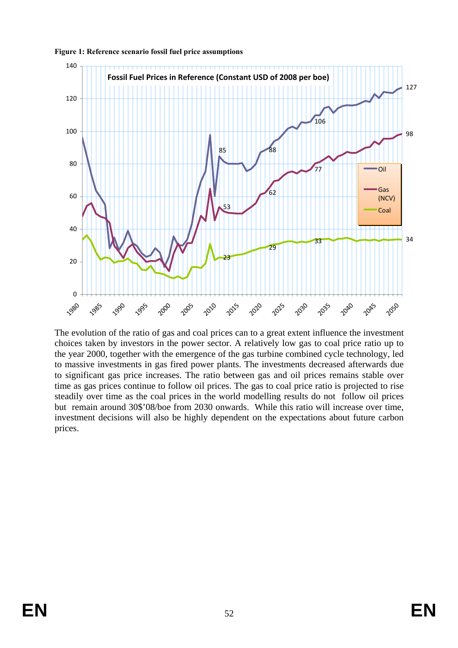

**Figure 1: Reference scenario fossil fuel price assumptions** 

The evolution of the ratio of gas and coal prices can to a great extent influence the investment choices taken by investors in the power sector. A relatively low gas to coal price ratio up to the year 2000, together with the emergence of the gas turbine combined cycle technology, led to massive investments in gas fired power plants. The investments decreased afterwards due to significant gas price increases. The ratio between gas and oil prices remains stable over time as gas prices continue to follow oil prices. The gas to coal price ratio is projected to rise steadily over time as the coal prices in the world modelling results do not follow oil prices but remain around 30\$'08/boe from 2030 onwards. While this ratio will increase over time, investment decisions will also be highly dependent on the expectations about future carbon prices.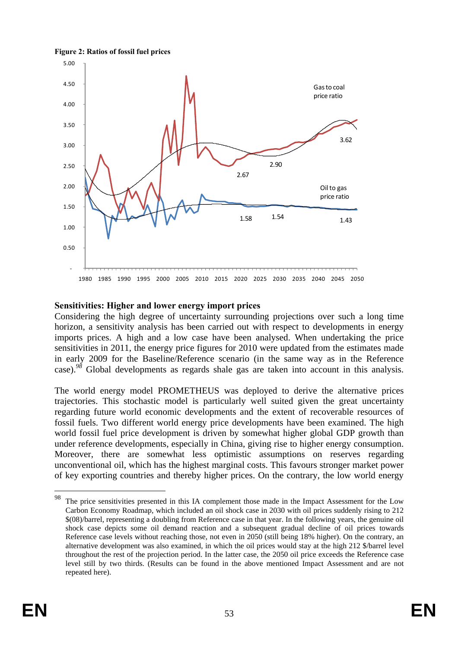



### **Sensitivities: Higher and lower energy import prices**

Considering the high degree of uncertainty surrounding projections over such a long time horizon, a sensitivity analysis has been carried out with respect to developments in energy imports prices. A high and a low case have been analysed. When undertaking the price sensitivities in 2011, the energy price figures for 2010 were updated from the estimates made in early 2009 for the Baseline/Reference scenario (in the same way as in the Reference case).<sup>98</sup> Global developments as regards shale gas are taken into account in this analysis.

The world energy model PROMETHEUS was deployed to derive the alternative prices trajectories. This stochastic model is particularly well suited given the great uncertainty regarding future world economic developments and the extent of recoverable resources of fossil fuels. Two different world energy price developments have been examined. The high world fossil fuel price development is driven by somewhat higher global GDP growth than under reference developments, especially in China, giving rise to higher energy consumption. Moreover, there are somewhat less optimistic assumptions on reserves regarding unconventional oil, which has the highest marginal costs. This favours stronger market power of key exporting countries and thereby higher prices. On the contrary, the low world energy

 $\overline{a}$ 

<sup>98</sup> The price sensitivities presented in this IA complement those made in the Impact Assessment for the Low Carbon Economy Roadmap, which included an oil shock case in 2030 with oil prices suddenly rising to 212 \$(08)/barrel, representing a doubling from Reference case in that year. In the following years, the genuine oil shock case depicts some oil demand reaction and a subsequent gradual decline of oil prices towards Reference case levels without reaching those, not even in 2050 (still being 18% higher). On the contrary, an alternative development was also examined, in which the oil prices would stay at the high 212 \$/barrel level throughout the rest of the projection period. In the latter case, the 2050 oil price exceeds the Reference case level still by two thirds. (Results can be found in the above mentioned Impact Assessment and are not repeated here).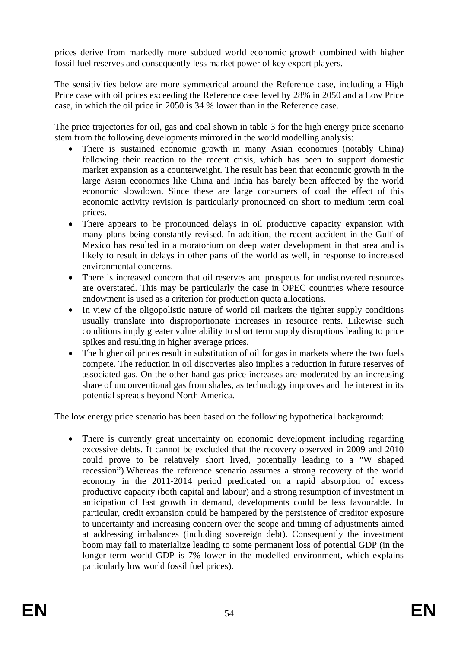prices derive from markedly more subdued world economic growth combined with higher fossil fuel reserves and consequently less market power of key export players.

The sensitivities below are more symmetrical around the Reference case, including a High Price case with oil prices exceeding the Reference case level by 28% in 2050 and a Low Price case, in which the oil price in 2050 is 34 % lower than in the Reference case.

The price trajectories for oil, gas and coal shown in table 3 for the high energy price scenario stem from the following developments mirrored in the world modelling analysis:

- There is sustained economic growth in many Asian economies (notably China) following their reaction to the recent crisis, which has been to support domestic market expansion as a counterweight. The result has been that economic growth in the large Asian economies like China and India has barely been affected by the world economic slowdown. Since these are large consumers of coal the effect of this economic activity revision is particularly pronounced on short to medium term coal prices.
- There appears to be pronounced delays in oil productive capacity expansion with many plans being constantly revised. In addition, the recent accident in the Gulf of Mexico has resulted in a moratorium on deep water development in that area and is likely to result in delays in other parts of the world as well, in response to increased environmental concerns.
- There is increased concern that oil reserves and prospects for undiscovered resources are overstated. This may be particularly the case in OPEC countries where resource endowment is used as a criterion for production quota allocations.
- In view of the oligopolistic nature of world oil markets the tighter supply conditions usually translate into disproportionate increases in resource rents. Likewise such conditions imply greater vulnerability to short term supply disruptions leading to price spikes and resulting in higher average prices.
- The higher oil prices result in substitution of oil for gas in markets where the two fuels compete. The reduction in oil discoveries also implies a reduction in future reserves of associated gas. On the other hand gas price increases are moderated by an increasing share of unconventional gas from shales, as technology improves and the interest in its potential spreads beyond North America.

The low energy price scenario has been based on the following hypothetical background:

• There is currently great uncertainty on economic development including regarding excessive debts. It cannot be excluded that the recovery observed in 2009 and 2010 could prove to be relatively short lived, potentially leading to a "W shaped recession").Whereas the reference scenario assumes a strong recovery of the world economy in the 2011-2014 period predicated on a rapid absorption of excess productive capacity (both capital and labour) and a strong resumption of investment in anticipation of fast growth in demand, developments could be less favourable. In particular, credit expansion could be hampered by the persistence of creditor exposure to uncertainty and increasing concern over the scope and timing of adjustments aimed at addressing imbalances (including sovereign debt). Consequently the investment boom may fail to materialize leading to some permanent loss of potential GDP (in the longer term world GDP is 7% lower in the modelled environment, which explains particularly low world fossil fuel prices).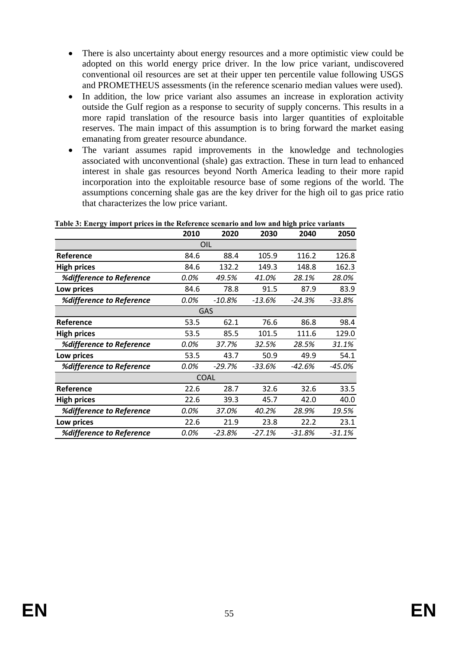- There is also uncertainty about energy resources and a more optimistic view could be adopted on this world energy price driver. In the low price variant, undiscovered conventional oil resources are set at their upper ten percentile value following USGS and PROMETHEUS assessments (in the reference scenario median values were used).
- In addition, the low price variant also assumes an increase in exploration activity outside the Gulf region as a response to security of supply concerns. This results in a more rapid translation of the resource basis into larger quantities of exploitable reserves. The main impact of this assumption is to bring forward the market easing emanating from greater resource abundance.
- The variant assumes rapid improvements in the knowledge and technologies associated with unconventional (shale) gas extraction. These in turn lead to enhanced interest in shale gas resources beyond North America leading to their more rapid incorporation into the exploitable resource base of some regions of the world. The assumptions concerning shale gas are the key driver for the high oil to gas price ratio that characterizes the low price variant.

**2010 2020 2030 2040 2050 Reference** 84.6 88.4 105.9 116.2 126.8 **High prices** 84.6 132.2 149.3 148.8 162.3 *%difference to Reference 0.0% 49.5% 41.0% 28.1% 28.0%* **Low prices** 84.6 78.8 91.5 87.9 83.9 *%difference to Reference 0.0% -10.8% -13.6% -24.3% -33.8%* **Reference** 53.5 62.1 76.6 86.8 98.4 **High prices** 53.5 85.5 101.5 111.6 129.0 *%difference to Reference 0.0% 37.7% 32.5% 28.5% 31.1%* **Low prices** 53.5 43.7 50.9 49.9 54.1 *%difference to Reference 0.0% -29.7% -33.6% -42.6% -45.0%* **Reference** 22.6 28.7 32.6 32.6 33.5 **High prices** 22.6 39.3 45.7 42.0 40.0 *%difference to Reference 0.0% 37.0% 40.2% 28.9% 19.5%* **Low prices** 22.6 21.9 23.8 22.2 23.1 *%difference to Reference 0.0% -23.8% -27.1% -31.8% -31.1%* OIL GAS **COAL**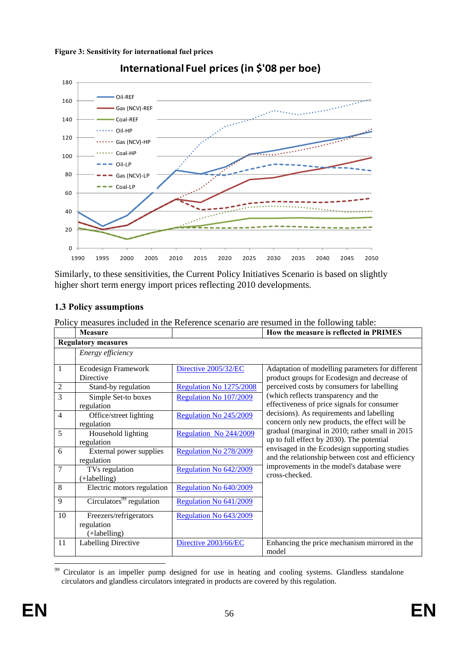

**International Fuel prices (in \$'08 per boe)**

Similarly, to these sensitivities, the Current Policy Initiatives Scenario is based on slightly higher short term energy import prices reflecting 2010 developments.

# <span id="page-56-0"></span>**1.3 Policy assumptions**

Policy measures included in the Reference scenario are resumed in the following table:

|                | <b>Measure</b>                        |                         | How the measure is reflected in PRIMES                                                                                                                                                     |  |  |  |  |  |  |
|----------------|---------------------------------------|-------------------------|--------------------------------------------------------------------------------------------------------------------------------------------------------------------------------------------|--|--|--|--|--|--|
|                | <b>Regulatory measures</b>            |                         |                                                                                                                                                                                            |  |  |  |  |  |  |
|                | Energy efficiency                     |                         |                                                                                                                                                                                            |  |  |  |  |  |  |
| 1              | Ecodesign Framework<br>Directive      | Directive 2005/32/EC    | Adaptation of modelling parameters for different<br>product groups for Ecodesign and decrease of                                                                                           |  |  |  |  |  |  |
| $\sqrt{2}$     | Stand-by regulation                   | Regulation No 1275/2008 | perceived costs by consumers for labelling                                                                                                                                                 |  |  |  |  |  |  |
| 3              | Simple Set-to boxes<br>regulation     | Regulation No 107/2009  | (which reflects transparency and the<br>effectiveness of price signals for consumer                                                                                                        |  |  |  |  |  |  |
| $\overline{4}$ | Office/street lighting<br>regulation  | Regulation No 245/2009  | decisions). As requirements and labelling<br>concern only new products, the effect will be<br>gradual (marginal in 2010; rather small in 2015<br>up to full effect by 2030). The potential |  |  |  |  |  |  |
| 5              | Household lighting<br>regulation      | Regulation No 244/2009  |                                                                                                                                                                                            |  |  |  |  |  |  |
| 6              | External power supplies<br>regulation | Regulation No 278/2009  | envisaged in the Ecodesign supporting studies<br>and the relationship between cost and efficiency                                                                                          |  |  |  |  |  |  |
| 7              | TVs regulation<br>$(+labelling)$      | Regulation No 642/2009  | improvements in the model's database were<br>cross-checked.                                                                                                                                |  |  |  |  |  |  |
| 8              | Electric motors regulation            | Regulation No 640/2009  |                                                                                                                                                                                            |  |  |  |  |  |  |
| 9              | Circulators <sup>99</sup> regulation  | Regulation No 641/2009  |                                                                                                                                                                                            |  |  |  |  |  |  |
| 10             | Freezers/refrigerators<br>regulation  | Regulation No 643/2009  |                                                                                                                                                                                            |  |  |  |  |  |  |
|                | $(+labelling)$                        |                         |                                                                                                                                                                                            |  |  |  |  |  |  |
| 11             | <b>Labelling Directive</b>            | Directive 2003/66/EC    | Enhancing the price mechanism mirrored in the<br>model                                                                                                                                     |  |  |  |  |  |  |

<sup>99</sup> 99 Circulator is an impeller pump designed for use in heating and cooling systems. Glandless standalone circulators and glandless circulators integrated in products are covered by this regulation.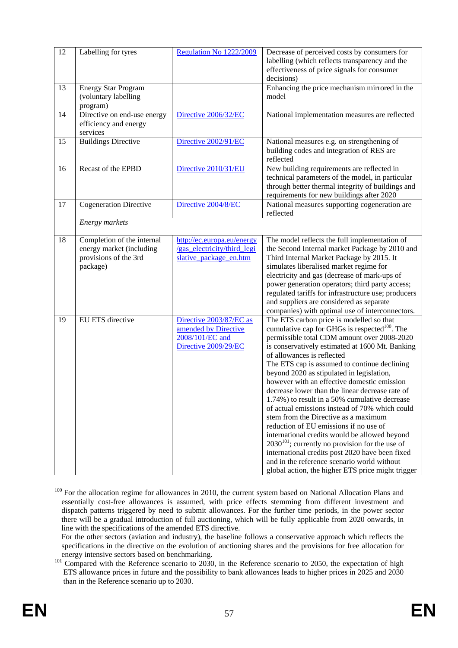| 12 | Labelling for tyres                                                                         | Regulation No 1222/2009                                                                    | Decrease of perceived costs by consumers for<br>labelling (which reflects transparency and the<br>effectiveness of price signals for consumer<br>decisions)                                                                                                                                                                                                                                                                                                                                                                                                                                                                                                                                                                                                                                                                                                                               |
|----|---------------------------------------------------------------------------------------------|--------------------------------------------------------------------------------------------|-------------------------------------------------------------------------------------------------------------------------------------------------------------------------------------------------------------------------------------------------------------------------------------------------------------------------------------------------------------------------------------------------------------------------------------------------------------------------------------------------------------------------------------------------------------------------------------------------------------------------------------------------------------------------------------------------------------------------------------------------------------------------------------------------------------------------------------------------------------------------------------------|
| 13 | <b>Energy Star Program</b><br>(voluntary labelling<br>program)                              |                                                                                            | Enhancing the price mechanism mirrored in the<br>model                                                                                                                                                                                                                                                                                                                                                                                                                                                                                                                                                                                                                                                                                                                                                                                                                                    |
| 14 | Directive on end-use energy<br>efficiency and energy<br>services                            | Directive 2006/32/EC                                                                       | National implementation measures are reflected                                                                                                                                                                                                                                                                                                                                                                                                                                                                                                                                                                                                                                                                                                                                                                                                                                            |
| 15 | <b>Buildings Directive</b>                                                                  | Directive 2002/91/EC                                                                       | National measures e.g. on strengthening of<br>building codes and integration of RES are<br>reflected                                                                                                                                                                                                                                                                                                                                                                                                                                                                                                                                                                                                                                                                                                                                                                                      |
| 16 | Recast of the EPBD                                                                          | Directive 2010/31/EU                                                                       | New building requirements are reflected in<br>technical parameters of the model, in particular<br>through better thermal integrity of buildings and<br>requirements for new buildings after 2020                                                                                                                                                                                                                                                                                                                                                                                                                                                                                                                                                                                                                                                                                          |
| 17 | <b>Cogeneration Directive</b>                                                               | Directive 2004/8/EC                                                                        | National measures supporting cogeneration are<br>reflected                                                                                                                                                                                                                                                                                                                                                                                                                                                                                                                                                                                                                                                                                                                                                                                                                                |
|    | Energy markets                                                                              |                                                                                            |                                                                                                                                                                                                                                                                                                                                                                                                                                                                                                                                                                                                                                                                                                                                                                                                                                                                                           |
| 18 | Completion of the internal<br>energy market (including<br>provisions of the 3rd<br>package) | http://ec.europa.eu/energy<br>/gas electricity/third legi<br>slative package en.htm        | The model reflects the full implementation of<br>the Second Internal market Package by 2010 and<br>Third Internal Market Package by 2015. It<br>simulates liberalised market regime for<br>electricity and gas (decrease of mark-ups of<br>power generation operators; third party access;<br>regulated tariffs for infrastructure use; producers<br>and suppliers are considered as separate<br>companies) with optimal use of interconnectors.                                                                                                                                                                                                                                                                                                                                                                                                                                          |
| 19 | EU ETS directive                                                                            | Directive 2003/87/EC as<br>amended by Directive<br>2008/101/EC and<br>Directive 2009/29/EC | The ETS carbon price is modelled so that<br>cumulative cap for GHGs is respected <sup>100</sup> . The<br>permissible total CDM amount over 2008-2020<br>is conservatively estimated at 1600 Mt. Banking<br>of allowances is reflected<br>The ETS cap is assumed to continue declining<br>beyond 2020 as stipulated in legislation,<br>however with an effective domestic emission<br>decrease lower than the linear decrease rate of<br>1.74%) to result in a 50% cumulative decrease<br>of actual emissions instead of 70% which could<br>stem from the Directive as a maximum<br>reduction of EU emissions if no use of<br>international credits would be allowed beyond<br>$2030^{101}$ ; currently no provision for the use of<br>international credits post 2020 have been fixed<br>and in the reference scenario world without<br>global action, the higher ETS price might trigger |

 $\overline{a}$ <sup>100</sup> For the allocation regime for allowances in 2010, the current system based on National Allocation Plans and essentially cost-free allowances is assumed, with price effects stemming from different investment and dispatch patterns triggered by need to submit allowances. For the further time periods, in the power sector there will be a gradual introduction of full auctioning, which will be fully applicable from 2020 onwards, in line with the specifications of the amended ETS directive.

For the other sectors (aviation and industry), the baseline follows a conservative approach which reflects the specifications in the directive on the evolution of auctioning shares and the provisions for free allocation for

energy intensive sectors based on benchmarking.<br><sup>101</sup> Compared with the Reference scenario to 2030, in the Reference scenario to 2050, the expectation of high ETS allowance prices in future and the possibility to bank allowances leads to higher prices in 2025 and 2030 than in the Reference scenario up to 2030.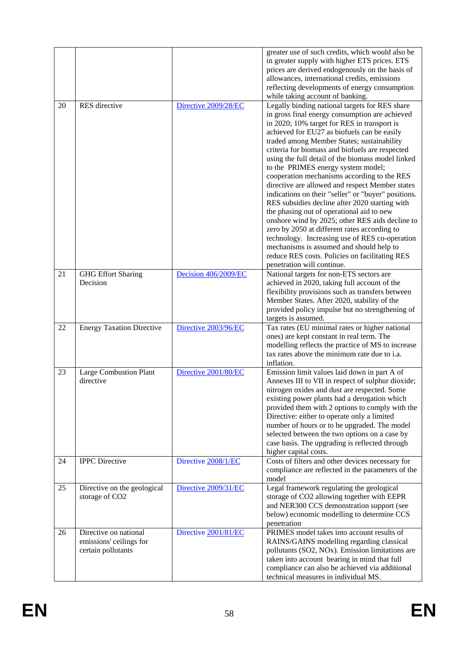|    |                                                                        |                      | greater use of such credits, which would also be<br>in greater supply with higher ETS prices. ETS<br>prices are derived endogenously on the basis of<br>allowances, international credits, emissions<br>reflecting developments of energy consumption<br>while taking account of banking.                                                                                                                                                                                                                                                                                                                                                                                                                                                                                                                                                                                                                                           |
|----|------------------------------------------------------------------------|----------------------|-------------------------------------------------------------------------------------------------------------------------------------------------------------------------------------------------------------------------------------------------------------------------------------------------------------------------------------------------------------------------------------------------------------------------------------------------------------------------------------------------------------------------------------------------------------------------------------------------------------------------------------------------------------------------------------------------------------------------------------------------------------------------------------------------------------------------------------------------------------------------------------------------------------------------------------|
| 20 | RES directive                                                          | Directive 2009/28/EC | Legally binding national targets for RES share<br>in gross final energy consumption are achieved<br>in 2020; 10% target for RES in transport is<br>achieved for EU27 as biofuels can be easily<br>traded among Member States; sustainability<br>criteria for biomass and biofuels are respected<br>using the full detail of the biomass model linked<br>to the PRIMES energy system model;<br>cooperation mechanisms according to the RES<br>directive are allowed and respect Member states<br>indications on their "seller" or "buyer" positions.<br>RES subsidies decline after 2020 starting with<br>the phasing out of operational aid to new<br>onshore wind by 2025; other RES aids decline to<br>zero by 2050 at different rates according to<br>technology. Increasing use of RES co-operation<br>mechanisms is assumed and should help to<br>reduce RES costs. Policies on facilitating RES<br>penetration will continue. |
| 21 | <b>GHG Effort Sharing</b><br>Decision                                  | Decision 406/2009/EC | National targets for non-ETS sectors are<br>achieved in 2020, taking full account of the<br>flexibility provisions such as transfers between<br>Member States. After 2020, stability of the<br>provided policy impulse but no strengthening of<br>targets is assumed.                                                                                                                                                                                                                                                                                                                                                                                                                                                                                                                                                                                                                                                               |
| 22 | <b>Energy Taxation Directive</b>                                       | Directive 2003/96/EC | Tax rates (EU minimal rates or higher national<br>ones) are kept constant in real term. The<br>modelling reflects the practice of MS to increase<br>tax rates above the minimum rate due to i.a.<br>inflation.                                                                                                                                                                                                                                                                                                                                                                                                                                                                                                                                                                                                                                                                                                                      |
| 23 | <b>Large Combustion Plant</b><br>directive                             | Directive 2001/80/EC | Emission limit values laid down in part A of<br>Annexes III to VII in respect of sulphur dioxide;<br>nitrogen oxides and dust are respected. Some<br>existing power plants had a derogation which<br>provided them with 2 options to comply with the<br>Directive: either to operate only a limited<br>number of hours or to be upgraded. The model<br>selected between the two options on a case by<br>case basis. The upgrading is reflected through<br>higher capital costs.                                                                                                                                                                                                                                                                                                                                                                                                                                                     |
| 24 | <b>IPPC</b> Directive                                                  | Directive 2008/1/EC  | Costs of filters and other devices necessary for<br>compliance are reflected in the parameters of the<br>model                                                                                                                                                                                                                                                                                                                                                                                                                                                                                                                                                                                                                                                                                                                                                                                                                      |
| 25 | Directive on the geological<br>storage of CO2                          | Directive 2009/31/EC | Legal framework regulating the geological<br>storage of CO2 allowing together with EEPR<br>and NER300 CCS demonstration support (see<br>below) economic modelling to determine CCS<br>penetration                                                                                                                                                                                                                                                                                                                                                                                                                                                                                                                                                                                                                                                                                                                                   |
| 26 | Directive on national<br>emissions' ceilings for<br>certain pollutants | Directive 2001/81/EC | PRIMES model takes into account results of<br>RAINS/GAINS modelling regarding classical<br>pollutants (SO2, NOx). Emission limitations are<br>taken into account bearing in mind that full<br>compliance can also be achieved via additional<br>technical measures in individual MS.                                                                                                                                                                                                                                                                                                                                                                                                                                                                                                                                                                                                                                                |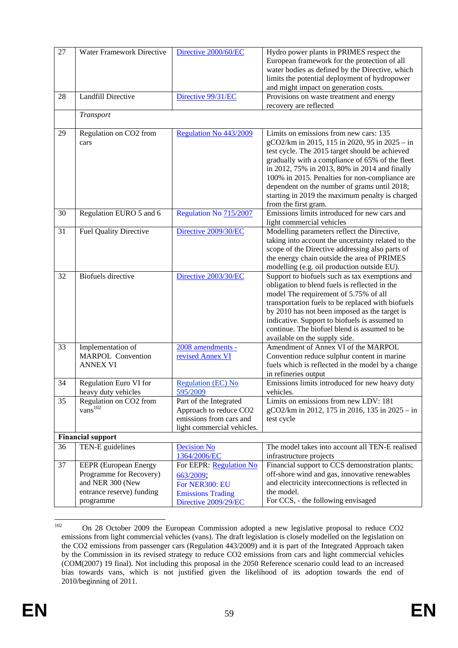| 27 | Water Framework Directive                                                                                             | Directive 2000/60/EC                                                                                       | Hydro power plants in PRIMES respect the<br>European framework for the protection of all<br>water bodies as defined by the Directive, which<br>limits the potential deployment of hydropower<br>and might impact on generation costs.                                                                                                                                                                                      |  |
|----|-----------------------------------------------------------------------------------------------------------------------|------------------------------------------------------------------------------------------------------------|----------------------------------------------------------------------------------------------------------------------------------------------------------------------------------------------------------------------------------------------------------------------------------------------------------------------------------------------------------------------------------------------------------------------------|--|
| 28 | <b>Landfill Directive</b>                                                                                             | Directive 99/31/EC                                                                                         | Provisions on waste treatment and energy<br>recovery are reflected                                                                                                                                                                                                                                                                                                                                                         |  |
|    | Transport                                                                                                             |                                                                                                            |                                                                                                                                                                                                                                                                                                                                                                                                                            |  |
| 29 | Regulation on CO2 from<br>cars                                                                                        | Regulation No 443/2009                                                                                     | Limits on emissions from new cars: 135<br>gCO2/km in 2015, 115 in 2020, 95 in 2025 - in<br>test cycle. The 2015 target should be achieved<br>gradually with a compliance of 65% of the fleet<br>in 2012, 75% in 2013, 80% in 2014 and finally<br>100% in 2015. Penalties for non-compliance are<br>dependent on the number of grams until 2018;<br>starting in 2019 the maximum penalty is charged<br>from the first gram. |  |
| 30 | Regulation EURO 5 and 6                                                                                               | Regulation No 715/2007                                                                                     | Emissions limits introduced for new cars and<br>light commercial vehicles                                                                                                                                                                                                                                                                                                                                                  |  |
| 31 | <b>Fuel Quality Directive</b>                                                                                         | Directive 2009/30/EC                                                                                       | Modelling parameters reflect the Directive,<br>taking into account the uncertainty related to the<br>scope of the Directive addressing also parts of<br>the energy chain outside the area of PRIMES<br>modelling (e.g. oil production outside EU).                                                                                                                                                                         |  |
| 32 | <b>Biofuels</b> directive                                                                                             | Directive 2003/30/EC                                                                                       | Support to biofuels such as tax exemptions and<br>obligation to blend fuels is reflected in the<br>model The requirement of 5.75% of all<br>transportation fuels to be replaced with biofuels<br>by 2010 has not been imposed as the target is<br>indicative. Support to biofuels is assumed to<br>continue. The biofuel blend is assumed to be<br>available on the supply side.                                           |  |
| 33 | Implementation of<br><b>MARPOL Convention</b><br><b>ANNEX VI</b>                                                      | 2008 amendments -<br>revised Annex VI                                                                      | Amendment of Annex VI of the MARPOL<br>Convention reduce sulphur content in marine<br>fuels which is reflected in the model by a change<br>in refineries output                                                                                                                                                                                                                                                            |  |
| 34 | Regulation Euro VI for<br>heavy duty vehicles                                                                         | <b>Regulation (EC) No</b><br>595/2009                                                                      | Emissions limits introduced for new heavy duty<br>vehicles.                                                                                                                                                                                                                                                                                                                                                                |  |
| 35 | Regulation on CO2 from<br>${\rm vans}^{102}$                                                                          | Part of the Integrated<br>Approach to reduce CO2<br>emissions from cars and<br>light commercial vehicles.  | Limits on emissions from new LDV: 181<br>gCO2/km in 2012, 175 in 2016, 135 in 2025 - in<br>test cycle                                                                                                                                                                                                                                                                                                                      |  |
|    | <b>Financial support</b>                                                                                              |                                                                                                            |                                                                                                                                                                                                                                                                                                                                                                                                                            |  |
| 36 | TEN-E guidelines                                                                                                      | <b>Decision No</b><br>1364/2006/EC                                                                         | The model takes into account all TEN-E realised<br>infrastructure projects                                                                                                                                                                                                                                                                                                                                                 |  |
| 37 | <b>EEPR</b> (European Energy<br>Programme for Recovery)<br>and NER 300 (New<br>entrance reserve) funding<br>programme | For EEPR: Regulation No<br>663/2009;<br>For NER300: EU<br><b>Emissions Trading</b><br>Directive 2009/29/EC | Financial support to CCS demonstration plants;<br>off-shore wind and gas, innovative renewables<br>and electricity interconnections is reflected in<br>the model.<br>For CCS, - the following envisaged                                                                                                                                                                                                                    |  |

<sup>102</sup> 102 On 28 October 2009 the European Commission adopted a new legislative proposal to reduce CO2 emissions from light commercial vehicles (vans). The draft legislation is closely modelled on the legislation on the CO2 emissions from passenger cars (Regulation 443/2009) and it is part of the Integrated Approach taken by the Commission in its revised strategy to reduce CO2 emissions from cars and light commercial vehicles (COM(2007) 19 final). Not including this proposal in the 2050 Reference scenario could lead to an increased bias towards vans, which is not justified given the likelihood of its adoption towards the end of 2010/beginning of 2011.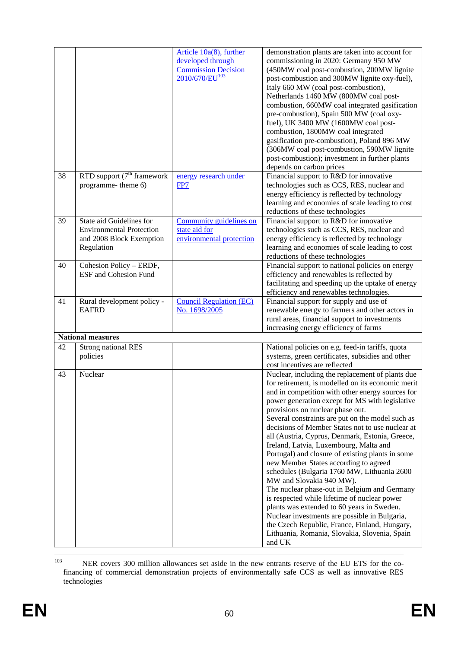|    |                                                                                                       | Article 10a(8), further<br>developed through<br><b>Commission Decision</b><br>2010/670/EU <sup>103</sup> | demonstration plants are taken into account for<br>commissioning in 2020: Germany 950 MW<br>(450MW coal post-combustion, 200MW lignite<br>post-combustion and 300MW lignite oxy-fuel),<br>Italy 660 MW (coal post-combustion),<br>Netherlands 1460 MW (800MW coal post-<br>combustion, 660MW coal integrated gasification<br>pre-combustion), Spain 500 MW (coal oxy-<br>fuel), UK 3400 MW (1600MW coal post-<br>combustion, 1800MW coal integrated<br>gasification pre-combustion), Poland 896 MW<br>(306MW coal post-combustion, 590MW lignite<br>post-combustion); investment in further plants<br>depends on carbon prices                                                                                                                                                                                                                                                                                                           |
|----|-------------------------------------------------------------------------------------------------------|----------------------------------------------------------------------------------------------------------|------------------------------------------------------------------------------------------------------------------------------------------------------------------------------------------------------------------------------------------------------------------------------------------------------------------------------------------------------------------------------------------------------------------------------------------------------------------------------------------------------------------------------------------------------------------------------------------------------------------------------------------------------------------------------------------------------------------------------------------------------------------------------------------------------------------------------------------------------------------------------------------------------------------------------------------|
| 38 | RTD support $(7th$ framework<br>programme- theme 6)                                                   | energy research under<br>FP7                                                                             | Financial support to R&D for innovative<br>technologies such as CCS, RES, nuclear and<br>energy efficiency is reflected by technology<br>learning and economies of scale leading to cost<br>reductions of these technologies                                                                                                                                                                                                                                                                                                                                                                                                                                                                                                                                                                                                                                                                                                             |
| 39 | State aid Guidelines for<br><b>Environmental Protection</b><br>and 2008 Block Exemption<br>Regulation | Community guidelines on<br>state aid for<br>environmental protection                                     | Financial support to R&D for innovative<br>technologies such as CCS, RES, nuclear and<br>energy efficiency is reflected by technology<br>learning and economies of scale leading to cost<br>reductions of these technologies                                                                                                                                                                                                                                                                                                                                                                                                                                                                                                                                                                                                                                                                                                             |
| 40 | Cohesion Policy - ERDF,<br><b>ESF</b> and Cohesion Fund                                               |                                                                                                          | Financial support to national policies on energy<br>efficiency and renewables is reflected by<br>facilitating and speeding up the uptake of energy<br>efficiency and renewables technologies.                                                                                                                                                                                                                                                                                                                                                                                                                                                                                                                                                                                                                                                                                                                                            |
| 41 | Rural development policy -<br><b>EAFRD</b>                                                            | <b>Council Regulation (EC)</b><br>No. 1698/2005                                                          | Financial support for supply and use of<br>renewable energy to farmers and other actors in<br>rural areas, financial support to investments<br>increasing energy efficiency of farms                                                                                                                                                                                                                                                                                                                                                                                                                                                                                                                                                                                                                                                                                                                                                     |
|    | <b>National measures</b>                                                                              |                                                                                                          |                                                                                                                                                                                                                                                                                                                                                                                                                                                                                                                                                                                                                                                                                                                                                                                                                                                                                                                                          |
| 42 | <b>Strong national RES</b>                                                                            |                                                                                                          | National policies on e.g. feed-in tariffs, quota                                                                                                                                                                                                                                                                                                                                                                                                                                                                                                                                                                                                                                                                                                                                                                                                                                                                                         |
|    | policies                                                                                              |                                                                                                          | systems, green certificates, subsidies and other<br>cost incentives are reflected                                                                                                                                                                                                                                                                                                                                                                                                                                                                                                                                                                                                                                                                                                                                                                                                                                                        |
| 43 | Nuclear                                                                                               |                                                                                                          | Nuclear, including the replacement of plants due<br>for retirement, is modelled on its economic merit<br>and in competition with other energy sources for<br>power generation except for MS with legislative<br>provisions on nuclear phase out.<br>Several constraints are put on the model such as<br>decisions of Member States not to use nuclear at<br>all (Austria, Cyprus, Denmark, Estonia, Greece,<br>Ireland, Latvia, Luxembourg, Malta and<br>Portugal) and closure of existing plants in some<br>new Member States according to agreed<br>schedules (Bulgaria 1760 MW, Lithuania 2600<br>MW and Slovakia 940 MW).<br>The nuclear phase-out in Belgium and Germany<br>is respected while lifetime of nuclear power<br>plants was extended to 60 years in Sweden.<br>Nuclear investments are possible in Bulgaria,<br>the Czech Republic, France, Finland, Hungary,<br>Lithuania, Romania, Slovakia, Slovenia, Spain<br>and UK |

 <sup>103</sup> NER covers 300 million allowances set aside in the new entrants reserve of the EU ETS for the cofinancing of commercial demonstration projects of environmentally safe CCS as well as innovative RES technologies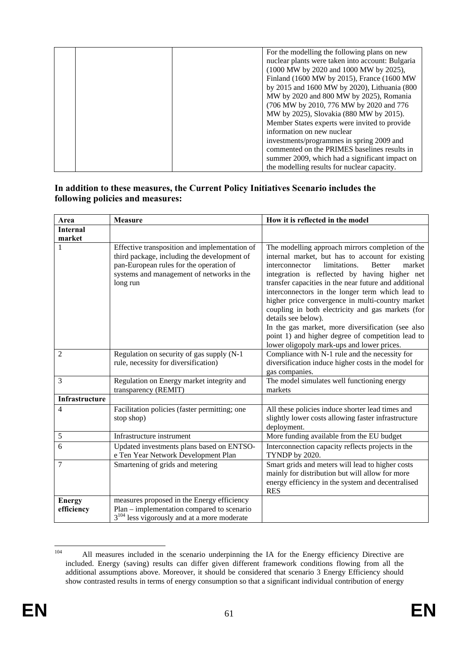| For the modelling the following plans on new     |
|--------------------------------------------------|
| nuclear plants were taken into account: Bulgaria |
| (1000 MW by 2020 and 1000 MW by 2025),           |
| Finland (1600 MW by 2015), France (1600 MW       |
| by 2015 and 1600 MW by 2020), Lithuania (800     |
| MW by 2020 and 800 MW by 2025), Romania          |
| (706 MW by 2010, 776 MW by 2020 and 776          |
| MW by 2025), Slovakia (880 MW by 2015).          |
| Member States experts were invited to provide    |
| information on new nuclear                       |
| investments/programmes in spring 2009 and        |
| commented on the PRIMES baselines results in     |
| summer 2009, which had a significant impact on   |
| the modelling results for nuclear capacity.      |

### **In addition to these measures, the Current Policy Initiatives Scenario includes the following policies and measures:**

| Area                        | <b>Measure</b>                                                                                                                                                                                   | How it is reflected in the model                                                                                                                                                                                                                                                                                                                                                                                                                                                                                                                                                                                        |  |  |
|-----------------------------|--------------------------------------------------------------------------------------------------------------------------------------------------------------------------------------------------|-------------------------------------------------------------------------------------------------------------------------------------------------------------------------------------------------------------------------------------------------------------------------------------------------------------------------------------------------------------------------------------------------------------------------------------------------------------------------------------------------------------------------------------------------------------------------------------------------------------------------|--|--|
| <b>Internal</b>             |                                                                                                                                                                                                  |                                                                                                                                                                                                                                                                                                                                                                                                                                                                                                                                                                                                                         |  |  |
| market                      |                                                                                                                                                                                                  |                                                                                                                                                                                                                                                                                                                                                                                                                                                                                                                                                                                                                         |  |  |
|                             | Effective transposition and implementation of<br>third package, including the development of<br>pan-European rules for the operation of<br>systems and management of networks in the<br>long run | The modelling approach mirrors completion of the<br>internal market, but has to account for existing<br>limitations.<br>interconnector<br><b>Better</b><br>market<br>integration is reflected by having higher net<br>transfer capacities in the near future and additional<br>interconnectors in the longer term which lead to<br>higher price convergence in multi-country market<br>coupling in both electricity and gas markets (for<br>details see below).<br>In the gas market, more diversification (see also<br>point 1) and higher degree of competition lead to<br>lower oligopoly mark-ups and lower prices. |  |  |
| $\overline{2}$              | Regulation on security of gas supply (N-1)<br>rule, necessity for diversification)                                                                                                               | Compliance with N-1 rule and the necessity for<br>diversification induce higher costs in the model for<br>gas companies.                                                                                                                                                                                                                                                                                                                                                                                                                                                                                                |  |  |
| 3                           | Regulation on Energy market integrity and<br>transparency (REMIT)                                                                                                                                | The model simulates well functioning energy<br>markets                                                                                                                                                                                                                                                                                                                                                                                                                                                                                                                                                                  |  |  |
| <b>Infrastructure</b>       |                                                                                                                                                                                                  |                                                                                                                                                                                                                                                                                                                                                                                                                                                                                                                                                                                                                         |  |  |
| $\overline{4}$              | Facilitation policies (faster permitting; one<br>stop shop)                                                                                                                                      | All these policies induce shorter lead times and<br>slightly lower costs allowing faster infrastructure<br>deployment.                                                                                                                                                                                                                                                                                                                                                                                                                                                                                                  |  |  |
| 5                           | Infrastructure instrument                                                                                                                                                                        | More funding available from the EU budget                                                                                                                                                                                                                                                                                                                                                                                                                                                                                                                                                                               |  |  |
| 6                           | Updated investments plans based on ENTSO-<br>e Ten Year Network Development Plan                                                                                                                 | Interconnection capacity reflects projects in the<br>TYNDP by 2020.                                                                                                                                                                                                                                                                                                                                                                                                                                                                                                                                                     |  |  |
| 7                           | Smartening of grids and metering                                                                                                                                                                 | Smart grids and meters will lead to higher costs<br>mainly for distribution but will allow for more<br>energy efficiency in the system and decentralised<br><b>RES</b>                                                                                                                                                                                                                                                                                                                                                                                                                                                  |  |  |
| <b>Energy</b><br>efficiency | measures proposed in the Energy efficiency<br>Plan – implementation compared to scenario<br>$3^{104}$ less vigorously and at a more moderate                                                     |                                                                                                                                                                                                                                                                                                                                                                                                                                                                                                                                                                                                                         |  |  |

<sup>104</sup> All measures included in the scenario underpinning the IA for the Energy efficiency Directive are included. Energy (saving) results can differ given different framework conditions flowing from all the additional assumptions above. Moreover, it should be considered that scenario 3 Energy Efficiency should show contrasted results in terms of energy consumption so that a significant individual contribution of energy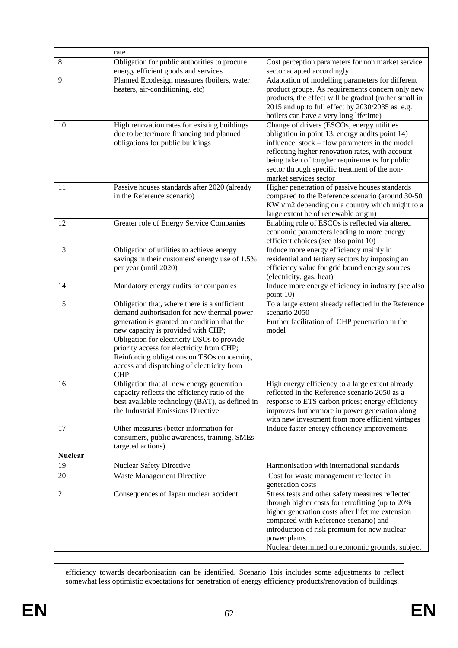|                      | rate                                                                                       |                                                                                                          |  |
|----------------------|--------------------------------------------------------------------------------------------|----------------------------------------------------------------------------------------------------------|--|
| 8                    | Obligation for public authorities to procure                                               | Cost perception parameters for non market service                                                        |  |
|                      | energy efficient goods and services                                                        | sector adapted accordingly                                                                               |  |
| 9                    | Planned Ecodesign measures (boilers, water                                                 | Adaptation of modelling parameters for different                                                         |  |
|                      | heaters, air-conditioning, etc)                                                            | product groups. As requirements concern only new                                                         |  |
|                      |                                                                                            | products, the effect will be gradual (rather small in<br>2015 and up to full effect by 2030/2035 as e.g. |  |
|                      |                                                                                            | boilers can have a very long lifetime)                                                                   |  |
| 10                   | High renovation rates for existing buildings                                               | Change of drivers (ESCOs, energy utilities                                                               |  |
|                      | due to better/more financing and planned                                                   | obligation in point 13, energy audits point 14)                                                          |  |
|                      | obligations for public buildings                                                           | influence stock – flow parameters in the model                                                           |  |
|                      |                                                                                            | reflecting higher renovation rates, with account                                                         |  |
|                      |                                                                                            | being taken of tougher requirements for public                                                           |  |
|                      |                                                                                            | sector through specific treatment of the non-                                                            |  |
| 11                   | Passive houses standards after 2020 (already                                               | market services sector<br>Higher penetration of passive houses standards                                 |  |
|                      | in the Reference scenario)                                                                 | compared to the Reference scenario (around 30-50                                                         |  |
|                      |                                                                                            | KWh/m2 depending on a country which might to a                                                           |  |
|                      |                                                                                            | large extent be of renewable origin)                                                                     |  |
| 12                   | Greater role of Energy Service Companies                                                   | Enabling role of ESCOs is reflected via altered                                                          |  |
|                      |                                                                                            | economic parameters leading to more energy                                                               |  |
|                      |                                                                                            | efficient choices (see also point 10)                                                                    |  |
| 13                   | Obligation of utilities to achieve energy                                                  | Induce more energy efficiency mainly in                                                                  |  |
|                      | savings in their customers' energy use of 1.5%<br>per year (until 2020)                    | residential and tertiary sectors by imposing an<br>efficiency value for grid bound energy sources        |  |
|                      |                                                                                            | (electricity, gas, heat)                                                                                 |  |
| 14                   | Mandatory energy audits for companies                                                      | Induce more energy efficiency in industry (see also                                                      |  |
|                      |                                                                                            | point 10)                                                                                                |  |
| 15                   | Obligation that, where there is a sufficient                                               | To a large extent already reflected in the Reference                                                     |  |
|                      | demand authorisation for new thermal power                                                 | scenario 2050                                                                                            |  |
|                      | generation is granted on condition that the<br>new capacity is provided with CHP;          | Further facilitation of CHP penetration in the<br>model                                                  |  |
|                      | Obligation for electricity DSOs to provide                                                 |                                                                                                          |  |
|                      | priority access for electricity from CHP;                                                  |                                                                                                          |  |
|                      | Reinforcing obligations on TSOs concerning                                                 |                                                                                                          |  |
|                      | access and dispatching of electricity from                                                 |                                                                                                          |  |
|                      | <b>CHP</b>                                                                                 |                                                                                                          |  |
| 16                   | Obligation that all new energy generation<br>capacity reflects the efficiency ratio of the | High energy efficiency to a large extent already<br>reflected in the Reference scenario 2050 as a        |  |
|                      | best available technology (BAT), as defined in                                             | response to ETS carbon prices; energy efficiency                                                         |  |
|                      | the Industrial Emissions Directive                                                         | improves furthermore in power generation along                                                           |  |
|                      |                                                                                            | with new investment from more efficient vintages                                                         |  |
| 17                   | Other measures (better information for                                                     | Induce faster energy efficiency improvements                                                             |  |
|                      | consumers, public awareness, training, SMEs                                                |                                                                                                          |  |
|                      | targeted actions)                                                                          |                                                                                                          |  |
| <b>Nuclear</b><br>19 | Nuclear Safety Directive                                                                   | Harmonisation with international standards                                                               |  |
| 20                   | <b>Waste Management Directive</b>                                                          |                                                                                                          |  |
|                      |                                                                                            | Cost for waste management reflected in<br>generation costs                                               |  |
| 21                   | Consequences of Japan nuclear accident                                                     | Stress tests and other safety measures reflected                                                         |  |
|                      |                                                                                            | through higher costs for retrofitting (up to 20%                                                         |  |
|                      |                                                                                            | higher generation costs after lifetime extension                                                         |  |
|                      |                                                                                            | compared with Reference scenario) and                                                                    |  |
|                      |                                                                                            | introduction of risk premium for new nuclear                                                             |  |
|                      |                                                                                            | power plants.<br>Nuclear determined on economic grounds, subject                                         |  |
|                      |                                                                                            |                                                                                                          |  |

 efficiency towards decarbonisation can be identified. Scenario 1bis includes some adjustments to reflect somewhat less optimistic expectations for penetration of energy efficiency products/renovation of buildings.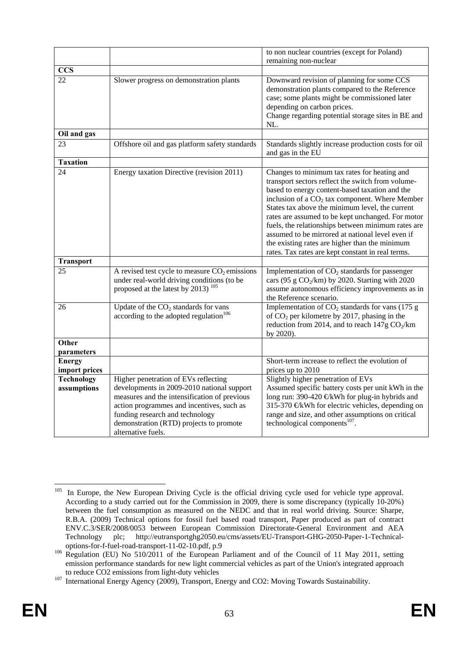|                                  |                                                                                                                                                                                                                                                                                     | to non nuclear countries (except for Poland)<br>remaining non-nuclear                                                                                                                                                                                                                                                                                                                                                                                                                                                            |
|----------------------------------|-------------------------------------------------------------------------------------------------------------------------------------------------------------------------------------------------------------------------------------------------------------------------------------|----------------------------------------------------------------------------------------------------------------------------------------------------------------------------------------------------------------------------------------------------------------------------------------------------------------------------------------------------------------------------------------------------------------------------------------------------------------------------------------------------------------------------------|
| <b>CCS</b>                       |                                                                                                                                                                                                                                                                                     |                                                                                                                                                                                                                                                                                                                                                                                                                                                                                                                                  |
| 22                               | Slower progress on demonstration plants                                                                                                                                                                                                                                             | Downward revision of planning for some CCS<br>demonstration plants compared to the Reference<br>case; some plants might be commissioned later<br>depending on carbon prices.<br>Change regarding potential storage sites in BE and<br>NL.                                                                                                                                                                                                                                                                                        |
| Oil and gas                      |                                                                                                                                                                                                                                                                                     |                                                                                                                                                                                                                                                                                                                                                                                                                                                                                                                                  |
| 23                               | Offshore oil and gas platform safety standards                                                                                                                                                                                                                                      | Standards slightly increase production costs for oil<br>and gas in the EU                                                                                                                                                                                                                                                                                                                                                                                                                                                        |
| <b>Taxation</b>                  |                                                                                                                                                                                                                                                                                     |                                                                                                                                                                                                                                                                                                                                                                                                                                                                                                                                  |
| 24                               | Energy taxation Directive (revision 2011)                                                                                                                                                                                                                                           | Changes to minimum tax rates for heating and<br>transport sectors reflect the switch from volume-<br>based to energy content-based taxation and the<br>inclusion of a $CO2$ tax component. Where Member<br>States tax above the minimum level, the current<br>rates are assumed to be kept unchanged. For motor<br>fuels, the relationships between minimum rates are<br>assumed to be mirrored at national level even if<br>the existing rates are higher than the minimum<br>rates. Tax rates are kept constant in real terms. |
| <b>Transport</b>                 |                                                                                                                                                                                                                                                                                     |                                                                                                                                                                                                                                                                                                                                                                                                                                                                                                                                  |
| 25                               | A revised test cycle to measure $CO2$ emissions<br>under real-world driving conditions (to be<br>proposed at the latest by 2013) <sup>105</sup>                                                                                                                                     | Implementation of CO <sub>2</sub> standards for passenger<br>cars (95 g $CO2/km$ ) by 2020. Starting with 2020<br>assume autonomous efficiency improvements as in<br>the Reference scenario.                                                                                                                                                                                                                                                                                                                                     |
| 26                               | Update of the $CO2$ standards for vans<br>according to the adopted regulation <sup>106</sup>                                                                                                                                                                                        | Implementation of $CO2$ standards for vans (175 g<br>of $CO2$ per kilometre by 2017, phasing in the<br>reduction from 2014, and to reach $147g \text{ CO}_2/km$<br>by 2020).                                                                                                                                                                                                                                                                                                                                                     |
| Other<br>parameters              |                                                                                                                                                                                                                                                                                     |                                                                                                                                                                                                                                                                                                                                                                                                                                                                                                                                  |
| <b>Energy</b><br>import prices   |                                                                                                                                                                                                                                                                                     | Short-term increase to reflect the evolution of<br>prices up to 2010                                                                                                                                                                                                                                                                                                                                                                                                                                                             |
| <b>Technology</b><br>assumptions | Higher penetration of EVs reflecting<br>developments in 2009-2010 national support<br>measures and the intensification of previous<br>action programmes and incentives, such as<br>funding research and technology<br>demonstration (RTD) projects to promote<br>alternative fuels. | Slightly higher penetration of EVs<br>Assumed specific battery costs per unit kWh in the<br>long run: 390-420 €kWh for plug-in hybrids and<br>315-370 €kWh for electric vehicles, depending on<br>range and size, and other assumptions on critical<br>technological components <sup>107</sup> .                                                                                                                                                                                                                                 |

<sup>105</sup> In Europe, the New European Driving Cycle is the official driving cycle used for vehicle type approval. According to a study carried out for the Commission in 2009, there is some discrepancy (typically 10-20%) between the fuel consumption as measured on the NEDC and that in real world driving. Source: Sharpe, R.B.A. (2009) Technical options for fossil fuel based road transport, Paper produced as part of contract ENV.C.3/SER/2008/0053 between European Commission Directorate-General Environment and AEA Technology plc; http://eutransportghg2050.eu/cms/assets/EU-Transport-GHG-2050-Paper-1-Technical-

options-for-f-fuel-road-transport-11-02-10.pdf, p.9<br><sup>106</sup> Regulation (EU) No 510/2011 of the European Parliament and of the Council of 11 May 2011, setting emission performance standards for new light commercial vehicles as part of the Union's integrated approach

to reduce CO2 emissions from light-duty vehicles 107 International Energy Agency (2009), Transport, Energy and CO2: Moving Towards Sustainability.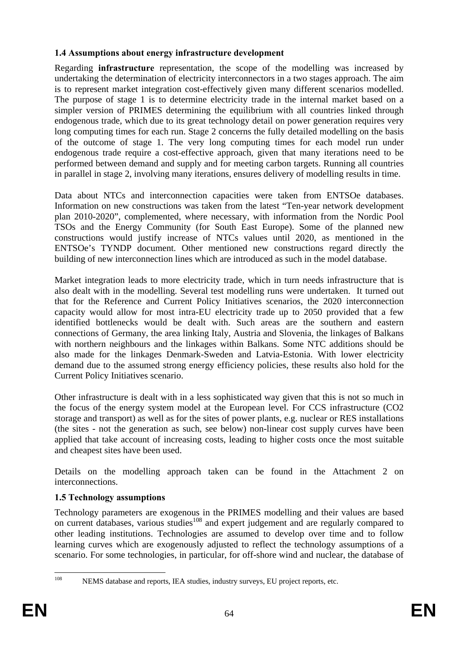# <span id="page-64-0"></span>**1.4 Assumptions about energy infrastructure development**

Regarding **infrastructure** representation, the scope of the modelling was increased by undertaking the determination of electricity interconnectors in a two stages approach. The aim is to represent market integration cost-effectively given many different scenarios modelled. The purpose of stage 1 is to determine electricity trade in the internal market based on a simpler version of PRIMES determining the equilibrium with all countries linked through endogenous trade, which due to its great technology detail on power generation requires very long computing times for each run. Stage 2 concerns the fully detailed modelling on the basis of the outcome of stage 1. The very long computing times for each model run under endogenous trade require a cost-effective approach, given that many iterations need to be performed between demand and supply and for meeting carbon targets. Running all countries in parallel in stage 2, involving many iterations, ensures delivery of modelling results in time.

Data about NTCs and interconnection capacities were taken from ENTSOe databases. Information on new constructions was taken from the latest "Ten-year network development plan 2010-2020", complemented, where necessary, with information from the Nordic Pool TSOs and the Energy Community (for South East Europe). Some of the planned new constructions would justify increase of NTCs values until 2020, as mentioned in the ENTSOe's TYNDP document. Other mentioned new constructions regard directly the building of new interconnection lines which are introduced as such in the model database.

Market integration leads to more electricity trade, which in turn needs infrastructure that is also dealt with in the modelling. Several test modelling runs were undertaken. It turned out that for the Reference and Current Policy Initiatives scenarios, the 2020 interconnection capacity would allow for most intra-EU electricity trade up to 2050 provided that a few identified bottlenecks would be dealt with. Such areas are the southern and eastern connections of Germany, the area linking Italy, Austria and Slovenia, the linkages of Balkans with northern neighbours and the linkages within Balkans. Some NTC additions should be also made for the linkages Denmark-Sweden and Latvia-Estonia. With lower electricity demand due to the assumed strong energy efficiency policies, these results also hold for the Current Policy Initiatives scenario.

Other infrastructure is dealt with in a less sophisticated way given that this is not so much in the focus of the energy system model at the European level. For CCS infrastructure (CO2 storage and transport) as well as for the sites of power plants, e.g. nuclear or RES installations (the sites - not the generation as such, see below) non-linear cost supply curves have been applied that take account of increasing costs, leading to higher costs once the most suitable and cheapest sites have been used.

Details on the modelling approach taken can be found in the Attachment 2 on interconnections.

# <span id="page-64-1"></span>**1.5 Technology assumptions**

Technology parameters are exogenous in the PRIMES modelling and their values are based on current databases, various studies<sup>108</sup> and expert judgement and are regularly compared to other leading institutions. Technologies are assumed to develop over time and to follow learning curves which are exogenously adjusted to reflect the technology assumptions of a scenario. For some technologies, in particular, for off-shore wind and nuclear, the database of

<sup>108</sup> 

NEMS database and reports, IEA studies, industry surveys, EU project reports, etc.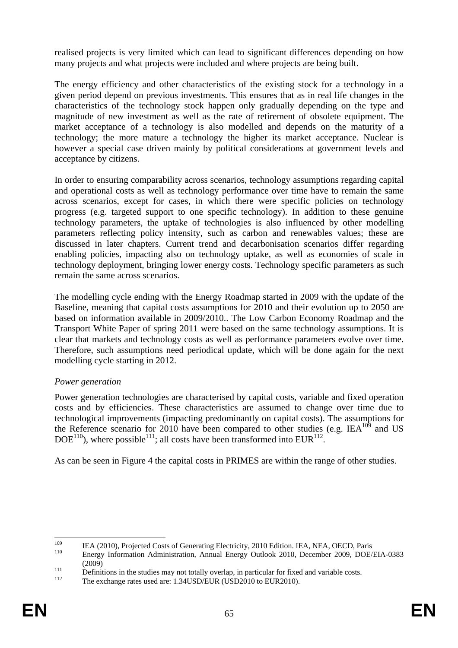realised projects is very limited which can lead to significant differences depending on how many projects and what projects were included and where projects are being built.

The energy efficiency and other characteristics of the existing stock for a technology in a given period depend on previous investments. This ensures that as in real life changes in the characteristics of the technology stock happen only gradually depending on the type and magnitude of new investment as well as the rate of retirement of obsolete equipment. The market acceptance of a technology is also modelled and depends on the maturity of a technology; the more mature a technology the higher its market acceptance. Nuclear is however a special case driven mainly by political considerations at government levels and acceptance by citizens.

In order to ensuring comparability across scenarios, technology assumptions regarding capital and operational costs as well as technology performance over time have to remain the same across scenarios, except for cases, in which there were specific policies on technology progress (e.g. targeted support to one specific technology). In addition to these genuine technology parameters, the uptake of technologies is also influenced by other modelling parameters reflecting policy intensity, such as carbon and renewables values; these are discussed in later chapters. Current trend and decarbonisation scenarios differ regarding enabling policies, impacting also on technology uptake, as well as economies of scale in technology deployment, bringing lower energy costs. Technology specific parameters as such remain the same across scenarios.

The modelling cycle ending with the Energy Roadmap started in 2009 with the update of the Baseline, meaning that capital costs assumptions for 2010 and their evolution up to 2050 are based on information available in 2009/2010.. The Low Carbon Economy Roadmap and the Transport White Paper of spring 2011 were based on the same technology assumptions. It is clear that markets and technology costs as well as performance parameters evolve over time. Therefore, such assumptions need periodical update, which will be done again for the next modelling cycle starting in 2012.

## *Power generation*

Power generation technologies are characterised by capital costs, variable and fixed operation costs and by efficiencies. These characteristics are assumed to change over time due to technological improvements (impacting predominantly on capital costs). The assumptions for the Reference scenario for 2010 have been compared to other studies (e.g.  $|EA^{109}|$  and US  $DOE<sup>110</sup>$ , where possible<sup>111</sup>; all costs have been transformed into EUR<sup>112</sup>.

As can be seen in [Figure 4](#page-66-0) the capital costs in PRIMES are within the range of other studies.

<sup>109</sup> <sup>109</sup> IEA (2010), Projected Costs of Generating Electricity, 2010 Edition. IEA, NEA, OECD, Paris<br><sup>110</sup> Energy Information Administration, Annual Energy Outlook 2010, December 2009, DOE/EIA-0383

<sup>(2009)&</sup>lt;br>Definitions in the studies may not totally overlap, in particular for fixed and variable costs.<br>The exchange rates used are: 1.34USD/EUR (USD2010 to EUR2010).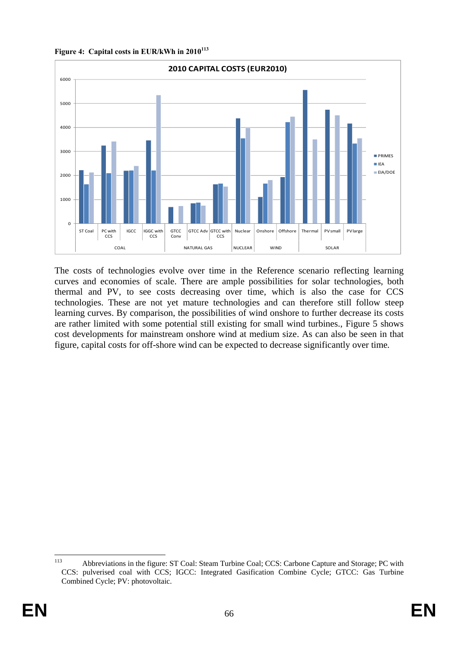<span id="page-66-0"></span>**Figure 4: Capital costs in EUR/kWh in 2010<sup>113</sup>**



The costs of technologies evolve over time in the Reference scenario reflecting learning curves and economies of scale. There are ample possibilities for solar technologies, both thermal and PV, to see costs decreasing over time, which is also the case for CCS technologies. These are not yet mature technologies and can therefore still follow steep learning curves. By comparison, the possibilities of wind onshore to further decrease its costs are rather limited with some potential still existing for small wind turbines., Figure 5 shows cost developments for mainstream onshore wind at medium size. As can also be seen in that figure, capital costs for off-shore wind can be expected to decrease significantly over time*.* 

<sup>113</sup> 113 Abbreviations in the figure: ST Coal: Steam Turbine Coal; CCS: Carbone Capture and Storage; PC with CCS: pulverised coal with CCS; IGCC: Integrated Gasification Combine Cycle; GTCC: Gas Turbine Combined Cycle; PV: photovoltaic.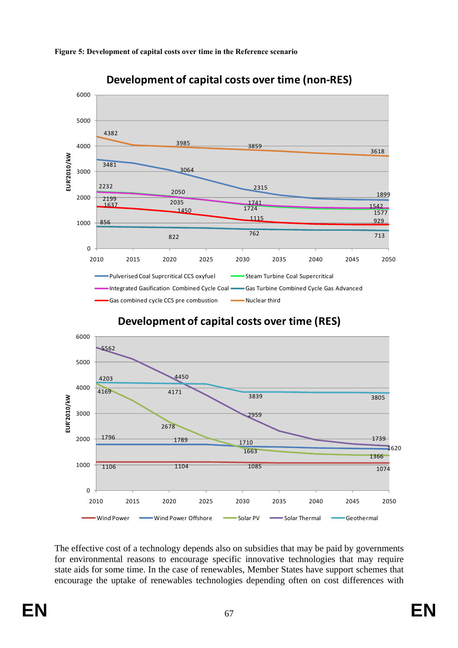

### **Figure 5: Development of capital costs over time in the Reference scenario**



**Development of capital costs over time (non-RES)**

The effective cost of a technology depends also on subsidies that may be paid by governments for environmental reasons to encourage specific innovative technologies that may require state aids for some time. In the case of renewables, Member States have support schemes that encourage the uptake of renewables technologies depending often on cost differences with

2010 2015 2020 2025 2030 2035 2040 2045 2050

Wind Power Wind Power Offshore Solar PV Solar Thermal Geothermal

**EUR'2010/kW**

EUR'2010/kW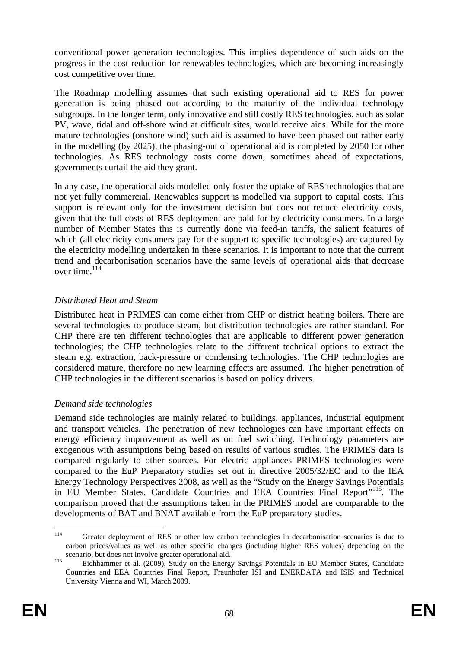conventional power generation technologies. This implies dependence of such aids on the progress in the cost reduction for renewables technologies, which are becoming increasingly cost competitive over time.

The Roadmap modelling assumes that such existing operational aid to RES for power generation is being phased out according to the maturity of the individual technology subgroups. In the longer term, only innovative and still costly RES technologies, such as solar PV, wave, tidal and off-shore wind at difficult sites, would receive aids. While for the more mature technologies (onshore wind) such aid is assumed to have been phased out rather early in the modelling (by 2025), the phasing-out of operational aid is completed by 2050 for other technologies. As RES technology costs come down, sometimes ahead of expectations, governments curtail the aid they grant.

In any case, the operational aids modelled only foster the uptake of RES technologies that are not yet fully commercial. Renewables support is modelled via support to capital costs. This support is relevant only for the investment decision but does not reduce electricity costs, given that the full costs of RES deployment are paid for by electricity consumers. In a large number of Member States this is currently done via feed-in tariffs, the salient features of which (all electricity consumers pay for the support to specific technologies) are captured by the electricity modelling undertaken in these scenarios. It is important to note that the current trend and decarbonisation scenarios have the same levels of operational aids that decrease over time.<sup>114</sup>

## *Distributed Heat and Steam*

Distributed heat in PRIMES can come either from CHP or district heating boilers. There are several technologies to produce steam, but distribution technologies are rather standard. For CHP there are ten different technologies that are applicable to different power generation technologies; the CHP technologies relate to the different technical options to extract the steam e.g. extraction, back-pressure or condensing technologies. The CHP technologies are considered mature, therefore no new learning effects are assumed. The higher penetration of CHP technologies in the different scenarios is based on policy drivers.

## *Demand side technologies*

Demand side technologies are mainly related to buildings, appliances, industrial equipment and transport vehicles. The penetration of new technologies can have important effects on energy efficiency improvement as well as on fuel switching. Technology parameters are exogenous with assumptions being based on results of various studies. The PRIMES data is compared regularly to other sources. For electric appliances PRIMES technologies were compared to the EuP Preparatory studies set out in directive 2005/32/EC and to the IEA Energy Technology Perspectives 2008, as well as the "Study on the Energy Savings Potentials in EU Member States, Candidate Countries and EEA Countries Final Report"<sup>115</sup>. The comparison proved that the assumptions taken in the PRIMES model are comparable to the developments of BAT and BNAT available from the EuP preparatory studies.

<sup>114</sup> Greater deployment of RES or other low carbon technologies in decarbonisation scenarios is due to carbon prices/values as well as other specific changes (including higher RES values) depending on the scenario, but does not involve greater operational aid.<br><sup>115</sup> Eichhammer et al. (2009), Study on the Energy Savings Potentials in EU Member States, Candidate

Countries and EEA Countries Final Report, Fraunhofer ISI and ENERDATA and ISIS and Technical University Vienna and WI, March 2009.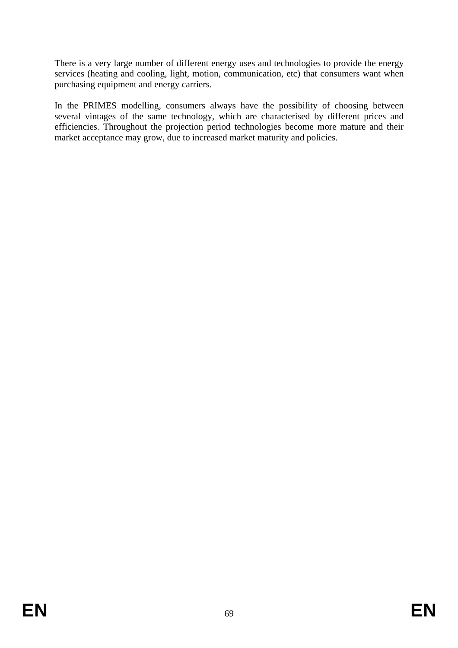There is a very large number of different energy uses and technologies to provide the energy services (heating and cooling, light, motion, communication, etc) that consumers want when purchasing equipment and energy carriers.

In the PRIMES modelling, consumers always have the possibility of choosing between several vintages of the same technology, which are characterised by different prices and efficiencies. Throughout the projection period technologies become more mature and their market acceptance may grow, due to increased market maturity and policies.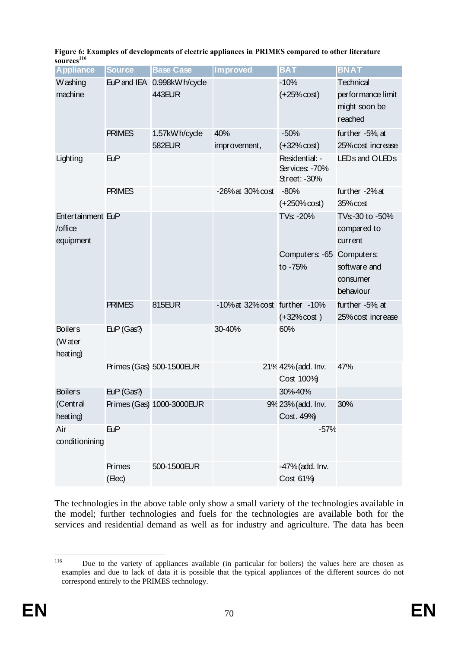| <b>Appliance</b>                          | <b>Source</b>   | <b>Base Case</b>                     | Improved                              | <b>BAT</b>                                              | <b>BNAT</b>                                                                        |
|-------------------------------------------|-----------------|--------------------------------------|---------------------------------------|---------------------------------------------------------|------------------------------------------------------------------------------------|
| W ashing<br>machine                       |                 | EuP and IEA 0.998kWh/cycle<br>443EUR |                                       | $-10%$<br>$(+25% \cos t)$                               | Technical<br>performance limit<br>might soon be<br>reached                         |
|                                           | <b>PRIMES</b>   | 1.57kWh/cycle<br><b>582EUR</b>       | 40%<br>improvement,                   | $-50%$<br>$(+32% \cot)$                                 | further $-5\%$ at<br>25% cost increase                                             |
| Lighting                                  | <b>EuP</b>      |                                      |                                       | Residential: -<br>Services: -70%<br><b>Street: -30%</b> | LEDs and OLEDs                                                                     |
|                                           | <b>PRIMES</b>   |                                      | $-26\%$ at $30\%$ cost                | $-80%$<br>$(+250\% \cos t)$                             | further -2% at<br>35% cost                                                         |
| Entertainment EuP<br>/office<br>equipment |                 |                                      |                                       | TVs: -20%<br>Computers: -65 Computers:<br>to -75%       | TVs:-30 to -50%<br>compared to<br>current<br>software and<br>consumer<br>behaviour |
|                                           | <b>PRIMES</b>   | 815EUR                               | $-10\%$ at 32% $\cos$ further $-10\%$ | $(+32% \cot)$                                           | further $-5\%$ at<br>25% cost increase                                             |
| <b>Boilers</b><br>(Water<br>heating)      | EUP(Gas?        |                                      | 30-40%                                | 60%                                                     |                                                                                    |
|                                           |                 | Primes (Gas) 500-1500EUR             |                                       | 21% 42% (add. Inv.<br>Cost 100%                         | 47%                                                                                |
| <b>Boilers</b>                            | EuP(Gas?        |                                      |                                       | 30%40%                                                  |                                                                                    |
| (Central<br>heating)                      |                 | Primes (Gas) 1000-3000EUR            |                                       | 9% 23% (add. Inv.<br>Cost. 49%                          | 30%                                                                                |
| Air<br>conditionining                     | <b>EuP</b>      |                                      |                                       | $-57%$                                                  |                                                                                    |
|                                           | Primes<br>(Hec) | 500-1500EUR                          |                                       | -47% (add. Inv.<br>Cost 61%                             |                                                                                    |

**Figure 6: Examples of developments of electric appliances in PRIMES compared to other literature**   $sources<sup>116</sup>$ 

The technologies in the above table only show a small variety of the technologies available in the model; further technologies and fuels for the technologies are available both for the services and residential demand as well as for industry and agriculture. The data has been

<sup>116</sup> 116 Due to the variety of appliances available (in particular for boilers) the values here are chosen as examples and due to lack of data it is possible that the typical appliances of the different sources do not correspond entirely to the PRIMES technology.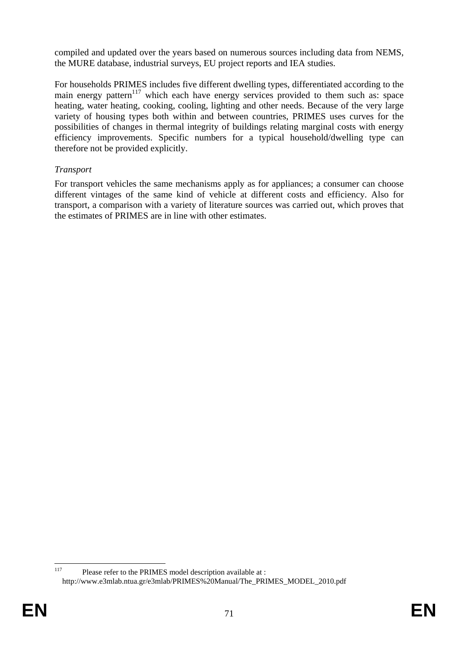compiled and updated over the years based on numerous sources including data from NEMS, the MURE database, industrial surveys, EU project reports and IEA studies.

For households PRIMES includes five different dwelling types, differentiated according to the main energy pattern<sup>117</sup> which each have energy services provided to them such as: space heating, water heating, cooking, cooling, lighting and other needs. Because of the very large variety of housing types both within and between countries, PRIMES uses curves for the possibilities of changes in thermal integrity of buildings relating marginal costs with energy efficiency improvements. Specific numbers for a typical household/dwelling type can therefore not be provided explicitly.

## *Transport*

For transport vehicles the same mechanisms apply as for appliances; a consumer can choose different vintages of the same kind of vehicle at different costs and efficiency. Also for transport, a comparison with a variety of literature sources was carried out, which proves that the estimates of PRIMES are in line with other estimates.

<sup>117</sup> Please refer to the PRIMES model description available at : http://www.e3mlab.ntua.gr/e3mlab/PRIMES%20Manual/The\_PRIMES\_MODEL\_2010.pdf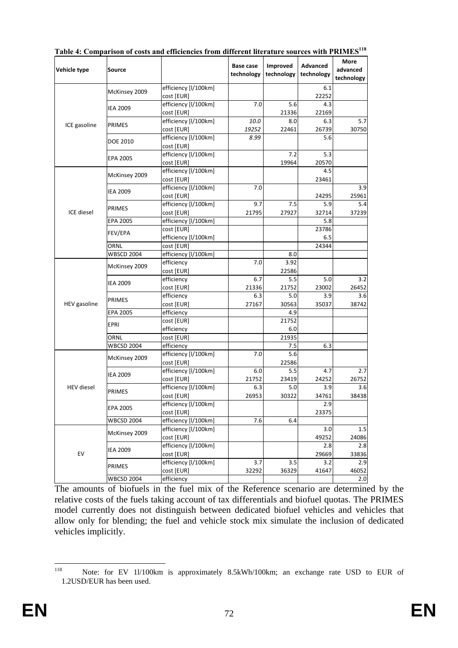| Vehicle type      | Source                             |                                                            | Base case<br>technology | Improved<br>technology | Advanced<br>technology | More<br>advanced<br>technology |
|-------------------|------------------------------------|------------------------------------------------------------|-------------------------|------------------------|------------------------|--------------------------------|
|                   | McKinsey 2009                      | efficiency [I/100km]<br>cost [EUR]                         |                         |                        | 6.1<br>22252           |                                |
|                   | <b>IEA 2009</b>                    | efficiency [I/100km]<br>cost [EUR]                         | 7.0                     | 5.6<br>21336           | 4.3<br>22169           |                                |
| ICE gasoline      | <b>PRIMES</b>                      | efficiency [I/100km]<br>cost [EUR]                         | 10.0<br>19252           | 8.0<br>22461           | 6.3<br>26739           | 5.7<br>30750                   |
|                   | DOE 2010                           | efficiency [I/100km]<br>cost [EUR]                         | 8.99                    |                        | 5.6                    |                                |
|                   | EPA 2005                           | efficiency [I/100km]<br>cost [EUR]                         |                         | 7.2<br>19964           | 5.3<br>20570           |                                |
|                   | McKinsey 2009                      | efficiency [I/100km]<br>cost [EUR]                         |                         |                        | 4.5<br>23461           |                                |
|                   | <b>IEA 2009</b>                    | efficiency [I/100km]<br>cost [EUR]                         | 7.0                     |                        | 24295                  | 3.9<br>25961                   |
| ICE diesel        | PRIMES                             | efficiency [I/100km]<br>cost [EUR]                         | 9.7<br>21795            | 7.5<br>27927           | 5.9<br>32714           | 5.4<br>37239                   |
|                   | EPA 2005<br>FEV/EPA                | efficiency [I/100km]<br>cost [EUR]<br>efficiency [I/100km] |                         |                        | 5.8<br>23786<br>6.5    |                                |
|                   | ORNL                               | cost [EUR]                                                 |                         |                        | 24344                  |                                |
|                   | <b>WBSCD 2004</b><br>McKinsey 2009 | efficiency [I/100km]<br>efficiency<br>cost [EUR]           | 7.0                     | 8.0<br>3.92<br>22586   |                        |                                |
|                   | <b>IEA 2009</b>                    | efficiency<br>cost [EUR]                                   | 6.7<br>21336            | 5.5<br>21752           | 5.0<br>23002           | 3.2<br>26452                   |
| HEV gasoline      | PRIMES                             | efficiency<br>cost [EUR]                                   | 6.3<br>27167            | 5.0<br>30563           | 3.9<br>35037           | 3.6<br>38742                   |
|                   | EPA 2005                           | efficiency<br>cost [EUR]                                   |                         | 4.9<br>21752           |                        |                                |
|                   | EPRI<br>ORNL                       | efficiency                                                 |                         | 6.0<br>21935           |                        |                                |
|                   | <b>WBCSD 2004</b>                  | cost [EUR]                                                 |                         | 7.5                    | 6.3                    |                                |
|                   | McKinsey 2009                      | efficiency<br>efficiency [I/100km]<br>cost [EUR]           | 7.0                     | 5.6<br>22586           |                        |                                |
|                   | <b>IEA 2009</b>                    | efficiency [I/100km]<br>cost [EUR]                         | 6.0<br>21752            | 5.5<br>23419           | 4.7<br>24252           | 2.7<br>26752                   |
| <b>HEV</b> diesel | PRIMES                             | efficiency [I/100km]<br>cost [EUR]                         | 6.3<br>26953            | 5.0<br>30322           | 3.9<br>34761           | 3.6<br>38438                   |
|                   | EPA 2005                           | efficiency [I/100km]<br>cost [EUR]                         |                         |                        | 2.9<br>23375           |                                |
|                   | <b>WBCSD 2004</b>                  | efficiency [I/100km]                                       | 7.6                     | 6.4                    |                        |                                |
|                   | McKinsey 2009                      | efficiency [I/100km]<br>cost [EUR]                         |                         |                        | 3.0<br>49252           | 1.5<br>24086                   |
| EV                | <b>IEA 2009</b>                    | efficiency [I/100km]<br>cost [EUR]                         |                         |                        | 2.8<br>29669           | 2.8<br>33836                   |
|                   | PRIMES                             | efficiency [I/100km]<br>cost [EUR]                         | 3.7<br>32292            | 3.5<br>36329           | 3.2<br>41647           | 2.9<br>46052                   |
|                   | WBCSD 2004                         | efficiency                                                 |                         |                        |                        | 2.0                            |

Table 4: Comparison of costs and efficiencies from different literature sources with PRIMES<sup>118</sup>

The amounts of biofuels in the fuel mix of the Reference scenario are determined by the relative costs of the fuels taking account of tax differentials and biofuel quotas. The PRIMES model currently does not distinguish between dedicated biofuel vehicles and vehicles that allow only for blending; the fuel and vehicle stock mix simulate the inclusion of dedicated vehicles implicitly.

<sup>118</sup> Note: for EV 1l/100km is approximately 8.5kWh/100km; an exchange rate USD to EUR of 1.2USD/EUR has been used.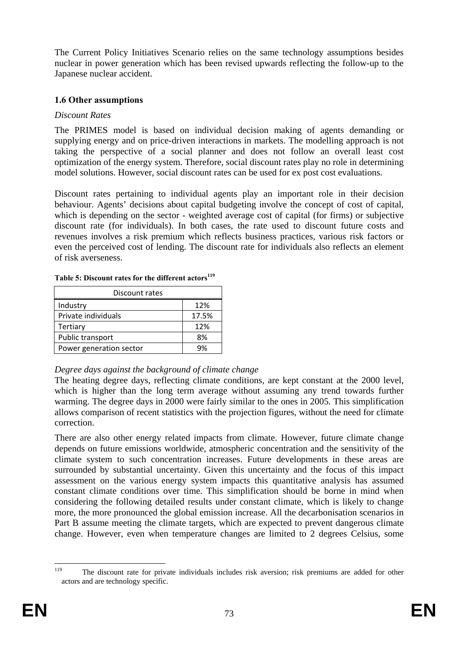The Current Policy Initiatives Scenario relies on the same technology assumptions besides nuclear in power generation which has been revised upwards reflecting the follow-up to the Japanese nuclear accident.

### **1.6 Other assumptions**

### *Discount Rates*

The PRIMES model is based on individual decision making of agents demanding or supplying energy and on price-driven interactions in markets. The modelling approach is not taking the perspective of a social planner and does not follow an overall least cost optimization of the energy system. Therefore, social discount rates play no role in determining model solutions. However, social discount rates can be used for ex post cost evaluations.

Discount rates pertaining to individual agents play an important role in their decision behaviour. Agents' decisions about capital budgeting involve the concept of cost of capital, which is depending on the sector - weighted average cost of capital (for firms) or subjective discount rate (for individuals). In both cases, the rate used to discount future costs and revenues involves a risk premium which reflects business practices, various risk factors or even the perceived cost of lending. The discount rate for individuals also reflects an element of risk averseness.

| Discount rates          |       |  |  |  |  |  |
|-------------------------|-------|--|--|--|--|--|
| Industry                | 12%   |  |  |  |  |  |
| Private individuals     | 17.5% |  |  |  |  |  |
| Tertiary                | 12%   |  |  |  |  |  |
| Public transport        | 8%    |  |  |  |  |  |
| Power generation sector | 9%    |  |  |  |  |  |

#### Table 5: Discount rates for the different actors<sup>119</sup>

### *Degree days against the background of climate change*

The heating degree days, reflecting climate conditions, are kept constant at the 2000 level, which is higher than the long term average without assuming any trend towards further warming. The degree days in 2000 were fairly similar to the ones in 2005. This simplification allows comparison of recent statistics with the projection figures, without the need for climate correction.

There are also other energy related impacts from climate. However, future climate change depends on future emissions worldwide, atmospheric concentration and the sensitivity of the climate system to such concentration increases. Future developments in these areas are surrounded by substantial uncertainty. Given this uncertainty and the focus of this impact assessment on the various energy system impacts this quantitative analysis has assumed constant climate conditions over time. This simplification should be borne in mind when considering the following detailed results under constant climate, which is likely to change more, the more pronounced the global emission increase. All the decarbonisation scenarios in Part B assume meeting the climate targets, which are expected to prevent dangerous climate change. However, even when temperature changes are limited to 2 degrees Celsius, some

 $110$ The discount rate for private individuals includes risk aversion; risk premiums are added for other actors and are technology specific.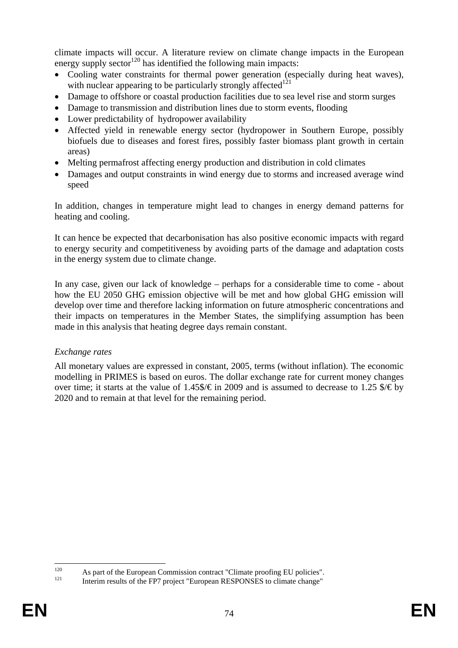climate impacts will occur. A literature review on climate change impacts in the European energy supply sector<sup>120</sup> has identified the following main impacts:

- Cooling water constraints for thermal power generation (especially during heat waves). with nuclear appearing to be particularly strongly affected $121$
- Damage to offshore or coastal production facilities due to sea level rise and storm surges
- Damage to transmission and distribution lines due to storm events, flooding
- Lower predictability of hydropower availability
- Affected yield in renewable energy sector (hydropower in Southern Europe, possibly biofuels due to diseases and forest fires, possibly faster biomass plant growth in certain areas)
- Melting permafrost affecting energy production and distribution in cold climates
- Damages and output constraints in wind energy due to storms and increased average wind speed

In addition, changes in temperature might lead to changes in energy demand patterns for heating and cooling.

It can hence be expected that decarbonisation has also positive economic impacts with regard to energy security and competitiveness by avoiding parts of the damage and adaptation costs in the energy system due to climate change.

In any case, given our lack of knowledge – perhaps for a considerable time to come - about how the EU 2050 GHG emission objective will be met and how global GHG emission will develop over time and therefore lacking information on future atmospheric concentrations and their impacts on temperatures in the Member States, the simplifying assumption has been made in this analysis that heating degree days remain constant.

### *Exchange rates*

All monetary values are expressed in constant, 2005, terms (without inflation). The economic modelling in PRIMES is based on euros. The dollar exchange rate for current money changes over time; it starts at the value of 1.45\$/ $\epsilon$  in 2009 and is assumed to decrease to 1.25 \$/ $\epsilon$  by 2020 and to remain at that level for the remaining period.

 $120$ <sup>120</sup> As part of the European Commission contract "Climate proofing EU policies".<br>Interim results of the FP7 project "European RESPONSES to climate change"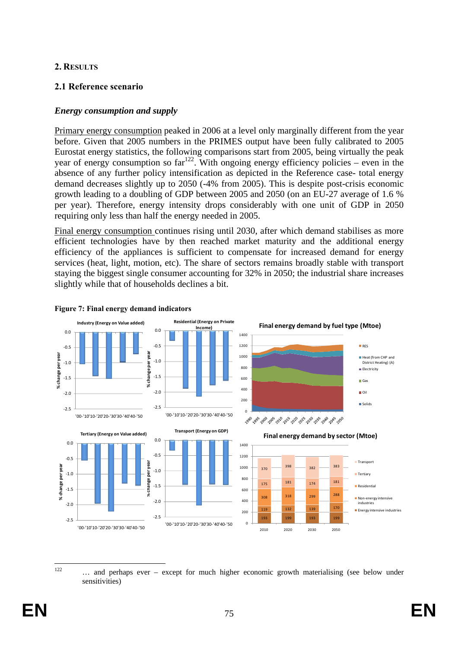### **2. RESULTS**

## **2.1 Reference scenario**

### *Energy consumption and supply*

Primary energy consumption peaked in 2006 at a level only marginally different from the year before. Given that 2005 numbers in the PRIMES output have been fully calibrated to 2005 Eurostat energy statistics, the following comparisons start from 2005, being virtually the peak year of energy consumption so  $far^{122}$ . With ongoing energy efficiency policies – even in the absence of any further policy intensification as depicted in the Reference case- total energy demand decreases slightly up to 2050 (-4% from 2005). This is despite post-crisis economic growth leading to a doubling of GDP between 2005 and 2050 (on an EU-27 average of 1.6 % per year). Therefore, energy intensity drops considerably with one unit of GDP in 2050 requiring only less than half the energy needed in 2005.

Final energy consumption continues rising until 2030, after which demand stabilises as more efficient technologies have by then reached market maturity and the additional energy efficiency of the appliances is sufficient to compensate for increased demand for energy services (heat, light, motion, etc). The share of sectors remains broadly stable with transport staying the biggest single consumer accounting for 32% in 2050; the industrial share increases slightly while that of households declines a bit.



#### **Figure 7: Final energy demand indicators**

 $122$ ... and perhaps ever – except for much higher economic growth materialising (see below under sensitivities)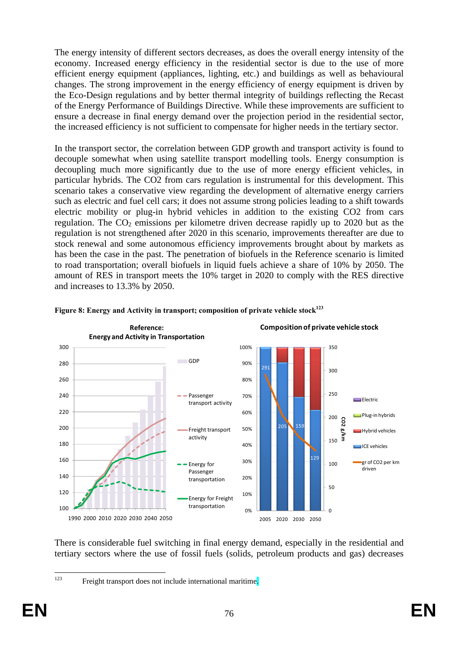The energy intensity of different sectors decreases, as does the overall energy intensity of the economy. Increased energy efficiency in the residential sector is due to the use of more efficient energy equipment (appliances, lighting, etc.) and buildings as well as behavioural changes. The strong improvement in the energy efficiency of energy equipment is driven by the Eco-Design regulations and by better thermal integrity of buildings reflecting the Recast of the Energy Performance of Buildings Directive. While these improvements are sufficient to ensure a decrease in final energy demand over the projection period in the residential sector, the increased efficiency is not sufficient to compensate for higher needs in the tertiary sector.

In the transport sector, the correlation between GDP growth and transport activity is found to decouple somewhat when using satellite transport modelling tools. Energy consumption is decoupling much more significantly due to the use of more energy efficient vehicles, in particular hybrids. The CO2 from cars regulation is instrumental for this development. This scenario takes a conservative view regarding the development of alternative energy carriers such as electric and fuel cell cars; it does not assume strong policies leading to a shift towards electric mobility or plug-in hybrid vehicles in addition to the existing CO2 from cars regulation. The  $CO<sub>2</sub>$  emissions per kilometre driven decrease rapidly up to 2020 but as the regulation is not strengthened after 2020 in this scenario, improvements thereafter are due to stock renewal and some autonomous efficiency improvements brought about by markets as has been the case in the past. The penetration of biofuels in the Reference scenario is limited to road transportation; overall biofuels in liquid fuels achieve a share of 10% by 2050. The amount of RES in transport meets the 10% target in 2020 to comply with the RES directive and increases to 13.3% by 2050.





There is considerable fuel switching in final energy demand, especially in the residential and tertiary sectors where the use of fossil fuels (solids, petroleum products and gas) decreases

<sup>123</sup> Freight transport does not include international maritime.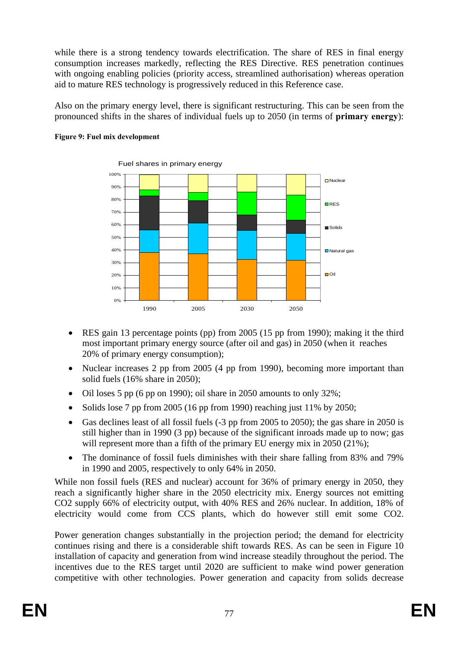while there is a strong tendency towards electrification. The share of RES in final energy consumption increases markedly, reflecting the RES Directive. RES penetration continues with ongoing enabling policies (priority access, streamlined authorisation) whereas operation aid to mature RES technology is progressively reduced in this Reference case.

Also on the primary energy level, there is significant restructuring. This can be seen from the pronounced shifts in the shares of individual fuels up to 2050 (in terms of **primary energy**):



#### **Figure 9: Fuel mix development**

- RES gain 13 percentage points (pp) from 2005 (15 pp from 1990); making it the third most important primary energy source (after oil and gas) in 2050 (when it reaches 20% of primary energy consumption);
- Nuclear increases 2 pp from 2005 (4 pp from 1990), becoming more important than solid fuels (16% share in 2050);
- Oil loses 5 pp (6 pp on 1990); oil share in 2050 amounts to only  $32\%$ ;
- Solids lose 7 pp from 2005 (16 pp from 1990) reaching just 11% by 2050;
- Gas declines least of all fossil fuels (-3 pp from 2005 to 2050); the gas share in 2050 is still higher than in 1990 (3 pp) because of the significant inroads made up to now; gas will represent more than a fifth of the primary EU energy mix in 2050 (21%);
- The dominance of fossil fuels diminishes with their share falling from 83% and 79% in 1990 and 2005, respectively to only 64% in 2050.

While non fossil fuels (RES and nuclear) account for 36% of primary energy in 2050, they reach a significantly higher share in the 2050 electricity mix. Energy sources not emitting CO2 supply 66% of electricity output, with 40% RES and 26% nuclear. In addition, 18% of electricity would come from CCS plants, which do however still emit some CO2.

Power generation changes substantially in the projection period; the demand for electricity continues rising and there is a considerable shift towards RES. As can be seen in [Figure 1](#page-78-0)0 installation of capacity and generation from wind increase steadily throughout the period. The incentives due to the RES target until 2020 are sufficient to make wind power generation competitive with other technologies. Power generation and capacity from solids decrease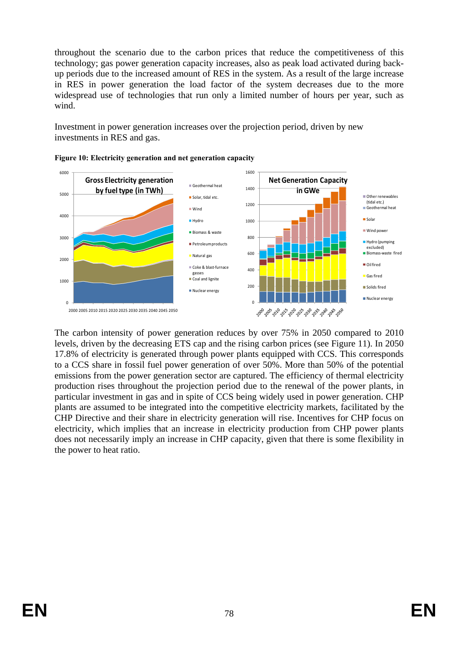throughout the scenario due to the carbon prices that reduce the competitiveness of this technology; gas power generation capacity increases, also as peak load activated during backup periods due to the increased amount of RES in the system. As a result of the large increase in RES in power generation the load factor of the system decreases due to the more widespread use of technologies that run only a limited number of hours per year, such as wind.

Investment in power generation increases over the projection period, driven by new investments in RES and gas.



<span id="page-78-0"></span>

The carbon intensity of power generation reduces by over 75% in 2050 compared to 2010 levels, driven by the decreasing ETS cap and the rising carbon prices (see Figure 11). In 2050 17.8% of electricity is generated through power plants equipped with CCS. This corresponds to a CCS share in fossil fuel power generation of over 50%. More than 50% of the potential emissions from the power generation sector are captured. The efficiency of thermal electricity production rises throughout the projection period due to the renewal of the power plants, in particular investment in gas and in spite of CCS being widely used in power generation. CHP plants are assumed to be integrated into the competitive electricity markets, facilitated by the CHP Directive and their share in electricity generation will rise. Incentives for CHP focus on electricity, which implies that an increase in electricity production from CHP power plants does not necessarily imply an increase in CHP capacity, given that there is some flexibility in the power to heat ratio.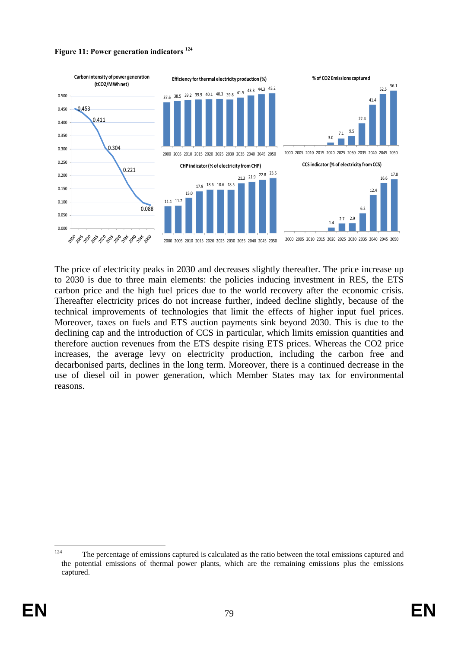



The price of electricity peaks in 2030 and decreases slightly thereafter. The price increase up to 2030 is due to three main elements: the policies inducing investment in RES, the ETS carbon price and the high fuel prices due to the world recovery after the economic crisis. Thereafter electricity prices do not increase further, indeed decline slightly, because of the technical improvements of technologies that limit the effects of higher input fuel prices. Moreover, taxes on fuels and ETS auction payments sink beyond 2030. This is due to the declining cap and the introduction of CCS in particular, which limits emission quantities and therefore auction revenues from the ETS despite rising ETS prices. Whereas the CO2 price increases, the average levy on electricity production, including the carbon free and decarbonised parts, declines in the long term. Moreover, there is a continued decrease in the use of diesel oil in power generation, which Member States may tax for environmental reasons.

<sup>124</sup> The percentage of emissions captured is calculated as the ratio between the total emissions captured and the potential emissions of thermal power plants, which are the remaining emissions plus the emissions captured.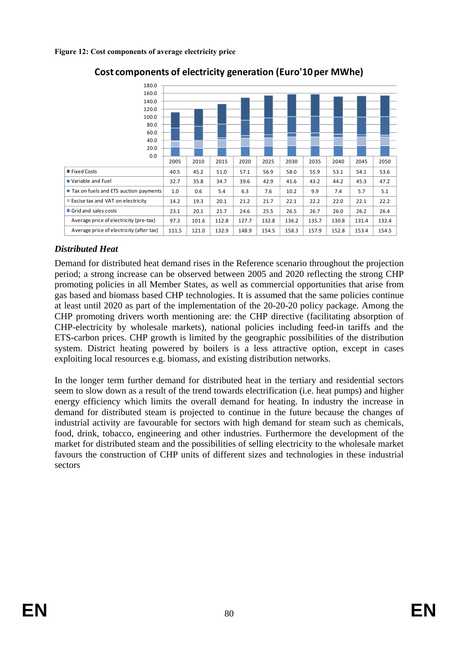| 180.0                                    |       |       |       |       |       |       |       |       |       |       |
|------------------------------------------|-------|-------|-------|-------|-------|-------|-------|-------|-------|-------|
| 160.0                                    |       |       |       |       |       |       |       |       |       |       |
| 140.0                                    |       |       |       |       |       |       |       |       |       |       |
| 120.0                                    |       |       |       |       |       |       |       |       |       |       |
| 100.0                                    |       |       |       |       |       |       |       |       |       |       |
| 80.0                                     |       |       |       |       |       |       |       |       |       |       |
| 60.0                                     |       |       |       |       |       |       |       |       |       |       |
| 40.0                                     |       |       |       |       |       |       |       |       |       |       |
| 20.0                                     |       |       |       |       |       |       |       |       |       |       |
| 0.0                                      |       |       |       |       |       |       |       |       |       |       |
|                                          | 2005  | 2010  | 2015  | 2020  | 2025  | 2030  | 2035  | 2040  | 2045  | 2050  |
| ■ Fixed Costs                            | 40.5  | 45.2  | 51.0  | 57.1  | 56.9  | 58.0  | 55.9  | 53.1  | 54.1  | 53.6  |
| ■ Variable and Fuel                      | 32.7  | 35.8  | 34.7  | 39.6  | 42.9  | 41.6  | 43.2  | 44.2  | 45.3  | 47.2  |
| Tax on fuels and ETS auction payments    | 1.0   | 0.6   | 5.4   | 6.3   | 7.6   | 10.2  | 9.9   | 7.4   | 5.7   | 5.1   |
| Excise tax and VAT on electricity        | 14.2  | 19.3  | 20.1  | 21.2  | 21.7  | 22.1  | 22.2  | 22.0  | 22.1  | 22.2  |
| Grid and sales costs                     | 23.1  | 20.1  | 21.7  | 24.6  | 25.5  | 26.5  | 26.7  | 26.0  | 26.2  | 26.4  |
| Average price of electricity (pre-tax)   | 97.3  | 101.6 | 112.8 | 127.7 | 132.8 | 136.2 | 135.7 | 130.8 | 131.4 | 132.4 |
| Average price of electricity (after tax) | 111.5 | 121.0 | 132.9 | 148.9 | 154.5 | 158.3 | 157.9 | 152.8 | 153.4 | 154.5 |

# **Cost components of electricity generation (Euro'10 per MWhe)**

# *Distributed Heat*

Demand for distributed heat demand rises in the Reference scenario throughout the projection period; a strong increase can be observed between 2005 and 2020 reflecting the strong CHP promoting policies in all Member States, as well as commercial opportunities that arise from gas based and biomass based CHP technologies. It is assumed that the same policies continue at least until 2020 as part of the implementation of the 20-20-20 policy package. Among the CHP promoting drivers worth mentioning are: the CHP directive (facilitating absorption of CHP-electricity by wholesale markets), national policies including feed-in tariffs and the ETS-carbon prices. CHP growth is limited by the geographic possibilities of the distribution system. District heating powered by boilers is a less attractive option, except in cases exploiting local resources e.g. biomass, and existing distribution networks.

In the longer term further demand for distributed heat in the tertiary and residential sectors seem to slow down as a result of the trend towards electrification (i.e. heat pumps) and higher energy efficiency which limits the overall demand for heating. In industry the increase in demand for distributed steam is projected to continue in the future because the changes of industrial activity are favourable for sectors with high demand for steam such as chemicals, food, drink, tobacco, engineering and other industries. Furthermore the development of the market for distributed steam and the possibilities of selling electricity to the wholesale market favours the construction of CHP units of different sizes and technologies in these industrial sectors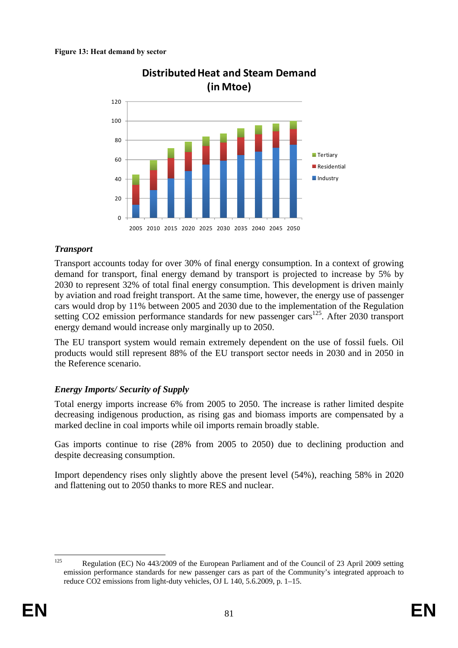

**Distributed Heat and Steam Demand** 

## *Transport*

Transport accounts today for over 30% of final energy consumption. In a context of growing demand for transport, final energy demand by transport is projected to increase by 5% by 2030 to represent 32% of total final energy consumption. This development is driven mainly by aviation and road freight transport. At the same time, however, the energy use of passenger cars would drop by 11% between 2005 and 2030 due to the implementation of the Regulation setting CO2 emission performance standards for new passenger cars<sup>125</sup>. After 2030 transport energy demand would increase only marginally up to 2050.

The EU transport system would remain extremely dependent on the use of fossil fuels. Oil products would still represent 88% of the EU transport sector needs in 2030 and in 2050 in the Reference scenario.

### *Energy Imports/ Security of Supply*

Total energy imports increase 6% from 2005 to 2050. The increase is rather limited despite decreasing indigenous production, as rising gas and biomass imports are compensated by a marked decline in coal imports while oil imports remain broadly stable.

Gas imports continue to rise (28% from 2005 to 2050) due to declining production and despite decreasing consumption.

Import dependency rises only slightly above the present level (54%), reaching 58% in 2020 and flattening out to 2050 thanks to more RES and nuclear.

 $125$ 125 Regulation (EC) No 443/2009 of the European Parliament and of the Council of 23 April 2009 setting emission performance standards for new passenger cars as part of the Community's integrated approach to reduce CO2 emissions from light-duty vehicles, OJ L 140, 5.6.2009, p. 1–15.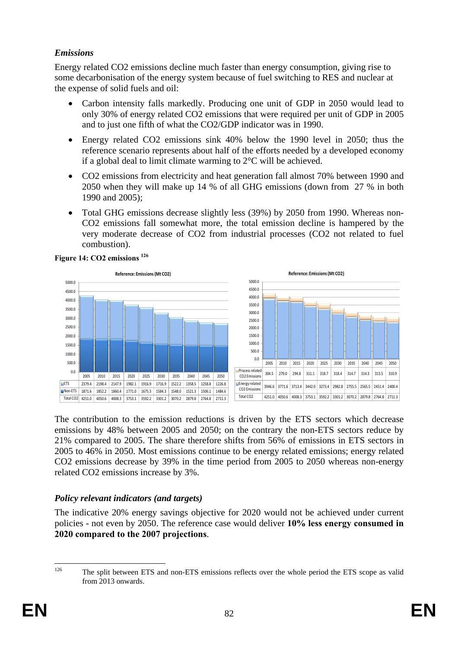## *Emissions*

Energy related CO2 emissions decline much faster than energy consumption, giving rise to some decarbonisation of the energy system because of fuel switching to RES and nuclear at the expense of solid fuels and oil:

- Carbon intensity falls markedly. Producing one unit of GDP in 2050 would lead to only 30% of energy related CO2 emissions that were required per unit of GDP in 2005 and to just one fifth of what the CO2/GDP indicator was in 1990.
- Energy related CO2 emissions sink 40% below the 1990 level in 2050; thus the reference scenario represents about half of the efforts needed by a developed economy if a global deal to limit climate warming to 2°C will be achieved.
- CO2 emissions from electricity and heat generation fall almost 70% between 1990 and 2050 when they will make up 14 % of all GHG emissions (down from 27 % in both 1990 and 2005);
- Total GHG emissions decrease slightly less (39%) by 2050 from 1990. Whereas non-CO2 emissions fall somewhat more, the total emission decline is hampered by the very moderate decrease of CO2 from industrial processes (CO2 not related to fuel combustion).



The contribution to the emission reductions is driven by the ETS sectors which decrease emissions by 48% between 2005 and 2050; on the contrary the non-ETS sectors reduce by 21% compared to 2005. The share therefore shifts from 56% of emissions in ETS sectors in 2005 to 46% in 2050. Most emissions continue to be energy related emissions; energy related CO2 emissions decrease by 39% in the time period from 2005 to 2050 whereas non-energy related CO2 emissions increase by 3%.

### *Policy relevant indicators (and targets)*

The indicative 20% energy savings objective for 2020 would not be achieved under current policies - not even by 2050. The reference case would deliver **10% less energy consumed in 2020 compared to the 2007 projections**.

 $126$ The split between ETS and non-ETS emissions reflects over the whole period the ETS scope as valid from 2013 onwards.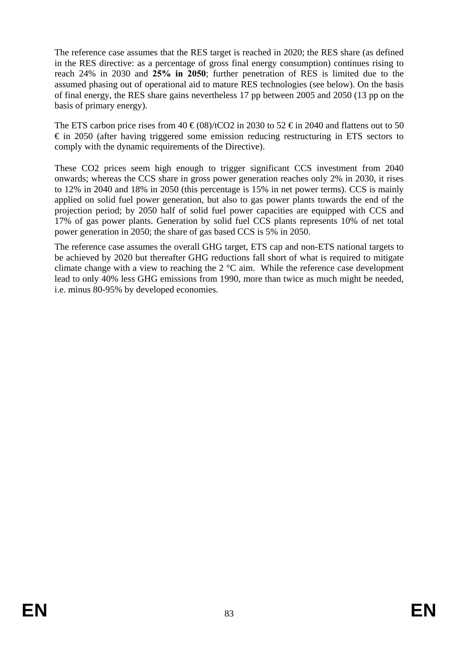The reference case assumes that the RES target is reached in 2020; the RES share (as defined in the RES directive: as a percentage of gross final energy consumption) continues rising to reach 24% in 2030 and **25% in 2050**; further penetration of RES is limited due to the assumed phasing out of operational aid to mature RES technologies (see below). On the basis of final energy, the RES share gains nevertheless 17 pp between 2005 and 2050 (13 pp on the basis of primary energy).

The ETS carbon price rises from 40  $\epsilon$ (08)/tCO2 in 2030 to 52  $\epsilon$  in 2040 and flattens out to 50  $\epsilon$  in 2050 (after having triggered some emission reducing restructuring in ETS sectors to comply with the dynamic requirements of the Directive).

These CO2 prices seem high enough to trigger significant CCS investment from 2040 onwards; whereas the CCS share in gross power generation reaches only 2% in 2030, it rises to 12% in 2040 and 18% in 2050 (this percentage is 15% in net power terms). CCS is mainly applied on solid fuel power generation, but also to gas power plants towards the end of the projection period; by 2050 half of solid fuel power capacities are equipped with CCS and 17% of gas power plants. Generation by solid fuel CCS plants represents 10% of net total power generation in 2050; the share of gas based CCS is 5% in 2050.

The reference case assumes the overall GHG target, ETS cap and non-ETS national targets to be achieved by 2020 but thereafter GHG reductions fall short of what is required to mitigate climate change with a view to reaching the 2 °C aim. While the reference case development lead to only 40% less GHG emissions from 1990, more than twice as much might be needed, i.e. minus 80-95% by developed economies.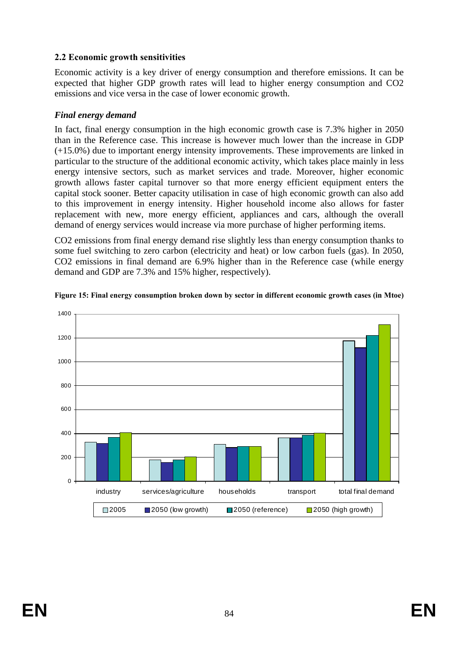## **2.2 Economic growth sensitivities**

Economic activity is a key driver of energy consumption and therefore emissions. It can be expected that higher GDP growth rates will lead to higher energy consumption and CO2 emissions and vice versa in the case of lower economic growth.

### *Final energy demand*

In fact, final energy consumption in the high economic growth case is 7.3% higher in 2050 than in the Reference case. This increase is however much lower than the increase in GDP (+15.0%) due to important energy intensity improvements. These improvements are linked in particular to the structure of the additional economic activity, which takes place mainly in less energy intensive sectors, such as market services and trade. Moreover, higher economic growth allows faster capital turnover so that more energy efficient equipment enters the capital stock sooner. Better capacity utilisation in case of high economic growth can also add to this improvement in energy intensity. Higher household income also allows for faster replacement with new, more energy efficient, appliances and cars, although the overall demand of energy services would increase via more purchase of higher performing items.

CO2 emissions from final energy demand rise slightly less than energy consumption thanks to some fuel switching to zero carbon (electricity and heat) or low carbon fuels (gas). In 2050, CO2 emissions in final demand are 6.9% higher than in the Reference case (while energy demand and GDP are 7.3% and 15% higher, respectively).



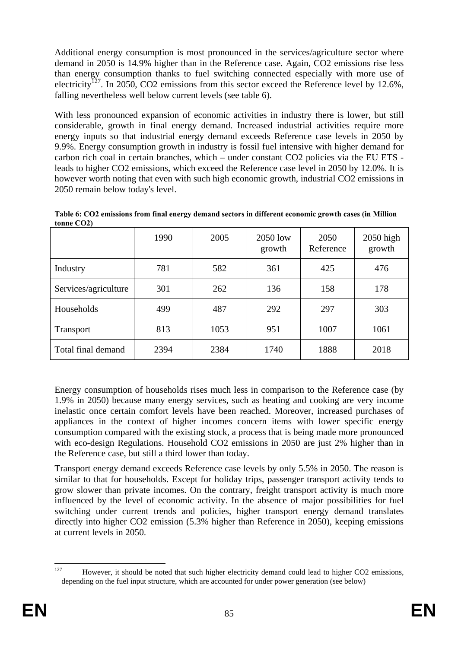Additional energy consumption is most pronounced in the services/agriculture sector where demand in 2050 is 14.9% higher than in the Reference case. Again, CO2 emissions rise less than energy consumption thanks to fuel switching connected especially with more use of electricity<sup> $127$ </sup>. In 2050, CO2 emissions from this sector exceed the Reference level by 12.6%, falling nevertheless well below current levels (see table 6).

With less pronounced expansion of economic activities in industry there is lower, but still considerable, growth in final energy demand. Increased industrial activities require more energy inputs so that industrial energy demand exceeds Reference case levels in 2050 by 9.9%. Energy consumption growth in industry is fossil fuel intensive with higher demand for carbon rich coal in certain branches, which – under constant CO2 policies via the EU ETS leads to higher CO2 emissions, which exceed the Reference case level in 2050 by 12.0%. It is however worth noting that even with such high economic growth, industrial CO2 emissions in 2050 remain below today's level.

|                      | 1990 | 2005 | 2050 low<br>growth | 2050<br>Reference | $2050$ high<br>growth |
|----------------------|------|------|--------------------|-------------------|-----------------------|
| Industry             | 781  | 582  | 361                | 425               | 476                   |
| Services/agriculture | 301  | 262  | 136                | 158               | 178                   |
| Households           | 499  | 487  | 292                | 297               | 303                   |
| <b>Transport</b>     | 813  | 1053 | 951                | 1007              | 1061                  |
| Total final demand   | 2394 | 2384 | 1740               | 1888              | 2018                  |

**Table 6: CO2 emissions from final energy demand sectors in different economic growth cases (in Million tonne CO2)** 

Energy consumption of households rises much less in comparison to the Reference case (by 1.9% in 2050) because many energy services, such as heating and cooking are very income inelastic once certain comfort levels have been reached. Moreover, increased purchases of appliances in the context of higher incomes concern items with lower specific energy consumption compared with the existing stock, a process that is being made more pronounced with eco-design Regulations. Household CO2 emissions in 2050 are just 2% higher than in the Reference case, but still a third lower than today.

Transport energy demand exceeds Reference case levels by only 5.5% in 2050. The reason is similar to that for households. Except for holiday trips, passenger transport activity tends to grow slower than private incomes. On the contrary, freight transport activity is much more influenced by the level of economic activity. In the absence of major possibilities for fuel switching under current trends and policies, higher transport energy demand translates directly into higher CO2 emission (5.3% higher than Reference in 2050), keeping emissions at current levels in 2050.

<sup>127</sup> However, it should be noted that such higher electricity demand could lead to higher CO2 emissions, depending on the fuel input structure, which are accounted for under power generation (see below)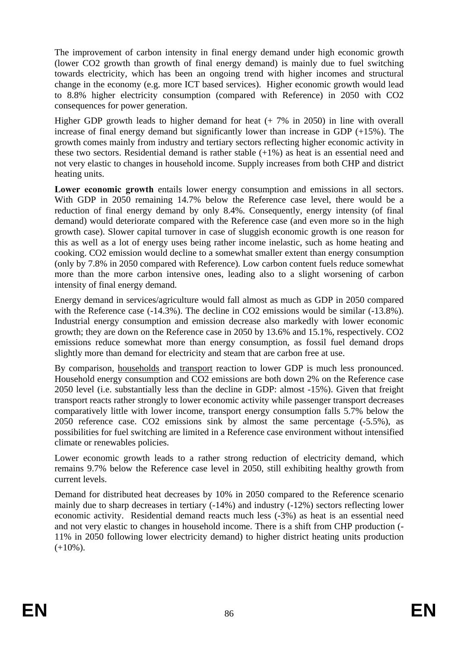The improvement of carbon intensity in final energy demand under high economic growth (lower CO2 growth than growth of final energy demand) is mainly due to fuel switching towards electricity, which has been an ongoing trend with higher incomes and structural change in the economy (e.g. more ICT based services). Higher economic growth would lead to 8.8% higher electricity consumption (compared with Reference) in 2050 with CO2 consequences for power generation.

Higher GDP growth leads to higher demand for heat (+ 7% in 2050) in line with overall increase of final energy demand but significantly lower than increase in GDP  $(+15%)$ . The growth comes mainly from industry and tertiary sectors reflecting higher economic activity in these two sectors. Residential demand is rather stable  $(+1\%)$  as heat is an essential need and not very elastic to changes in household income. Supply increases from both CHP and district heating units.

**Lower economic growth** entails lower energy consumption and emissions in all sectors. With GDP in 2050 remaining 14.7% below the Reference case level, there would be a reduction of final energy demand by only 8.4%. Consequently, energy intensity (of final demand) would deteriorate compared with the Reference case (and even more so in the high growth case). Slower capital turnover in case of sluggish economic growth is one reason for this as well as a lot of energy uses being rather income inelastic, such as home heating and cooking. CO2 emission would decline to a somewhat smaller extent than energy consumption (only by 7.8% in 2050 compared with Reference). Low carbon content fuels reduce somewhat more than the more carbon intensive ones, leading also to a slight worsening of carbon intensity of final energy demand.

Energy demand in services/agriculture would fall almost as much as GDP in 2050 compared with the Reference case (-14.3%). The decline in CO2 emissions would be similar (-13.8%). Industrial energy consumption and emission decrease also markedly with lower economic growth; they are down on the Reference case in 2050 by 13.6% and 15.1%, respectively. CO2 emissions reduce somewhat more than energy consumption, as fossil fuel demand drops slightly more than demand for electricity and steam that are carbon free at use.

By comparison, households and transport reaction to lower GDP is much less pronounced. Household energy consumption and CO2 emissions are both down 2% on the Reference case 2050 level (i.e. substantially less than the decline in GDP: almost -15%). Given that freight transport reacts rather strongly to lower economic activity while passenger transport decreases comparatively little with lower income, transport energy consumption falls 5.7% below the 2050 reference case. CO2 emissions sink by almost the same percentage (-5.5%), as possibilities for fuel switching are limited in a Reference case environment without intensified climate or renewables policies.

Lower economic growth leads to a rather strong reduction of electricity demand, which remains 9.7% below the Reference case level in 2050, still exhibiting healthy growth from current levels.

Demand for distributed heat decreases by 10% in 2050 compared to the Reference scenario mainly due to sharp decreases in tertiary (-14%) and industry (-12%) sectors reflecting lower economic activity. Residential demand reacts much less (-3%) as heat is an essential need and not very elastic to changes in household income. There is a shift from CHP production (- 11% in 2050 following lower electricity demand) to higher district heating units production  $(+10\%)$ .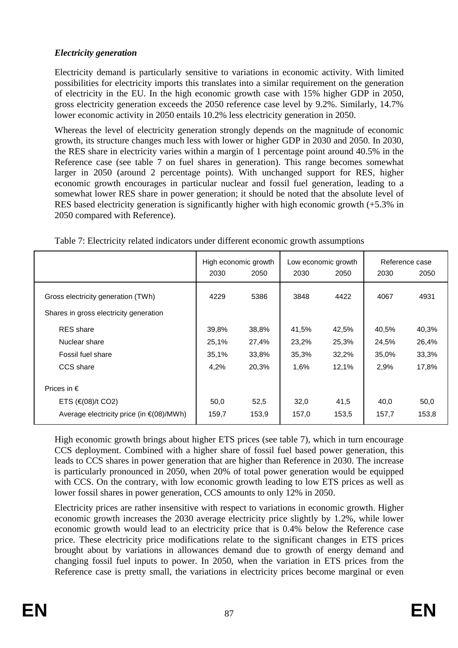# *Electricity generation*

Electricity demand is particularly sensitive to variations in economic activity. With limited possibilities for electricity imports this translates into a similar requirement on the generation of electricity in the EU. In the high economic growth case with 15% higher GDP in 2050, gross electricity generation exceeds the 2050 reference case level by 9.2%. Similarly, 14.7% lower economic activity in 2050 entails 10.2% less electricity generation in 2050.

Whereas the level of electricity generation strongly depends on the magnitude of economic growth, its structure changes much less with lower or higher GDP in 2030 and 2050. In 2030, the RES share in electricity varies within a margin of 1 percentage point around 40.5% in the Reference case (see table 7 on fuel shares in generation). This range becomes somewhat larger in 2050 (around 2 percentage points). With unchanged support for RES, higher economic growth encourages in particular nuclear and fossil fuel generation, leading to a somewhat lower RES share in power generation; it should be noted that the absolute level of RES based electricity generation is significantly higher with high economic growth (+5.3% in 2050 compared with Reference).

|                                                                              |       | High economic growth | Low economic growth |       |       | Reference case |
|------------------------------------------------------------------------------|-------|----------------------|---------------------|-------|-------|----------------|
|                                                                              | 2030  | 2050                 | 2030                | 2050  | 2030  | 2050           |
| Gross electricity generation (TWh)<br>Shares in gross electricity generation | 4229  | 5386                 | 3848                | 4422  | 4067  | 4931           |
| <b>RES</b> share                                                             | 39,8% | 38,8%                | 41,5%               | 42,5% | 40,5% | 40,3%          |
| Nuclear share                                                                | 25,1% | 27,4%                | 23,2%               | 25,3% | 24,5% | 26,4%          |
| Fossil fuel share                                                            | 35,1% | 33,8%                | 35,3%               | 32,2% | 35,0% | 33,3%          |
| CCS share                                                                    | 4,2%  | 20,3%                | 1,6%                | 12,1% | 2,9%  | 17,8%          |
| Prices in $\epsilon$                                                         |       |                      |                     |       |       |                |
| ETS $(\infty)$ /t CO2)                                                       | 50,0  | 52,5                 | 32,0                | 41,5  | 40,0  | 50,0           |
| Average electricity price (in $\in (08)/MWh$ )                               | 159,7 | 153,9                | 157,0               | 153,5 | 157,7 | 153,8          |

Table 7: Electricity related indicators under different economic growth assumptions

High economic growth brings about higher ETS prices (see table 7), which in turn encourage CCS deployment. Combined with a higher share of fossil fuel based power generation, this leads to CCS shares in power generation that are higher than Reference in 2030. The increase is particularly pronounced in 2050, when 20% of total power generation would be equipped with CCS. On the contrary, with low economic growth leading to low ETS prices as well as lower fossil shares in power generation, CCS amounts to only 12% in 2050.

Electricity prices are rather insensitive with respect to variations in economic growth. Higher economic growth increases the 2030 average electricity price slightly by 1.2%, while lower economic growth would lead to an electricity price that is 0.4% below the Reference case price. These electricity price modifications relate to the significant changes in ETS prices brought about by variations in allowances demand due to growth of energy demand and changing fossil fuel inputs to power. In 2050, when the variation in ETS prices from the Reference case is pretty small, the variations in electricity prices become marginal or even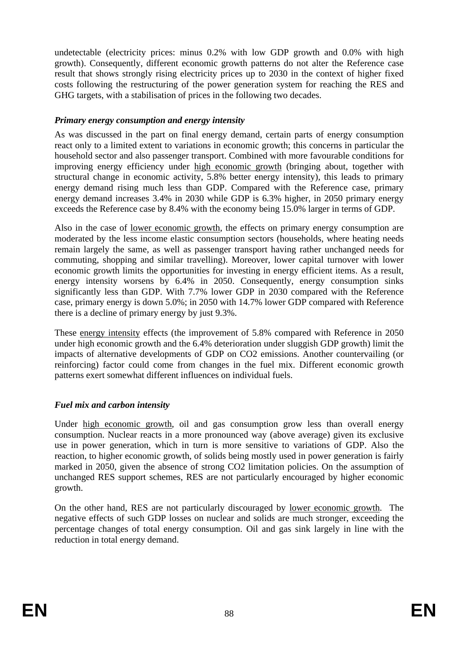undetectable (electricity prices: minus 0.2% with low GDP growth and 0.0% with high growth). Consequently, different economic growth patterns do not alter the Reference case result that shows strongly rising electricity prices up to 2030 in the context of higher fixed costs following the restructuring of the power generation system for reaching the RES and GHG targets, with a stabilisation of prices in the following two decades.

### *Primary energy consumption and energy intensity*

As was discussed in the part on final energy demand, certain parts of energy consumption react only to a limited extent to variations in economic growth; this concerns in particular the household sector and also passenger transport. Combined with more favourable conditions for improving energy efficiency under high economic growth (bringing about, together with structural change in economic activity, 5.8% better energy intensity), this leads to primary energy demand rising much less than GDP. Compared with the Reference case, primary energy demand increases 3.4% in 2030 while GDP is 6.3% higher, in 2050 primary energy exceeds the Reference case by 8.4% with the economy being 15.0% larger in terms of GDP.

Also in the case of lower economic growth, the effects on primary energy consumption are moderated by the less income elastic consumption sectors (households, where heating needs remain largely the same, as well as passenger transport having rather unchanged needs for commuting, shopping and similar travelling). Moreover, lower capital turnover with lower economic growth limits the opportunities for investing in energy efficient items. As a result, energy intensity worsens by 6.4% in 2050. Consequently, energy consumption sinks significantly less than GDP. With 7.7% lower GDP in 2030 compared with the Reference case, primary energy is down 5.0%; in 2050 with 14.7% lower GDP compared with Reference there is a decline of primary energy by just 9.3%.

These energy intensity effects (the improvement of 5.8% compared with Reference in 2050 under high economic growth and the 6.4% deterioration under sluggish GDP growth) limit the impacts of alternative developments of GDP on CO2 emissions. Another countervailing (or reinforcing) factor could come from changes in the fuel mix. Different economic growth patterns exert somewhat different influences on individual fuels.

# *Fuel mix and carbon intensity*

Under high economic growth, oil and gas consumption grow less than overall energy consumption. Nuclear reacts in a more pronounced way (above average) given its exclusive use in power generation, which in turn is more sensitive to variations of GDP. Also the reaction, to higher economic growth, of solids being mostly used in power generation is fairly marked in 2050, given the absence of strong CO2 limitation policies. On the assumption of unchanged RES support schemes, RES are not particularly encouraged by higher economic growth.

On the other hand, RES are not particularly discouraged by lower economic growth. The negative effects of such GDP losses on nuclear and solids are much stronger, exceeding the percentage changes of total energy consumption. Oil and gas sink largely in line with the reduction in total energy demand.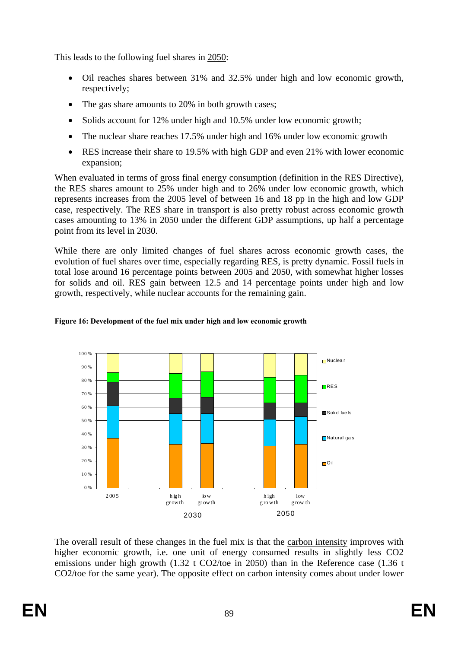This leads to the following fuel shares in 2050:

- Oil reaches shares between 31% and 32.5% under high and low economic growth, respectively;
- The gas share amounts to 20% in both growth cases;
- Solids account for 12% under high and 10.5% under low economic growth;
- The nuclear share reaches 17.5% under high and 16% under low economic growth
- RES increase their share to 19.5% with high GDP and even 21% with lower economic expansion;

When evaluated in terms of gross final energy consumption (definition in the RES Directive), the RES shares amount to 25% under high and to 26% under low economic growth, which represents increases from the 2005 level of between 16 and 18 pp in the high and low GDP case, respectively. The RES share in transport is also pretty robust across economic growth cases amounting to 13% in 2050 under the different GDP assumptions, up half a percentage point from its level in 2030.

While there are only limited changes of fuel shares across economic growth cases, the evolution of fuel shares over time, especially regarding RES, is pretty dynamic. Fossil fuels in total lose around 16 percentage points between 2005 and 2050, with somewhat higher losses for solids and oil. RES gain between 12.5 and 14 percentage points under high and low growth, respectively, while nuclear accounts for the remaining gain.



### **Figure 16: Development of the fuel mix under high and low economic growth**

The overall result of these changes in the fuel mix is that the carbon intensity improves with higher economic growth, i.e. one unit of energy consumed results in slightly less CO2 emissions under high growth (1.32 t CO2/toe in 2050) than in the Reference case (1.36 t CO2/toe for the same year). The opposite effect on carbon intensity comes about under lower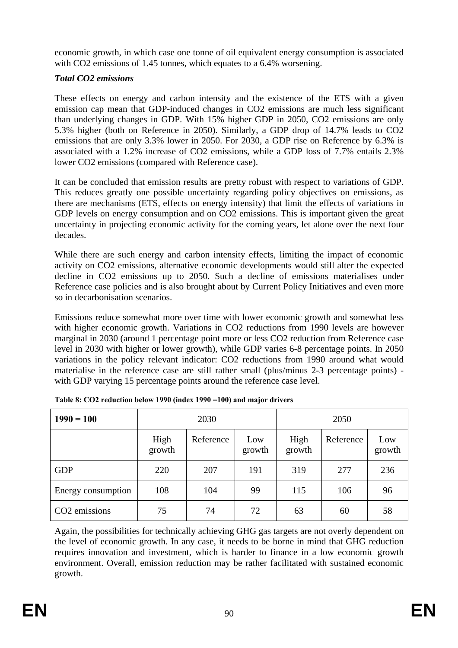economic growth, in which case one tonne of oil equivalent energy consumption is associated with CO2 emissions of 1.45 tonnes, which equates to a 6.4% worsening.

## *Total CO2 emissions*

These effects on energy and carbon intensity and the existence of the ETS with a given emission cap mean that GDP-induced changes in CO2 emissions are much less significant than underlying changes in GDP. With 15% higher GDP in 2050, CO2 emissions are only 5.3% higher (both on Reference in 2050). Similarly, a GDP drop of 14.7% leads to CO2 emissions that are only 3.3% lower in 2050. For 2030, a GDP rise on Reference by 6.3% is associated with a 1.2% increase of CO2 emissions, while a GDP loss of 7.7% entails 2.3% lower CO2 emissions (compared with Reference case).

It can be concluded that emission results are pretty robust with respect to variations of GDP. This reduces greatly one possible uncertainty regarding policy objectives on emissions, as there are mechanisms (ETS, effects on energy intensity) that limit the effects of variations in GDP levels on energy consumption and on CO2 emissions. This is important given the great uncertainty in projecting economic activity for the coming years, let alone over the next four decades.

While there are such energy and carbon intensity effects, limiting the impact of economic activity on CO2 emissions, alternative economic developments would still alter the expected decline in CO2 emissions up to 2050. Such a decline of emissions materialises under Reference case policies and is also brought about by Current Policy Initiatives and even more so in decarbonisation scenarios.

Emissions reduce somewhat more over time with lower economic growth and somewhat less with higher economic growth. Variations in CO2 reductions from 1990 levels are however marginal in 2030 (around 1 percentage point more or less CO2 reduction from Reference case level in 2030 with higher or lower growth), while GDP varies 6-8 percentage points. In 2050 variations in the policy relevant indicator: CO2 reductions from 1990 around what would materialise in the reference case are still rather small (plus/minus 2-3 percentage points) with GDP varying 15 percentage points around the reference case level.

| $1990 = 100$              |                | 2030      |               | 2050           |           |               |  |
|---------------------------|----------------|-----------|---------------|----------------|-----------|---------------|--|
|                           | High<br>growth | Reference | Low<br>growth | High<br>growth | Reference | Low<br>growth |  |
| <b>GDP</b>                | 220            | 207       | 191           | 319            | 277       | 236           |  |
| Energy consumption        | 108            | 104       | 99            | 115            | 106       | 96            |  |
| CO <sub>2</sub> emissions | 75             | 74        | 72            | 63             | 60        | 58            |  |

|  |  | Table 8: CO2 reduction below 1990 (index 1990 = 100) and major drivers |
|--|--|------------------------------------------------------------------------|
|  |  |                                                                        |

Again, the possibilities for technically achieving GHG gas targets are not overly dependent on the level of economic growth. In any case, it needs to be borne in mind that GHG reduction requires innovation and investment, which is harder to finance in a low economic growth environment. Overall, emission reduction may be rather facilitated with sustained economic growth.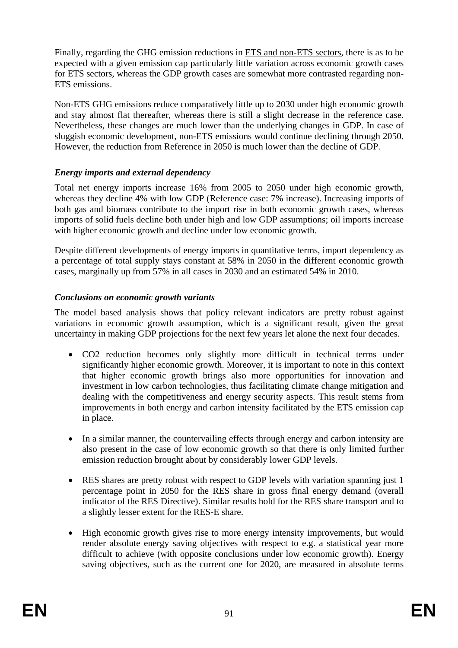Finally, regarding the GHG emission reductions in ETS and non-ETS sectors, there is as to be expected with a given emission cap particularly little variation across economic growth cases for ETS sectors, whereas the GDP growth cases are somewhat more contrasted regarding non-ETS emissions.

Non-ETS GHG emissions reduce comparatively little up to 2030 under high economic growth and stay almost flat thereafter, whereas there is still a slight decrease in the reference case. Nevertheless, these changes are much lower than the underlying changes in GDP. In case of sluggish economic development, non-ETS emissions would continue declining through 2050. However, the reduction from Reference in 2050 is much lower than the decline of GDP.

### *Energy imports and external dependency*

Total net energy imports increase 16% from 2005 to 2050 under high economic growth, whereas they decline 4% with low GDP (Reference case: 7% increase). Increasing imports of both gas and biomass contribute to the import rise in both economic growth cases, whereas imports of solid fuels decline both under high and low GDP assumptions; oil imports increase with higher economic growth and decline under low economic growth.

Despite different developments of energy imports in quantitative terms, import dependency as a percentage of total supply stays constant at 58% in 2050 in the different economic growth cases, marginally up from 57% in all cases in 2030 and an estimated 54% in 2010.

## *Conclusions on economic growth variants*

The model based analysis shows that policy relevant indicators are pretty robust against variations in economic growth assumption, which is a significant result, given the great uncertainty in making GDP projections for the next few years let alone the next four decades.

- CO2 reduction becomes only slightly more difficult in technical terms under significantly higher economic growth. Moreover, it is important to note in this context that higher economic growth brings also more opportunities for innovation and investment in low carbon technologies, thus facilitating climate change mitigation and dealing with the competitiveness and energy security aspects. This result stems from improvements in both energy and carbon intensity facilitated by the ETS emission cap in place.
- In a similar manner, the countervailing effects through energy and carbon intensity are also present in the case of low economic growth so that there is only limited further emission reduction brought about by considerably lower GDP levels.
- RES shares are pretty robust with respect to GDP levels with variation spanning just 1 percentage point in 2050 for the RES share in gross final energy demand (overall indicator of the RES Directive). Similar results hold for the RES share transport and to a slightly lesser extent for the RES-E share.
- High economic growth gives rise to more energy intensity improvements, but would render absolute energy saving objectives with respect to e.g. a statistical year more difficult to achieve (with opposite conclusions under low economic growth). Energy saving objectives, such as the current one for 2020, are measured in absolute terms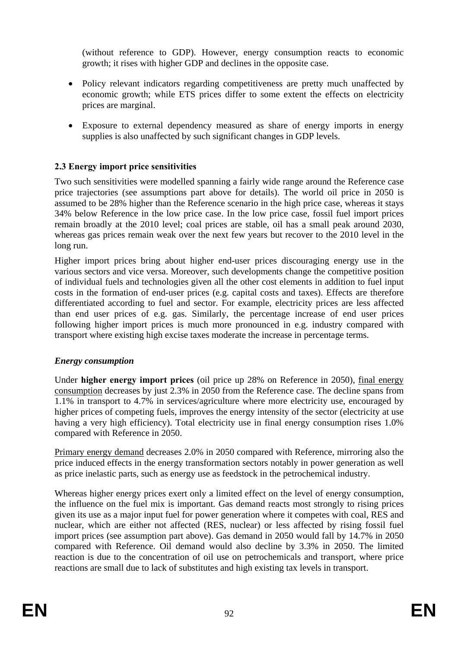(without reference to GDP). However, energy consumption reacts to economic growth; it rises with higher GDP and declines in the opposite case.

- Policy relevant indicators regarding competitiveness are pretty much unaffected by economic growth; while ETS prices differ to some extent the effects on electricity prices are marginal.
- Exposure to external dependency measured as share of energy imports in energy supplies is also unaffected by such significant changes in GDP levels.

## **2.3 Energy import price sensitivities**

Two such sensitivities were modelled spanning a fairly wide range around the Reference case price trajectories (see assumptions part above for details). The world oil price in 2050 is assumed to be 28% higher than the Reference scenario in the high price case, whereas it stays 34% below Reference in the low price case. In the low price case, fossil fuel import prices remain broadly at the 2010 level; coal prices are stable, oil has a small peak around 2030, whereas gas prices remain weak over the next few years but recover to the 2010 level in the long run.

Higher import prices bring about higher end-user prices discouraging energy use in the various sectors and vice versa. Moreover, such developments change the competitive position of individual fuels and technologies given all the other cost elements in addition to fuel input costs in the formation of end-user prices (e.g. capital costs and taxes). Effects are therefore differentiated according to fuel and sector. For example, electricity prices are less affected than end user prices of e.g. gas. Similarly, the percentage increase of end user prices following higher import prices is much more pronounced in e.g. industry compared with transport where existing high excise taxes moderate the increase in percentage terms.

### *Energy consumption*

Under **higher energy import prices** (oil price up 28% on Reference in 2050), final energy consumption decreases by just 2.3% in 2050 from the Reference case. The decline spans from 1.1% in transport to 4.7% in services/agriculture where more electricity use, encouraged by higher prices of competing fuels, improves the energy intensity of the sector (electricity at use having a very high efficiency). Total electricity use in final energy consumption rises 1.0% compared with Reference in 2050.

Primary energy demand decreases 2.0% in 2050 compared with Reference, mirroring also the price induced effects in the energy transformation sectors notably in power generation as well as price inelastic parts, such as energy use as feedstock in the petrochemical industry.

Whereas higher energy prices exert only a limited effect on the level of energy consumption, the influence on the fuel mix is important. Gas demand reacts most strongly to rising prices given its use as a major input fuel for power generation where it competes with coal, RES and nuclear, which are either not affected (RES, nuclear) or less affected by rising fossil fuel import prices (see assumption part above). Gas demand in 2050 would fall by 14.7% in 2050 compared with Reference. Oil demand would also decline by 3.3% in 2050. The limited reaction is due to the concentration of oil use on petrochemicals and transport, where price reactions are small due to lack of substitutes and high existing tax levels in transport.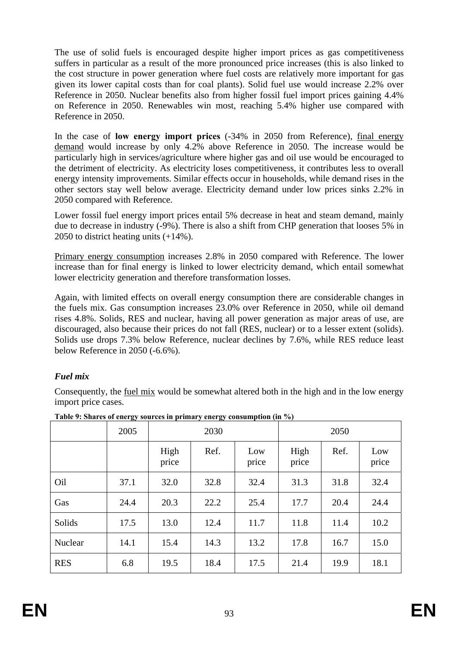The use of solid fuels is encouraged despite higher import prices as gas competitiveness suffers in particular as a result of the more pronounced price increases (this is also linked to the cost structure in power generation where fuel costs are relatively more important for gas given its lower capital costs than for coal plants). Solid fuel use would increase 2.2% over Reference in 2050. Nuclear benefits also from higher fossil fuel import prices gaining 4.4% on Reference in 2050. Renewables win most, reaching 5.4% higher use compared with Reference in 2050.

In the case of **low energy import prices** (-34% in 2050 from Reference), final energy demand would increase by only 4.2% above Reference in 2050. The increase would be particularly high in services/agriculture where higher gas and oil use would be encouraged to the detriment of electricity. As electricity loses competitiveness, it contributes less to overall energy intensity improvements. Similar effects occur in households, while demand rises in the other sectors stay well below average. Electricity demand under low prices sinks 2.2% in 2050 compared with Reference.

Lower fossil fuel energy import prices entail 5% decrease in heat and steam demand, mainly due to decrease in industry (-9%). There is also a shift from CHP generation that looses 5% in 2050 to district heating units (+14%).

Primary energy consumption increases 2.8% in 2050 compared with Reference. The lower increase than for final energy is linked to lower electricity demand, which entail somewhat lower electricity generation and therefore transformation losses.

Again, with limited effects on overall energy consumption there are considerable changes in the fuels mix. Gas consumption increases 23.0% over Reference in 2050, while oil demand rises 4.8%. Solids, RES and nuclear, having all power generation as major areas of use, are discouraged, also because their prices do not fall (RES, nuclear) or to a lesser extent (solids). Solids use drops 7.3% below Reference, nuclear declines by 7.6%, while RES reduce least below Reference in 2050 (-6.6%).

# *Fuel mix*

Consequently, the fuel mix would be somewhat altered both in the high and in the low energy import price cases.

|            | $\bm{\mathsf{\omega}}$<br>2005 | 2030          |      |              | 2050          |      |              |  |
|------------|--------------------------------|---------------|------|--------------|---------------|------|--------------|--|
|            |                                | High<br>price | Ref. | Low<br>price | High<br>price | Ref. | Low<br>price |  |
| Oil        | 37.1                           | 32.0          | 32.8 | 32.4         | 31.3          | 31.8 | 32.4         |  |
| Gas        | 24.4                           | 20.3          | 22.2 | 25.4         | 17.7          | 20.4 | 24.4         |  |
| Solids     | 17.5                           | 13.0          | 12.4 | 11.7         | 11.8          | 11.4 | 10.2         |  |
| Nuclear    | 14.1                           | 15.4          | 14.3 | 13.2         | 17.8          | 16.7 | 15.0         |  |
| <b>RES</b> | 6.8                            | 19.5          | 18.4 | 17.5         | 21.4          | 19.9 | 18.1         |  |

**Table 9: Shares of energy sources in primary energy consumption (in %)**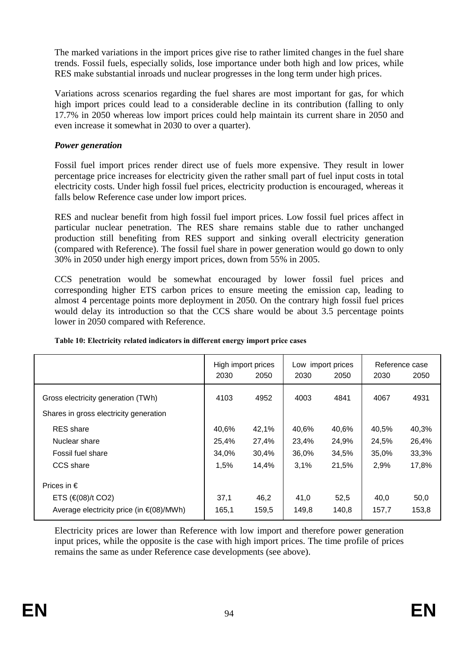The marked variations in the import prices give rise to rather limited changes in the fuel share trends. Fossil fuels, especially solids, lose importance under both high and low prices, while RES make substantial inroads und nuclear progresses in the long term under high prices.

Variations across scenarios regarding the fuel shares are most important for gas, for which high import prices could lead to a considerable decline in its contribution (falling to only 17.7% in 2050 whereas low import prices could help maintain its current share in 2050 and even increase it somewhat in 2030 to over a quarter).

### *Power generation*

Fossil fuel import prices render direct use of fuels more expensive. They result in lower percentage price increases for electricity given the rather small part of fuel input costs in total electricity costs. Under high fossil fuel prices, electricity production is encouraged, whereas it falls below Reference case under low import prices.

RES and nuclear benefit from high fossil fuel import prices. Low fossil fuel prices affect in particular nuclear penetration. The RES share remains stable due to rather unchanged production still benefiting from RES support and sinking overall electricity generation (compared with Reference). The fossil fuel share in power generation would go down to only 30% in 2050 under high energy import prices, down from 55% in 2005.

CCS penetration would be somewhat encouraged by lower fossil fuel prices and corresponding higher ETS carbon prices to ensure meeting the emission cap, leading to almost 4 percentage points more deployment in 2050. On the contrary high fossil fuel prices would delay its introduction so that the CCS share would be about 3.5 percentage points lower in 2050 compared with Reference.

|                                                | 2030  | High import prices<br>2050 | 2030  | Low import prices<br>2050 | Reference case<br>2030<br>2050 |       |
|------------------------------------------------|-------|----------------------------|-------|---------------------------|--------------------------------|-------|
| Gross electricity generation (TWh)             | 4103  | 4952                       | 4003  | 4841                      | 4067                           | 4931  |
| Shares in gross electricity generation         |       |                            |       |                           |                                |       |
| <b>RES</b> share                               | 40,6% | 42,1%                      | 40,6% | 40,6%                     | 40,5%                          | 40,3% |
| Nuclear share                                  | 25,4% | 27,4%                      | 23,4% | 24,9%                     | 24,5%                          | 26,4% |
| Fossil fuel share                              | 34.0% | 30,4%                      | 36,0% | 34,5%                     | 35,0%                          | 33,3% |
| CCS share                                      | 1,5%  | 14,4%                      | 3.1%  | 21,5%                     | 2,9%                           | 17,8% |
| Prices in $\epsilon$                           |       |                            |       |                           |                                |       |
| ETS $(\in (08)/t \text{ CO2})$                 | 37,1  | 46,2                       | 41,0  | 52,5                      | 40,0                           | 50,0  |
| Average electricity price (in $\in (08)/MWh$ ) | 165,1 | 159,5                      | 149,8 | 140,8                     | 157,7                          | 153,8 |

#### **Table 10: Electricity related indicators in different energy import price cases**

Electricity prices are lower than Reference with low import and therefore power generation input prices, while the opposite is the case with high import prices. The time profile of prices remains the same as under Reference case developments (see above).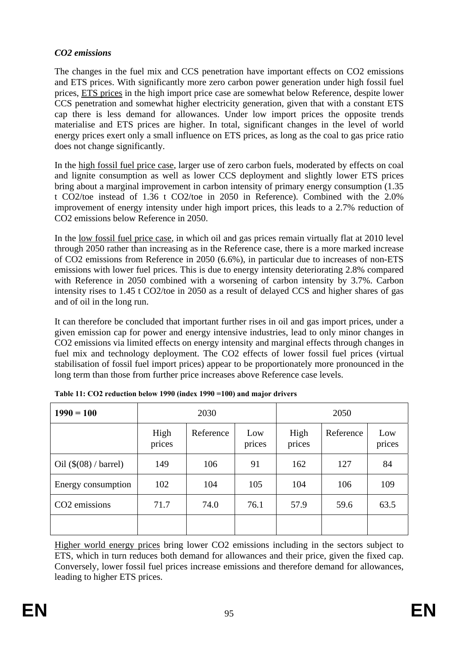### *CO2 emissions*

The changes in the fuel mix and CCS penetration have important effects on CO2 emissions and ETS prices. With significantly more zero carbon power generation under high fossil fuel prices, ETS prices in the high import price case are somewhat below Reference, despite lower CCS penetration and somewhat higher electricity generation, given that with a constant ETS cap there is less demand for allowances. Under low import prices the opposite trends materialise and ETS prices are higher. In total, significant changes in the level of world energy prices exert only a small influence on ETS prices, as long as the coal to gas price ratio does not change significantly.

In the high fossil fuel price case, larger use of zero carbon fuels, moderated by effects on coal and lignite consumption as well as lower CCS deployment and slightly lower ETS prices bring about a marginal improvement in carbon intensity of primary energy consumption (1.35 t CO2/toe instead of 1.36 t CO2/toe in 2050 in Reference). Combined with the 2.0% improvement of energy intensity under high import prices, this leads to a 2.7% reduction of CO2 emissions below Reference in 2050.

In the low fossil fuel price case, in which oil and gas prices remain virtually flat at 2010 level through 2050 rather than increasing as in the Reference case, there is a more marked increase of CO2 emissions from Reference in 2050 (6.6%), in particular due to increases of non-ETS emissions with lower fuel prices. This is due to energy intensity deteriorating 2.8% compared with Reference in 2050 combined with a worsening of carbon intensity by 3.7%. Carbon intensity rises to 1.45 t CO2/toe in 2050 as a result of delayed CCS and higher shares of gas and of oil in the long run.

It can therefore be concluded that important further rises in oil and gas import prices, under a given emission cap for power and energy intensive industries, lead to only minor changes in CO2 emissions via limited effects on energy intensity and marginal effects through changes in fuel mix and technology deployment. The CO2 effects of lower fossil fuel prices (virtual stabilisation of fossil fuel import prices) appear to be proportionately more pronounced in the long term than those from further price increases above Reference case levels.

| $1990 = 100$                   |                | 2030      |               | 2050           |           |               |  |
|--------------------------------|----------------|-----------|---------------|----------------|-----------|---------------|--|
|                                | High<br>prices | Reference | Low<br>prices | High<br>prices | Reference | Low<br>prices |  |
| Oil $(\$(08) / \text{barrel})$ | 149            | 106       | 91            | 162            | 127       | 84            |  |
| Energy consumption             | 102            | 104       | 105           | 104            | 106       | 109           |  |
| CO <sub>2</sub> emissions      | 71.7           | 74.0      | 76.1          | 57.9           | 59.6      | 63.5          |  |
|                                |                |           |               |                |           |               |  |

Higher world energy prices bring lower CO2 emissions including in the sectors subject to ETS, which in turn reduces both demand for allowances and their price, given the fixed cap. Conversely, lower fossil fuel prices increase emissions and therefore demand for allowances, leading to higher ETS prices.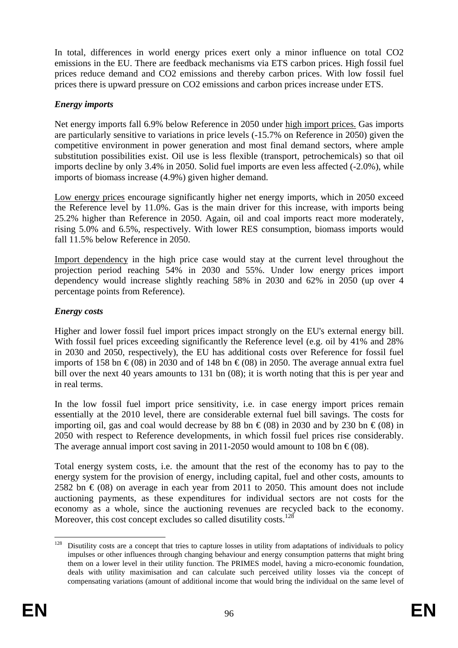In total, differences in world energy prices exert only a minor influence on total CO2 emissions in the EU. There are feedback mechanisms via ETS carbon prices. High fossil fuel prices reduce demand and CO2 emissions and thereby carbon prices. With low fossil fuel prices there is upward pressure on CO2 emissions and carbon prices increase under ETS.

### *Energy imports*

Net energy imports fall 6.9% below Reference in 2050 under high import prices. Gas imports are particularly sensitive to variations in price levels (-15.7% on Reference in 2050) given the competitive environment in power generation and most final demand sectors, where ample substitution possibilities exist. Oil use is less flexible (transport, petrochemicals) so that oil imports decline by only 3.4% in 2050. Solid fuel imports are even less affected (-2.0%), while imports of biomass increase (4.9%) given higher demand.

Low energy prices encourage significantly higher net energy imports, which in 2050 exceed the Reference level by 11.0%. Gas is the main driver for this increase, with imports being 25.2% higher than Reference in 2050. Again, oil and coal imports react more moderately, rising 5.0% and 6.5%, respectively. With lower RES consumption, biomass imports would fall 11.5% below Reference in 2050.

Import dependency in the high price case would stay at the current level throughout the projection period reaching 54% in 2030 and 55%. Under low energy prices import dependency would increase slightly reaching 58% in 2030 and 62% in 2050 (up over 4 percentage points from Reference).

## *Energy costs*

Higher and lower fossil fuel import prices impact strongly on the EU's external energy bill. With fossil fuel prices exceeding significantly the Reference level (e.g. oil by 41% and 28%) in 2030 and 2050, respectively), the EU has additional costs over Reference for fossil fuel imports of 158 bn  $\epsilon$ (08) in 2030 and of 148 bn  $\epsilon$ (08) in 2050. The average annual extra fuel bill over the next 40 years amounts to 131 bn (08); it is worth noting that this is per year and in real terms.

In the low fossil fuel import price sensitivity, i.e. in case energy import prices remain essentially at the 2010 level, there are considerable external fuel bill savings. The costs for importing oil, gas and coal would decrease by 88 bn  $\epsilon$  (08) in 2030 and by 230 bn  $\epsilon$  (08) in 2050 with respect to Reference developments, in which fossil fuel prices rise considerably. The average annual import cost saving in 2011-2050 would amount to 108 bn  $\epsilon$  (08).

Total energy system costs, i.e. the amount that the rest of the economy has to pay to the energy system for the provision of energy, including capital, fuel and other costs, amounts to 2582 bn  $\epsilon$  (08) on average in each year from 2011 to 2050. This amount does not include auctioning payments, as these expenditures for individual sectors are not costs for the economy as a whole, since the auctioning revenues are recycled back to the economy. Moreover, this cost concept excludes so called disutility costs.<sup>128</sup>

<sup>128</sup> 128 Disutility costs are a concept that tries to capture losses in utility from adaptations of individuals to policy impulses or other influences through changing behaviour and energy consumption patterns that might bring them on a lower level in their utility function. The PRIMES model, having a micro-economic foundation, deals with utility maximisation and can calculate such perceived utility losses via the concept of compensating variations (amount of additional income that would bring the individual on the same level of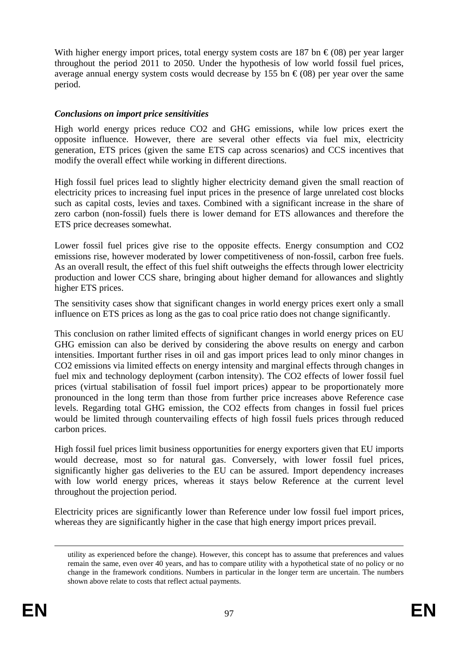With higher energy import prices, total energy system costs are 187 bn  $\epsilon$  (08) per year larger throughout the period 2011 to 2050. Under the hypothesis of low world fossil fuel prices, average annual energy system costs would decrease by 155 bn  $\epsilon$  (08) per year over the same period.

### *Conclusions on import price sensitivities*

High world energy prices reduce CO2 and GHG emissions, while low prices exert the opposite influence. However, there are several other effects via fuel mix, electricity generation, ETS prices (given the same ETS cap across scenarios) and CCS incentives that modify the overall effect while working in different directions.

High fossil fuel prices lead to slightly higher electricity demand given the small reaction of electricity prices to increasing fuel input prices in the presence of large unrelated cost blocks such as capital costs, levies and taxes. Combined with a significant increase in the share of zero carbon (non-fossil) fuels there is lower demand for ETS allowances and therefore the ETS price decreases somewhat.

Lower fossil fuel prices give rise to the opposite effects. Energy consumption and CO2 emissions rise, however moderated by lower competitiveness of non-fossil, carbon free fuels. As an overall result, the effect of this fuel shift outweighs the effects through lower electricity production and lower CCS share, bringing about higher demand for allowances and slightly higher ETS prices.

The sensitivity cases show that significant changes in world energy prices exert only a small influence on ETS prices as long as the gas to coal price ratio does not change significantly.

This conclusion on rather limited effects of significant changes in world energy prices on EU GHG emission can also be derived by considering the above results on energy and carbon intensities. Important further rises in oil and gas import prices lead to only minor changes in CO2 emissions via limited effects on energy intensity and marginal effects through changes in fuel mix and technology deployment (carbon intensity). The CO2 effects of lower fossil fuel prices (virtual stabilisation of fossil fuel import prices) appear to be proportionately more pronounced in the long term than those from further price increases above Reference case levels. Regarding total GHG emission, the CO2 effects from changes in fossil fuel prices would be limited through countervailing effects of high fossil fuels prices through reduced carbon prices.

High fossil fuel prices limit business opportunities for energy exporters given that EU imports would decrease, most so for natural gas. Conversely, with lower fossil fuel prices, significantly higher gas deliveries to the EU can be assured. Import dependency increases with low world energy prices, whereas it stays below Reference at the current level throughout the projection period.

Electricity prices are significantly lower than Reference under low fossil fuel import prices, whereas they are significantly higher in the case that high energy import prices prevail.

utility as experienced before the change). However, this concept has to assume that preferences and values remain the same, even over 40 years, and has to compare utility with a hypothetical state of no policy or no change in the framework conditions. Numbers in particular in the longer term are uncertain. The numbers shown above relate to costs that reflect actual payments.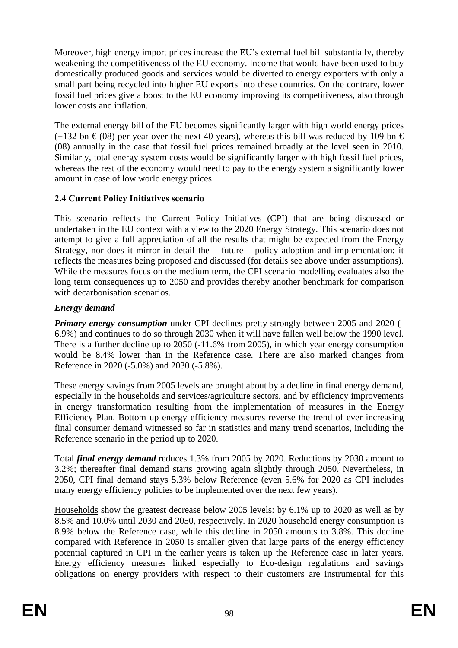Moreover, high energy import prices increase the EU's external fuel bill substantially, thereby weakening the competitiveness of the EU economy. Income that would have been used to buy domestically produced goods and services would be diverted to energy exporters with only a small part being recycled into higher EU exports into these countries. On the contrary, lower fossil fuel prices give a boost to the EU economy improving its competitiveness, also through lower costs and inflation.

The external energy bill of the EU becomes significantly larger with high world energy prices  $(+132 \text{ bn} \cdot \text{\textsterling} (08)$  per year over the next 40 years), whereas this bill was reduced by 109 bn  $\text{\textsterling}$ (08) annually in the case that fossil fuel prices remained broadly at the level seen in 2010. Similarly, total energy system costs would be significantly larger with high fossil fuel prices, whereas the rest of the economy would need to pay to the energy system a significantly lower amount in case of low world energy prices.

# **2.4 Current Policy Initiatives scenario**

This scenario reflects the Current Policy Initiatives (CPI) that are being discussed or undertaken in the EU context with a view to the 2020 Energy Strategy. This scenario does not attempt to give a full appreciation of all the results that might be expected from the Energy Strategy, nor does it mirror in detail the – future – policy adoption and implementation; it reflects the measures being proposed and discussed (for details see above under assumptions). While the measures focus on the medium term, the CPI scenario modelling evaluates also the long term consequences up to 2050 and provides thereby another benchmark for comparison with decarbonisation scenarios.

# *Energy demand*

*Primary energy consumption* under CPI declines pretty strongly between 2005 and 2020 (-6.9%) and continues to do so through 2030 when it will have fallen well below the 1990 level. There is a further decline up to 2050 (-11.6% from 2005), in which year energy consumption would be 8.4% lower than in the Reference case. There are also marked changes from Reference in 2020 (-5.0%) and 2030 (-5.8%).

These energy savings from 2005 levels are brought about by a decline in final energy demand, especially in the households and services/agriculture sectors, and by efficiency improvements in energy transformation resulting from the implementation of measures in the Energy Efficiency Plan. Bottom up energy efficiency measures reverse the trend of ever increasing final consumer demand witnessed so far in statistics and many trend scenarios, including the Reference scenario in the period up to 2020.

Total *final energy demand* reduces 1.3% from 2005 by 2020. Reductions by 2030 amount to 3.2%; thereafter final demand starts growing again slightly through 2050. Nevertheless, in 2050, CPI final demand stays 5.3% below Reference (even 5.6% for 2020 as CPI includes many energy efficiency policies to be implemented over the next few years).

Households show the greatest decrease below 2005 levels: by 6.1% up to 2020 as well as by 8.5% and 10.0% until 2030 and 2050, respectively. In 2020 household energy consumption is 8.9% below the Reference case, while this decline in 2050 amounts to 3.8%. This decline compared with Reference in 2050 is smaller given that large parts of the energy efficiency potential captured in CPI in the earlier years is taken up the Reference case in later years. Energy efficiency measures linked especially to Eco-design regulations and savings obligations on energy providers with respect to their customers are instrumental for this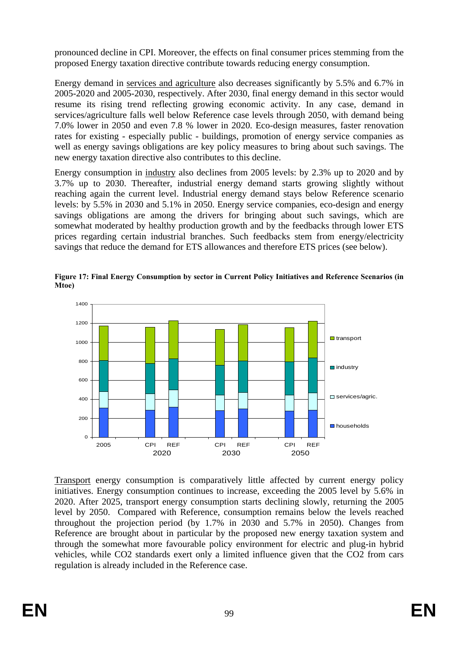pronounced decline in CPI. Moreover, the effects on final consumer prices stemming from the proposed Energy taxation directive contribute towards reducing energy consumption.

Energy demand in services and agriculture also decreases significantly by 5.5% and 6.7% in 2005-2020 and 2005-2030, respectively. After 2030, final energy demand in this sector would resume its rising trend reflecting growing economic activity. In any case, demand in services/agriculture falls well below Reference case levels through 2050, with demand being 7.0% lower in 2050 and even 7.8 % lower in 2020. Eco-design measures, faster renovation rates for existing - especially public - buildings, promotion of energy service companies as well as energy savings obligations are key policy measures to bring about such savings. The new energy taxation directive also contributes to this decline.

Energy consumption in industry also declines from 2005 levels: by 2.3% up to 2020 and by 3.7% up to 2030. Thereafter, industrial energy demand starts growing slightly without reaching again the current level. Industrial energy demand stays below Reference scenario levels: by 5.5% in 2030 and 5.1% in 2050. Energy service companies, eco-design and energy savings obligations are among the drivers for bringing about such savings, which are somewhat moderated by healthy production growth and by the feedbacks through lower ETS prices regarding certain industrial branches. Such feedbacks stem from energy/electricity savings that reduce the demand for ETS allowances and therefore ETS prices (see below).



**Figure 17: Final Energy Consumption by sector in Current Policy Initiatives and Reference Scenarios (in Mtoe)**

Transport energy consumption is comparatively little affected by current energy policy initiatives. Energy consumption continues to increase, exceeding the 2005 level by 5.6% in 2020. After 2025, transport energy consumption starts declining slowly, returning the 2005 level by 2050. Compared with Reference, consumption remains below the levels reached throughout the projection period (by 1.7% in 2030 and 5.7% in 2050). Changes from Reference are brought about in particular by the proposed new energy taxation system and through the somewhat more favourable policy environment for electric and plug-in hybrid vehicles, while CO2 standards exert only a limited influence given that the CO2 from cars regulation is already included in the Reference case.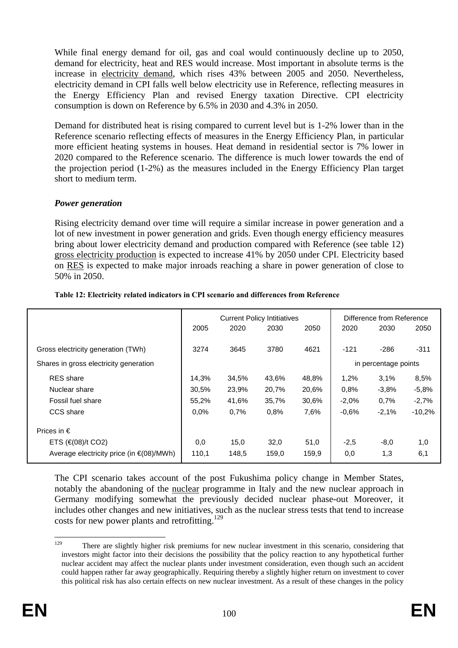While final energy demand for oil, gas and coal would continuously decline up to 2050, demand for electricity, heat and RES would increase. Most important in absolute terms is the increase in electricity demand, which rises 43% between 2005 and 2050. Nevertheless, electricity demand in CPI falls well below electricity use in Reference, reflecting measures in the Energy Efficiency Plan and revised Energy taxation Directive. CPI electricity consumption is down on Reference by 6.5% in 2030 and 4.3% in 2050.

Demand for distributed heat is rising compared to current level but is 1-2% lower than in the Reference scenario reflecting effects of measures in the Energy Efficiency Plan, in particular more efficient heating systems in houses. Heat demand in residential sector is 7% lower in 2020 compared to the Reference scenario. The difference is much lower towards the end of the projection period (1-2%) as the measures included in the Energy Efficiency Plan target short to medium term.

### *Power generation*

Rising electricity demand over time will require a similar increase in power generation and a lot of new investment in power generation and grids. Even though energy efficiency measures bring about lower electricity demand and production compared with Reference (see table 12) gross electricity production is expected to increase 41% by 2050 under CPI. Electricity based on RES is expected to make major inroads reaching a share in power generation of close to 50% in 2050.

|                                                |         | <b>Current Policy Intitiatives</b> |       | Difference from Reference |         |                      |          |
|------------------------------------------------|---------|------------------------------------|-------|---------------------------|---------|----------------------|----------|
|                                                | 2005    | 2020                               | 2030  | 2050                      | 2020    | 2030                 | 2050     |
| Gross electricity generation (TWh)             | 3274    | 3645                               | 3780  | 4621                      | $-121$  | $-286$               | $-311$   |
| Shares in gross electricity generation         |         |                                    |       |                           |         | in percentage points |          |
| <b>RES</b> share                               | 14.3%   | 34,5%                              | 43,6% | 48,8%                     | 1,2%    | 3.1%                 | 8,5%     |
| Nuclear share                                  | 30,5%   | 23,9%                              | 20,7% | 20,6%                     | 0.8%    | $-3.8%$              | $-5.8%$  |
| Fossil fuel share                              | 55,2%   | 41,6%                              | 35,7% | 30,6%                     | $-2.0%$ | $0.7\%$              | $-2.7%$  |
| CCS share                                      | $0.0\%$ | 0.7%                               | 0.8%  | 7,6%                      | $-0.6%$ | $-2.1%$              | $-10,2%$ |
| Prices in $\epsilon$                           |         |                                    |       |                           |         |                      |          |
| ETS $(\infty 08)$ /t CO2)                      | 0,0     | 15,0                               | 32,0  | 51,0                      | $-2,5$  | $-8,0$               | 1,0      |
| Average electricity price (in $\in (08)/MWh$ ) | 110,1   | 148,5                              | 159,0 | 159,9                     | 0,0     | 1,3                  | 6,1      |

#### **Table 12: Electricity related indicators in CPI scenario and differences from Reference**

The CPI scenario takes account of the post Fukushima policy change in Member States, notably the abandoning of the nuclear programme in Italy and the new nuclear approach in Germany modifying somewhat the previously decided nuclear phase-out Moreover, it includes other changes and new initiatives, such as the nuclear stress tests that tend to increase costs for new power plants and retrofitting.129

**<sup>129</sup>** There are slightly higher risk premiums for new nuclear investment in this scenario, considering that investors might factor into their decisions the possibility that the policy reaction to any hypothetical further nuclear accident may affect the nuclear plants under investment consideration, even though such an accident could happen rather far away geographically. Requiring thereby a slightly higher return on investment to cover this political risk has also certain effects on new nuclear investment. As a result of these changes in the policy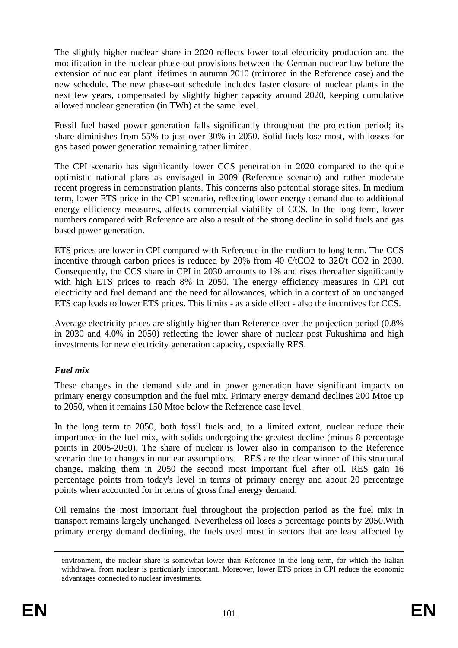The slightly higher nuclear share in 2020 reflects lower total electricity production and the modification in the nuclear phase-out provisions between the German nuclear law before the extension of nuclear plant lifetimes in autumn 2010 (mirrored in the Reference case) and the new schedule. The new phase-out schedule includes faster closure of nuclear plants in the next few years, compensated by slightly higher capacity around 2020, keeping cumulative allowed nuclear generation (in TWh) at the same level.

Fossil fuel based power generation falls significantly throughout the projection period; its share diminishes from 55% to just over 30% in 2050. Solid fuels lose most, with losses for gas based power generation remaining rather limited.

The CPI scenario has significantly lower CCS penetration in 2020 compared to the quite optimistic national plans as envisaged in 2009 (Reference scenario) and rather moderate recent progress in demonstration plants. This concerns also potential storage sites. In medium term, lower ETS price in the CPI scenario, reflecting lower energy demand due to additional energy efficiency measures, affects commercial viability of CCS. In the long term, lower numbers compared with Reference are also a result of the strong decline in solid fuels and gas based power generation.

ETS prices are lower in CPI compared with Reference in the medium to long term. The CCS incentive through carbon prices is reduced by 20% from 40  $\text{\textcircled{et}}$  tCO2 to 32 $\text{\textcircled{et}}$  tCO2 in 2030. Consequently, the CCS share in CPI in 2030 amounts to 1% and rises thereafter significantly with high ETS prices to reach 8% in 2050. The energy efficiency measures in CPI cut electricity and fuel demand and the need for allowances, which in a context of an unchanged ETS cap leads to lower ETS prices. This limits - as a side effect - also the incentives for CCS.

Average electricity prices are slightly higher than Reference over the projection period (0.8% in 2030 and 4.0% in 2050) reflecting the lower share of nuclear post Fukushima and high investments for new electricity generation capacity, especially RES.

# *Fuel mix*

These changes in the demand side and in power generation have significant impacts on primary energy consumption and the fuel mix. Primary energy demand declines 200 Mtoe up to 2050, when it remains 150 Mtoe below the Reference case level.

In the long term to 2050, both fossil fuels and, to a limited extent, nuclear reduce their importance in the fuel mix, with solids undergoing the greatest decline (minus 8 percentage points in 2005-2050). The share of nuclear is lower also in comparison to the Reference scenario due to changes in nuclear assumptions. RES are the clear winner of this structural change, making them in 2050 the second most important fuel after oil. RES gain 16 percentage points from today's level in terms of primary energy and about 20 percentage points when accounted for in terms of gross final energy demand.

Oil remains the most important fuel throughout the projection period as the fuel mix in transport remains largely unchanged. Nevertheless oil loses 5 percentage points by 2050.With primary energy demand declining, the fuels used most in sectors that are least affected by

environment, the nuclear share is somewhat lower than Reference in the long term, for which the Italian withdrawal from nuclear is particularly important. Moreover, lower ETS prices in CPI reduce the economic advantages connected to nuclear investments.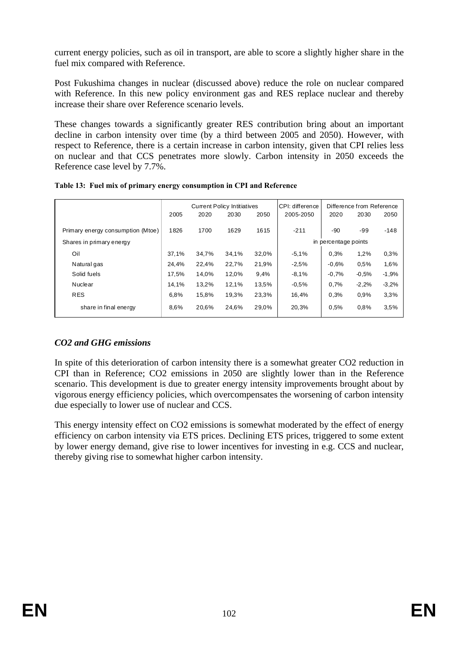current energy policies, such as oil in transport, are able to score a slightly higher share in the fuel mix compared with Reference.

Post Fukushima changes in nuclear (discussed above) reduce the role on nuclear compared with Reference. In this new policy environment gas and RES replace nuclear and thereby increase their share over Reference scenario levels.

These changes towards a significantly greater RES contribution bring about an important decline in carbon intensity over time (by a third between 2005 and 2050). However, with respect to Reference, there is a certain increase in carbon intensity, given that CPI relies less on nuclear and that CCS penetrates more slowly. Carbon intensity in 2050 exceeds the Reference case level by 7.7%.

|  |  | Table 13: Fuel mix of primary energy consumption in CPI and Reference |  |
|--|--|-----------------------------------------------------------------------|--|
|--|--|-----------------------------------------------------------------------|--|

|                                   |       | <b>Current Policy Intitiatives</b> |       |                      | CPI: difference | Difference from Reference |         |         |
|-----------------------------------|-------|------------------------------------|-------|----------------------|-----------------|---------------------------|---------|---------|
|                                   | 2005  | 2020                               | 2030  | 2050                 | 2005-2050       | 2020                      | 2030    | 2050    |
| Primary energy consumption (Mtoe) | 1826  | 1700                               | 1629  | 1615                 | $-211$          | $-90$                     | -99     | $-148$  |
| Shares in primary energy          |       |                                    |       | in percentage points |                 |                           |         |         |
| Oil                               | 37,1% | 34,7%                              | 34,1% | 32,0%                | $-5.1%$         | 0,3%                      | 1,2%    | 0.3%    |
| Natural gas                       | 24,4% | 22,4%                              | 22,7% | 21,9%                | $-2.5%$         | $-0.6%$                   | 0.5%    | 1,6%    |
| Solid fuels                       | 17.5% | 14,0%                              | 12,0% | 9,4%                 | $-8.1%$         | $-0.7%$                   | $-0.5%$ | $-1,9%$ |
| Nuclear                           | 14,1% | 13,2%                              | 12,1% | 13,5%                | $-0.5%$         | 0,7%                      | $-2,2%$ | $-3,2%$ |
| <b>RES</b>                        | 6,8%  | 15,8%                              | 19,3% | 23,3%                | 16,4%           | 0,3%                      | 0.9%    | 3,3%    |
| share in final energy             | 8,6%  | 20,6%                              | 24,6% | 29,0%                | 20,3%           | 0,5%                      | 0.8%    | 3.5%    |

# *CO2 and GHG emissions*

In spite of this deterioration of carbon intensity there is a somewhat greater CO2 reduction in CPI than in Reference; CO2 emissions in 2050 are slightly lower than in the Reference scenario. This development is due to greater energy intensity improvements brought about by vigorous energy efficiency policies, which overcompensates the worsening of carbon intensity due especially to lower use of nuclear and CCS.

This energy intensity effect on CO2 emissions is somewhat moderated by the effect of energy efficiency on carbon intensity via ETS prices. Declining ETS prices, triggered to some extent by lower energy demand, give rise to lower incentives for investing in e.g. CCS and nuclear, thereby giving rise to somewhat higher carbon intensity.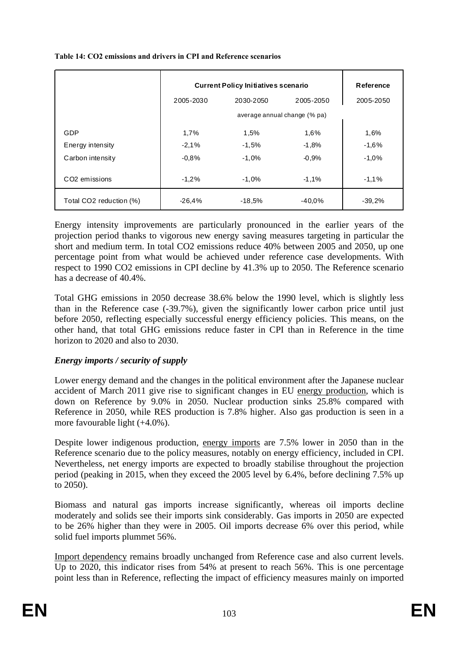|                           | <b>Current Policy Initiatives scenario</b> | Reference |           |           |  |  |  |
|---------------------------|--------------------------------------------|-----------|-----------|-----------|--|--|--|
|                           | 2005-2030                                  | 2030-2050 | 2005-2050 | 2005-2050 |  |  |  |
|                           | average annual change (% pa)               |           |           |           |  |  |  |
| GDP                       | 1,7%                                       | 1,5%      | 1,6%      | 1,6%      |  |  |  |
| Energy intensity          | $-2,1%$                                    | $-1.5%$   | $-1,8%$   | $-1.6%$   |  |  |  |
| Carbon intensity          | $-0.8%$                                    | $-1.0%$   | $-0.9%$   | $-1.0%$   |  |  |  |
| CO <sub>2</sub> emissions | $-1,2%$                                    | $-1.0%$   | $-1.1%$   | $-1,1%$   |  |  |  |
| Total CO2 reduction (%)   | $-26,4%$                                   | -18,5%    | $-40.0\%$ | $-39,2%$  |  |  |  |

### **Table 14: CO2 emissions and drivers in CPI and Reference scenarios**

Energy intensity improvements are particularly pronounced in the earlier years of the projection period thanks to vigorous new energy saving measures targeting in particular the short and medium term. In total CO2 emissions reduce 40% between 2005 and 2050, up one percentage point from what would be achieved under reference case developments. With respect to 1990 CO2 emissions in CPI decline by 41.3% up to 2050. The Reference scenario has a decrease of 40.4%.

Total GHG emissions in 2050 decrease 38.6% below the 1990 level, which is slightly less than in the Reference case (-39.7%), given the significantly lower carbon price until just before 2050, reflecting especially successful energy efficiency policies. This means, on the other hand, that total GHG emissions reduce faster in CPI than in Reference in the time horizon to 2020 and also to 2030.

### *Energy imports / security of supply*

Lower energy demand and the changes in the political environment after the Japanese nuclear accident of March 2011 give rise to significant changes in EU energy production, which is down on Reference by 9.0% in 2050. Nuclear production sinks 25.8% compared with Reference in 2050, while RES production is 7.8% higher. Also gas production is seen in a more favourable light (+4.0%).

Despite lower indigenous production, energy imports are 7.5% lower in 2050 than in the Reference scenario due to the policy measures, notably on energy efficiency, included in CPI. Nevertheless, net energy imports are expected to broadly stabilise throughout the projection period (peaking in 2015, when they exceed the 2005 level by 6.4%, before declining 7.5% up to 2050).

Biomass and natural gas imports increase significantly, whereas oil imports decline moderately and solids see their imports sink considerably. Gas imports in 2050 are expected to be 26% higher than they were in 2005. Oil imports decrease 6% over this period, while solid fuel imports plummet 56%.

Import dependency remains broadly unchanged from Reference case and also current levels. Up to 2020, this indicator rises from 54% at present to reach 56%. This is one percentage point less than in Reference, reflecting the impact of efficiency measures mainly on imported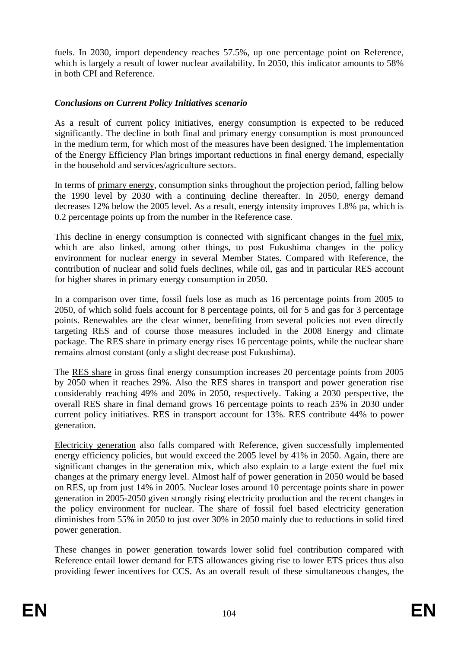fuels. In 2030, import dependency reaches 57.5%, up one percentage point on Reference, which is largely a result of lower nuclear availability. In 2050, this indicator amounts to 58% in both CPI and Reference.

#### *Conclusions on Current Policy Initiatives scenario*

As a result of current policy initiatives, energy consumption is expected to be reduced significantly. The decline in both final and primary energy consumption is most pronounced in the medium term, for which most of the measures have been designed. The implementation of the Energy Efficiency Plan brings important reductions in final energy demand, especially in the household and services/agriculture sectors.

In terms of primary energy, consumption sinks throughout the projection period, falling below the 1990 level by 2030 with a continuing decline thereafter. In 2050, energy demand decreases 12% below the 2005 level. As a result, energy intensity improves 1.8% pa, which is 0.2 percentage points up from the number in the Reference case.

This decline in energy consumption is connected with significant changes in the fuel mix, which are also linked, among other things, to post Fukushima changes in the policy environment for nuclear energy in several Member States. Compared with Reference, the contribution of nuclear and solid fuels declines, while oil, gas and in particular RES account for higher shares in primary energy consumption in 2050.

In a comparison over time, fossil fuels lose as much as 16 percentage points from 2005 to 2050, of which solid fuels account for 8 percentage points, oil for 5 and gas for 3 percentage points. Renewables are the clear winner, benefiting from several policies not even directly targeting RES and of course those measures included in the 2008 Energy and climate package. The RES share in primary energy rises 16 percentage points, while the nuclear share remains almost constant (only a slight decrease post Fukushima).

The RES share in gross final energy consumption increases 20 percentage points from 2005 by 2050 when it reaches 29%. Also the RES shares in transport and power generation rise considerably reaching 49% and 20% in 2050, respectively. Taking a 2030 perspective, the overall RES share in final demand grows 16 percentage points to reach 25% in 2030 under current policy initiatives. RES in transport account for 13%. RES contribute 44% to power generation.

Electricity generation also falls compared with Reference, given successfully implemented energy efficiency policies, but would exceed the 2005 level by 41% in 2050. Again, there are significant changes in the generation mix, which also explain to a large extent the fuel mix changes at the primary energy level. Almost half of power generation in 2050 would be based on RES, up from just 14% in 2005. Nuclear loses around 10 percentage points share in power generation in 2005-2050 given strongly rising electricity production and the recent changes in the policy environment for nuclear. The share of fossil fuel based electricity generation diminishes from 55% in 2050 to just over 30% in 2050 mainly due to reductions in solid fired power generation.

These changes in power generation towards lower solid fuel contribution compared with Reference entail lower demand for ETS allowances giving rise to lower ETS prices thus also providing fewer incentives for CCS. As an overall result of these simultaneous changes, the